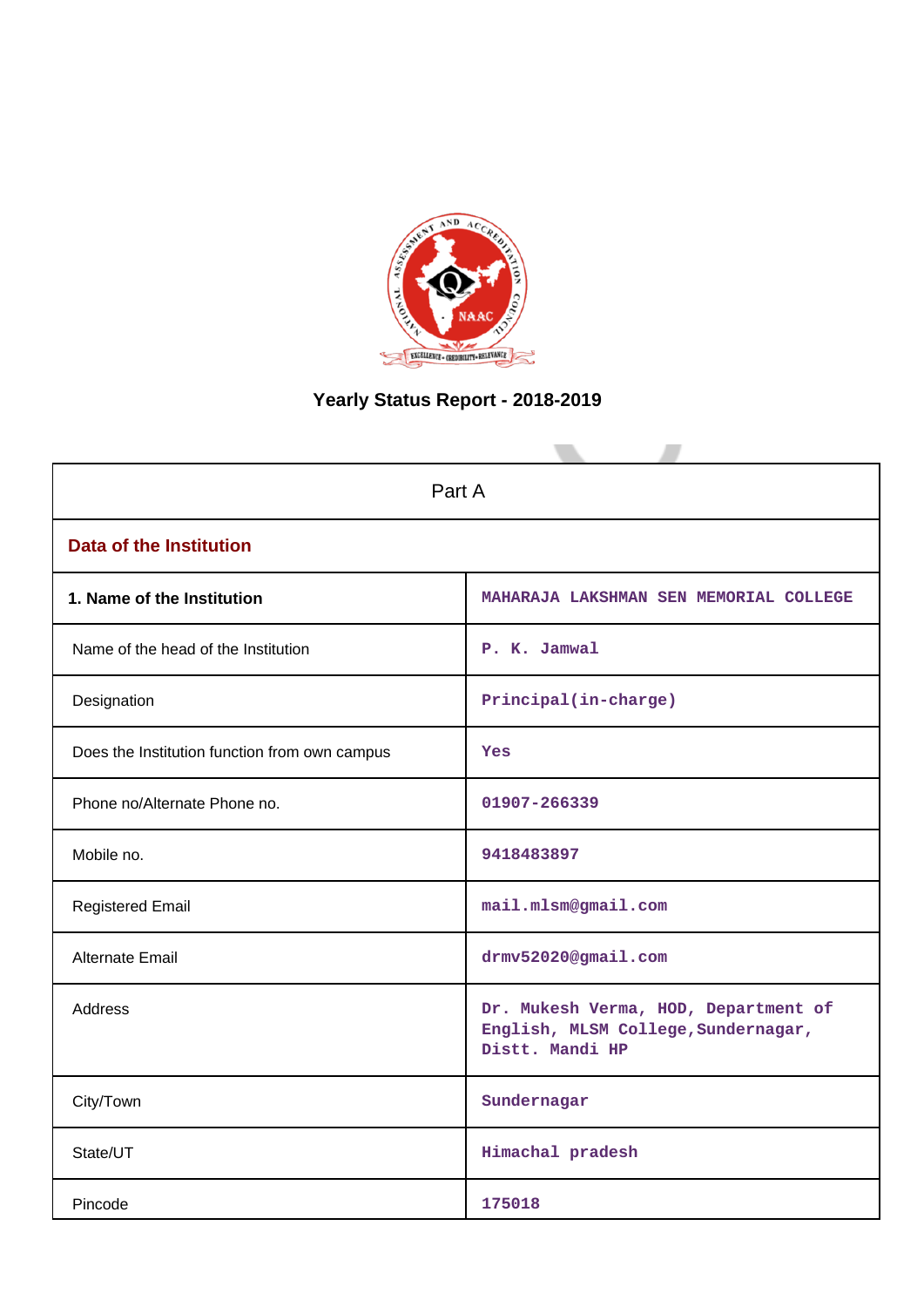

# **Yearly Status Report - 2018-2019**

| Part A                                        |                                                                                                |  |  |  |  |  |
|-----------------------------------------------|------------------------------------------------------------------------------------------------|--|--|--|--|--|
| <b>Data of the Institution</b>                |                                                                                                |  |  |  |  |  |
| 1. Name of the Institution                    | MAHARAJA LAKSHMAN SEN MEMORIAL COLLEGE                                                         |  |  |  |  |  |
| Name of the head of the Institution           | P. K. Jamwal                                                                                   |  |  |  |  |  |
| Designation                                   | Principal(in-charge)                                                                           |  |  |  |  |  |
| Does the Institution function from own campus | Yes                                                                                            |  |  |  |  |  |
| Phone no/Alternate Phone no.                  | 01907-266339                                                                                   |  |  |  |  |  |
| Mobile no.                                    | 9418483897                                                                                     |  |  |  |  |  |
| <b>Registered Email</b>                       | mail.mlsm@gmail.com                                                                            |  |  |  |  |  |
| <b>Alternate Email</b>                        | drmv52020@gmail.com                                                                            |  |  |  |  |  |
| <b>Address</b>                                | Dr. Mukesh Verma, HOD, Department of<br>English, MLSM College, Sundernagar,<br>Distt. Mandi HP |  |  |  |  |  |
| City/Town                                     | Sundernagar                                                                                    |  |  |  |  |  |
| State/UT                                      | Himachal pradesh                                                                               |  |  |  |  |  |
| Pincode                                       | 175018                                                                                         |  |  |  |  |  |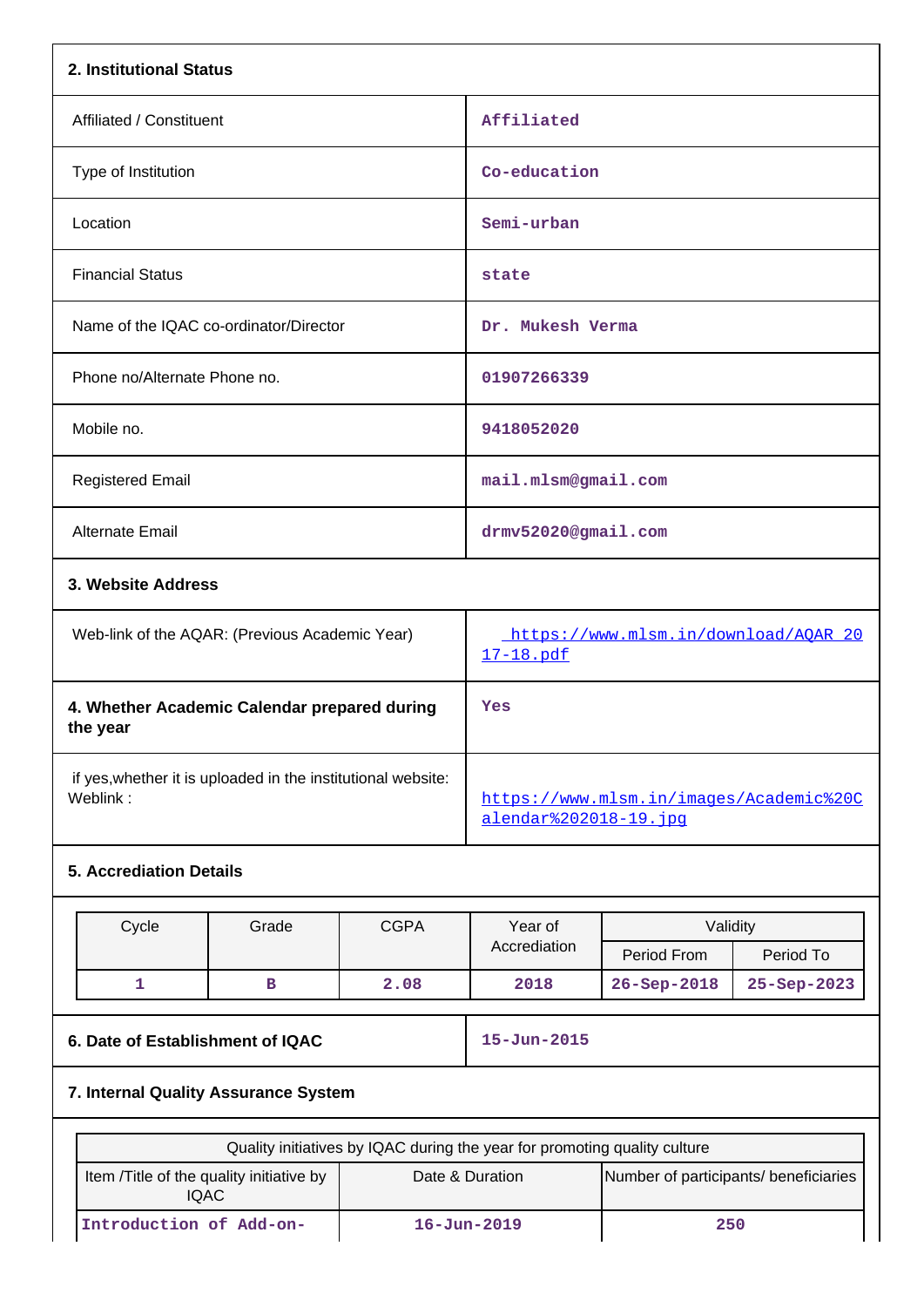|                                                                           | 2. Institutional Status                  |             |                                                                  |                                       |             |  |  |
|---------------------------------------------------------------------------|------------------------------------------|-------------|------------------------------------------------------------------|---------------------------------------|-------------|--|--|
| Affiliated / Constituent                                                  |                                          |             | Affiliated                                                       |                                       |             |  |  |
| Type of Institution                                                       |                                          |             | Co-education                                                     |                                       |             |  |  |
| Location                                                                  |                                          |             | Semi-urban                                                       |                                       |             |  |  |
| <b>Financial Status</b>                                                   |                                          |             | state                                                            |                                       |             |  |  |
|                                                                           | Name of the IQAC co-ordinator/Director   |             | Dr. Mukesh Verma                                                 |                                       |             |  |  |
| Phone no/Alternate Phone no.                                              |                                          |             | 01907266339                                                      |                                       |             |  |  |
| Mobile no.                                                                |                                          |             | 9418052020                                                       |                                       |             |  |  |
| <b>Registered Email</b>                                                   |                                          |             | mail.mlsm@gmail.com                                              |                                       |             |  |  |
| <b>Alternate Email</b>                                                    |                                          |             |                                                                  | drmv52020@gmail.com                   |             |  |  |
| 3. Website Address                                                        |                                          |             |                                                                  |                                       |             |  |  |
| Web-link of the AQAR: (Previous Academic Year)                            |                                          |             | https://www.mlsm.in/download/AQAR_20<br>17-18.pdf                |                                       |             |  |  |
| 4. Whether Academic Calendar prepared during<br>the year                  |                                          |             | Yes                                                              |                                       |             |  |  |
| if yes, whether it is uploaded in the institutional website:<br>Weblink:  |                                          |             | https://www.mlsm.in/images/Academic%20C<br>alendar%202018-19.jpg |                                       |             |  |  |
| <b>5. Accrediation Details</b>                                            |                                          |             |                                                                  |                                       |             |  |  |
|                                                                           |                                          |             |                                                                  |                                       |             |  |  |
| Cycle                                                                     | Grade                                    | <b>CGPA</b> | Year of<br>Accrediation                                          | Validity<br>Period From               | Period To   |  |  |
| $\mathbf{1}$                                                              | $\, {\bf B}$                             | 2.08        | 2018                                                             | 26-Sep-2018                           | 25-Sep-2023 |  |  |
| 6. Date of Establishment of IQAC                                          |                                          |             | $15 - Jun - 2015$                                                |                                       |             |  |  |
|                                                                           | 7. Internal Quality Assurance System     |             |                                                                  |                                       |             |  |  |
| Quality initiatives by IQAC during the year for promoting quality culture |                                          |             |                                                                  |                                       |             |  |  |
| <b>IQAC</b>                                                               | Item /Title of the quality initiative by |             | Date & Duration                                                  | Number of participants/ beneficiaries |             |  |  |

**Introduction of Add-on- 16-Jun-2019 250**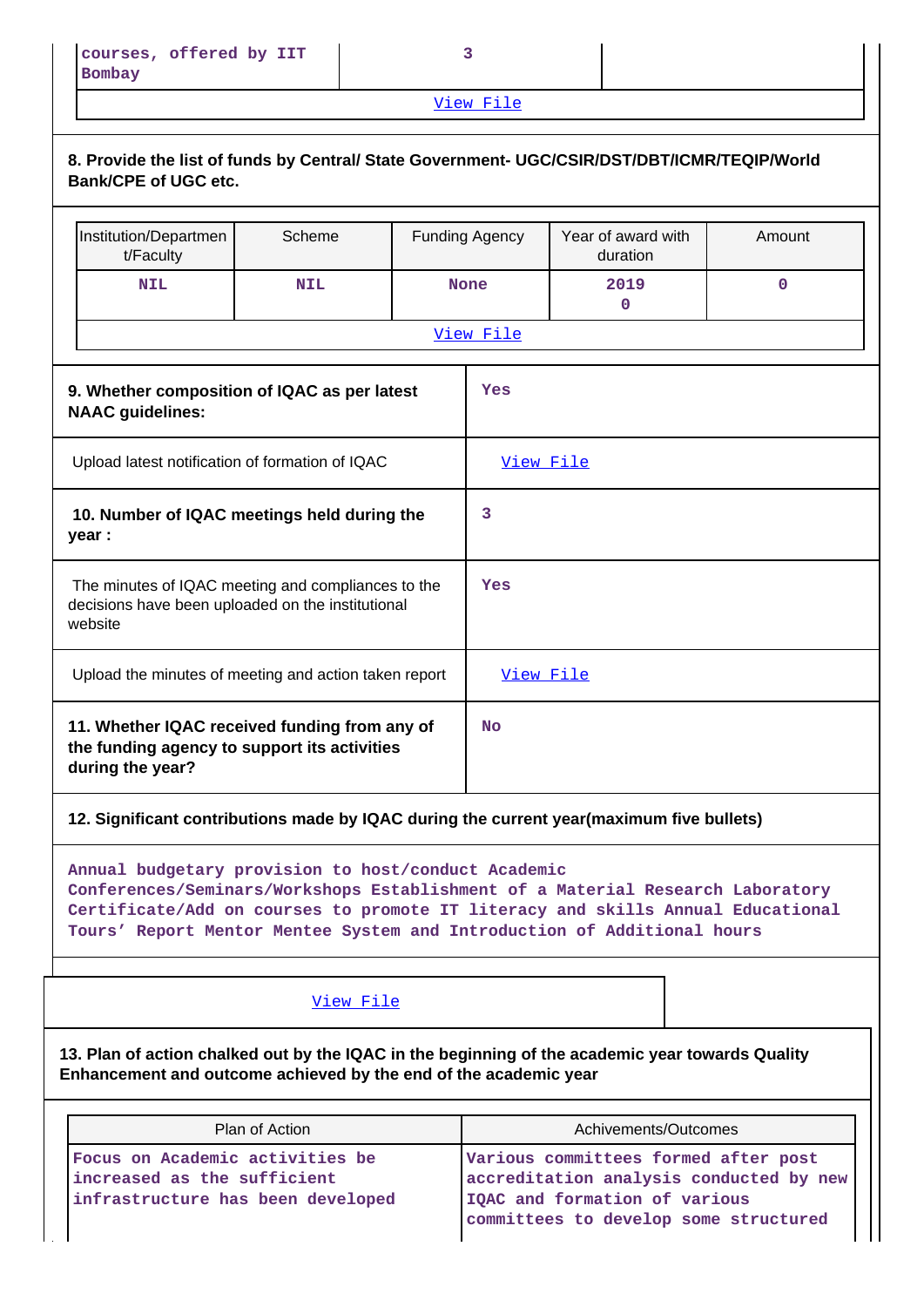[View File](https://assessmentonline.naac.gov.in/public/Postacc/Quality_Initiatives/2057_Quality_Initiatives.xlsx)

| 8. Provide the list of funds by Central/ State Government- UGC/CSIR/DST/DBT/ICMR/TEQIP/World<br><b>Bank/CPE of UGC etc.</b>                                                                                                                                                                         |                |  |                                                                                                                                                           |                                                                                          |             |  |  |  |
|-----------------------------------------------------------------------------------------------------------------------------------------------------------------------------------------------------------------------------------------------------------------------------------------------------|----------------|--|-----------------------------------------------------------------------------------------------------------------------------------------------------------|------------------------------------------------------------------------------------------|-------------|--|--|--|
| Institution/Departmen<br>t/Faculty                                                                                                                                                                                                                                                                  | Scheme         |  | <b>Funding Agency</b>                                                                                                                                     | Year of award with<br>duration                                                           | Amount      |  |  |  |
| <b>NIL</b>                                                                                                                                                                                                                                                                                          | <b>NIL</b>     |  | <b>None</b>                                                                                                                                               | 2019<br>0                                                                                | $\mathbf 0$ |  |  |  |
|                                                                                                                                                                                                                                                                                                     |                |  | View File                                                                                                                                                 |                                                                                          |             |  |  |  |
| 9. Whether composition of IQAC as per latest<br>Yes<br><b>NAAC</b> guidelines:                                                                                                                                                                                                                      |                |  |                                                                                                                                                           |                                                                                          |             |  |  |  |
| Upload latest notification of formation of IQAC                                                                                                                                                                                                                                                     |                |  | View File                                                                                                                                                 |                                                                                          |             |  |  |  |
| 10. Number of IQAC meetings held during the<br>year :                                                                                                                                                                                                                                               |                |  | 3                                                                                                                                                         |                                                                                          |             |  |  |  |
| The minutes of IQAC meeting and compliances to the<br>decisions have been uploaded on the institutional<br>website                                                                                                                                                                                  |                |  | Yes                                                                                                                                                       |                                                                                          |             |  |  |  |
| Upload the minutes of meeting and action taken report                                                                                                                                                                                                                                               |                |  | View File                                                                                                                                                 |                                                                                          |             |  |  |  |
| 11. Whether IQAC received funding from any of<br>the funding agency to support its activities<br>during the year?                                                                                                                                                                                   |                |  | No                                                                                                                                                        |                                                                                          |             |  |  |  |
|                                                                                                                                                                                                                                                                                                     |                |  |                                                                                                                                                           | 12. Significant contributions made by IQAC during the current year(maximum five bullets) |             |  |  |  |
| Annual budgetary provision to host/conduct Academic<br>Conferences/Seminars/Workshops Establishment of a Material Research Laboratory<br>Certificate/Add on courses to promote IT literacy and skills Annual Educational<br>Tours' Report Mentor Mentee System and Introduction of Additional hours |                |  |                                                                                                                                                           |                                                                                          |             |  |  |  |
|                                                                                                                                                                                                                                                                                                     | View File      |  |                                                                                                                                                           |                                                                                          |             |  |  |  |
| 13. Plan of action chalked out by the IQAC in the beginning of the academic year towards Quality<br>Enhancement and outcome achieved by the end of the academic year                                                                                                                                |                |  |                                                                                                                                                           |                                                                                          |             |  |  |  |
|                                                                                                                                                                                                                                                                                                     | Plan of Action |  |                                                                                                                                                           | Achivements/Outcomes                                                                     |             |  |  |  |
| Focus on Academic activities be<br>increased as the sufficient<br>infrastructure has been developed                                                                                                                                                                                                 |                |  | Various committees formed after post<br>accreditation analysis conducted by new<br>IQAC and formation of various<br>committees to develop some structured |                                                                                          |             |  |  |  |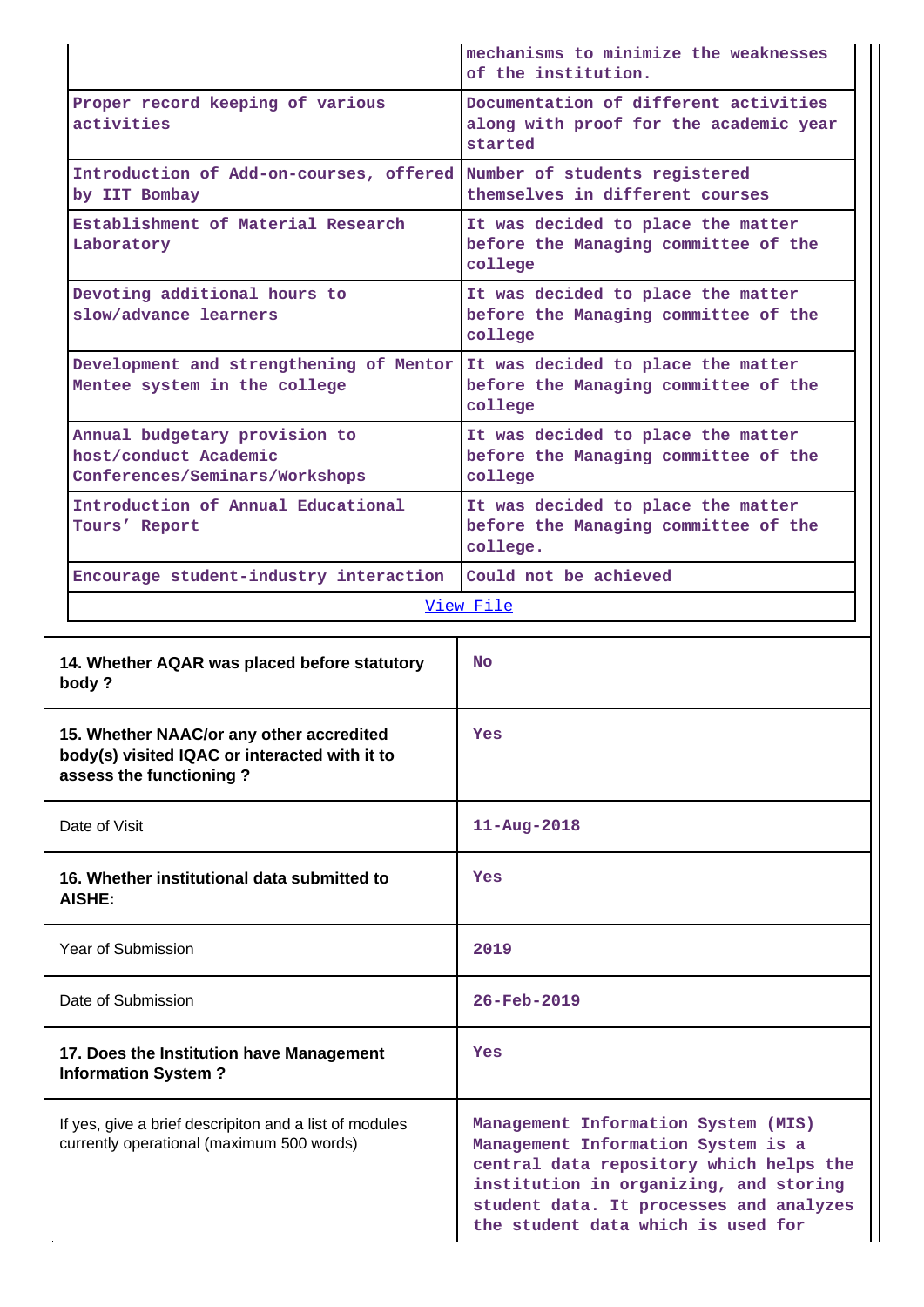|                                                                                                                      | mechanisms to minimize the weaknesses<br>of the institution.                               |
|----------------------------------------------------------------------------------------------------------------------|--------------------------------------------------------------------------------------------|
| Proper record keeping of various<br>activities                                                                       | Documentation of different activities<br>along with proof for the academic year<br>started |
| Introduction of Add-on-courses, offered<br>by IIT Bombay                                                             | Number of students registered<br>themselves in different courses                           |
| Establishment of Material Research<br>Laboratory                                                                     | It was decided to place the matter<br>before the Managing committee of the<br>college      |
| Devoting additional hours to<br>slow/advance learners                                                                | It was decided to place the matter<br>before the Managing committee of the<br>college      |
| Development and strengthening of Mentor<br>Mentee system in the college                                              | It was decided to place the matter<br>before the Managing committee of the<br>college      |
| Annual budgetary provision to<br>host/conduct Academic<br>Conferences/Seminars/Workshops                             | It was decided to place the matter<br>before the Managing committee of the<br>college      |
| Introduction of Annual Educational<br>Tours' Report                                                                  | It was decided to place the matter<br>before the Managing committee of the<br>college.     |
| Encourage student-industry interaction                                                                               | Could not be achieved                                                                      |
|                                                                                                                      | <u>View File</u>                                                                           |
| 14. Whether AQAR was placed before statutory<br>body?                                                                | <b>No</b>                                                                                  |
| 15. Whether NAAC/or any other accredited<br>body(s) visited IQAC or interacted with it to<br>assess the functioning? | Yes                                                                                        |
| Date of Visit                                                                                                        | $11 - Aug - 2018$                                                                          |
| 16. Whether institutional data submitted to<br>AISHE:                                                                | Yes                                                                                        |
| Year of Submission                                                                                                   | 2019                                                                                       |
| Date of Submission                                                                                                   | 26-Feb-2019                                                                                |
| 17. Does the Institution have Management<br><b>Information System?</b>                                               | Yes                                                                                        |
|                                                                                                                      |                                                                                            |

If yes, give a brief descripiton and a list of modules currently operational (maximum 500 words)

**Management Information System (MIS) Management Information System is a central data repository which helps the institution in organizing, and storing student data. It processes and analyzes the student data which is used for**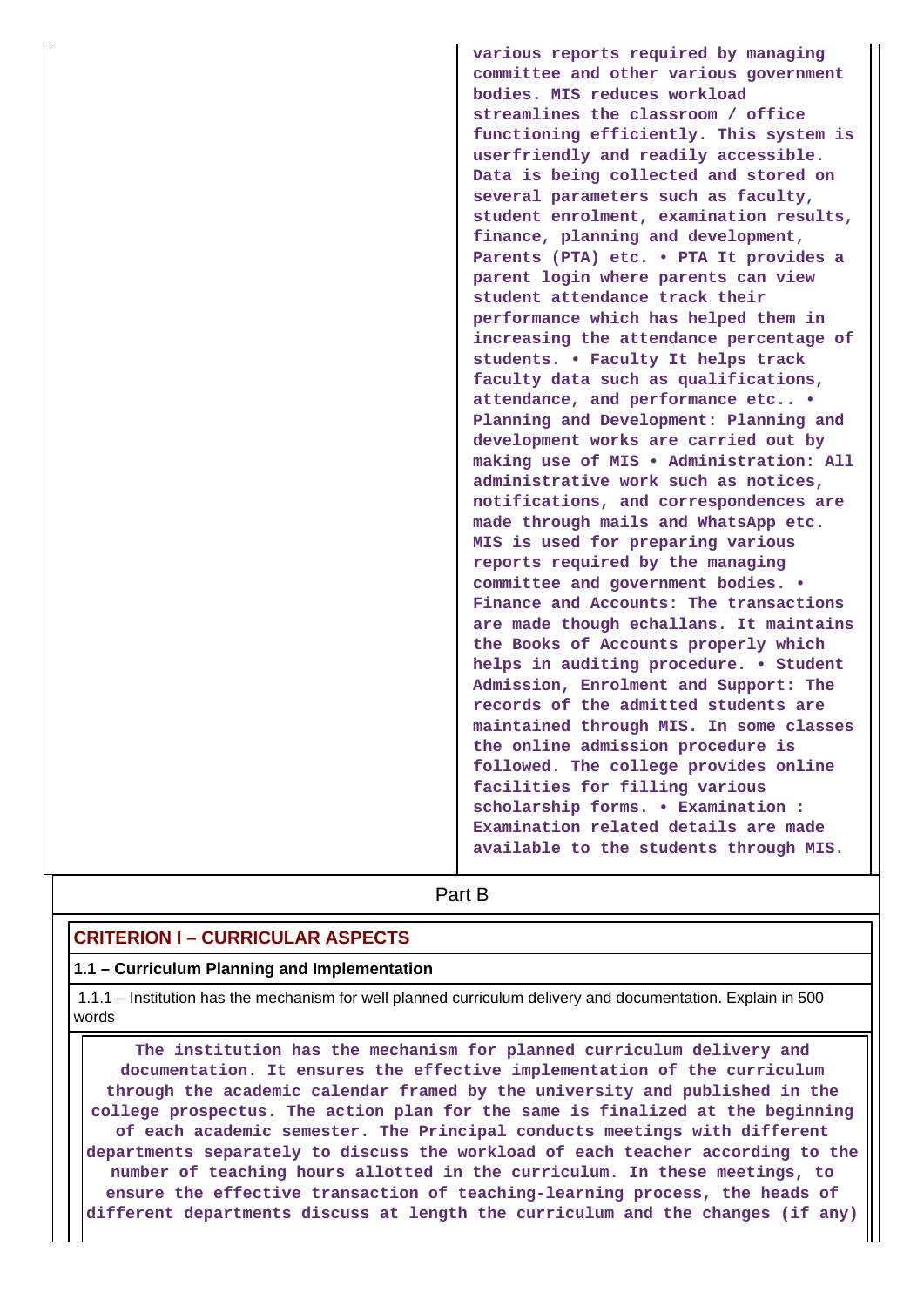**various reports required by managing committee and other various government bodies. MIS reduces workload streamlines the classroom / office functioning efficiently. This system is userfriendly and readily accessible. Data is being collected and stored on several parameters such as faculty, student enrolment, examination results, finance, planning and development, Parents (PTA) etc. • PTA It provides a parent login where parents can view student attendance track their performance which has helped them in increasing the attendance percentage of students. • Faculty It helps track faculty data such as qualifications, attendance, and performance etc.. • Planning and Development: Planning and development works are carried out by making use of MIS • Administration: All administrative work such as notices, notifications, and correspondences are made through mails and WhatsApp etc. MIS is used for preparing various reports required by the managing committee and government bodies. • Finance and Accounts: The transactions are made though echallans. It maintains the Books of Accounts properly which helps in auditing procedure. • Student Admission, Enrolment and Support: The records of the admitted students are maintained through MIS. In some classes the online admission procedure is followed. The college provides online facilities for filling various scholarship forms. • Examination : Examination related details are made available to the students through MIS.**

# **Part B**

# **CRITERION I – CURRICULAR ASPECTS**

### **1.1 – Curriculum Planning and Implementation**

 1.1.1 – Institution has the mechanism for well planned curriculum delivery and documentation. Explain in 500 words

 **The institution has the mechanism for planned curriculum delivery and documentation. It ensures the effective implementation of the curriculum through the academic calendar framed by the university and published in the college prospectus. The action plan for the same is finalized at the beginning of each academic semester. The Principal conducts meetings with different departments separately to discuss the workload of each teacher according to the number of teaching hours allotted in the curriculum. In these meetings, to ensure the effective transaction of teaching-learning process, the heads of different departments discuss at length the curriculum and the changes (if any)**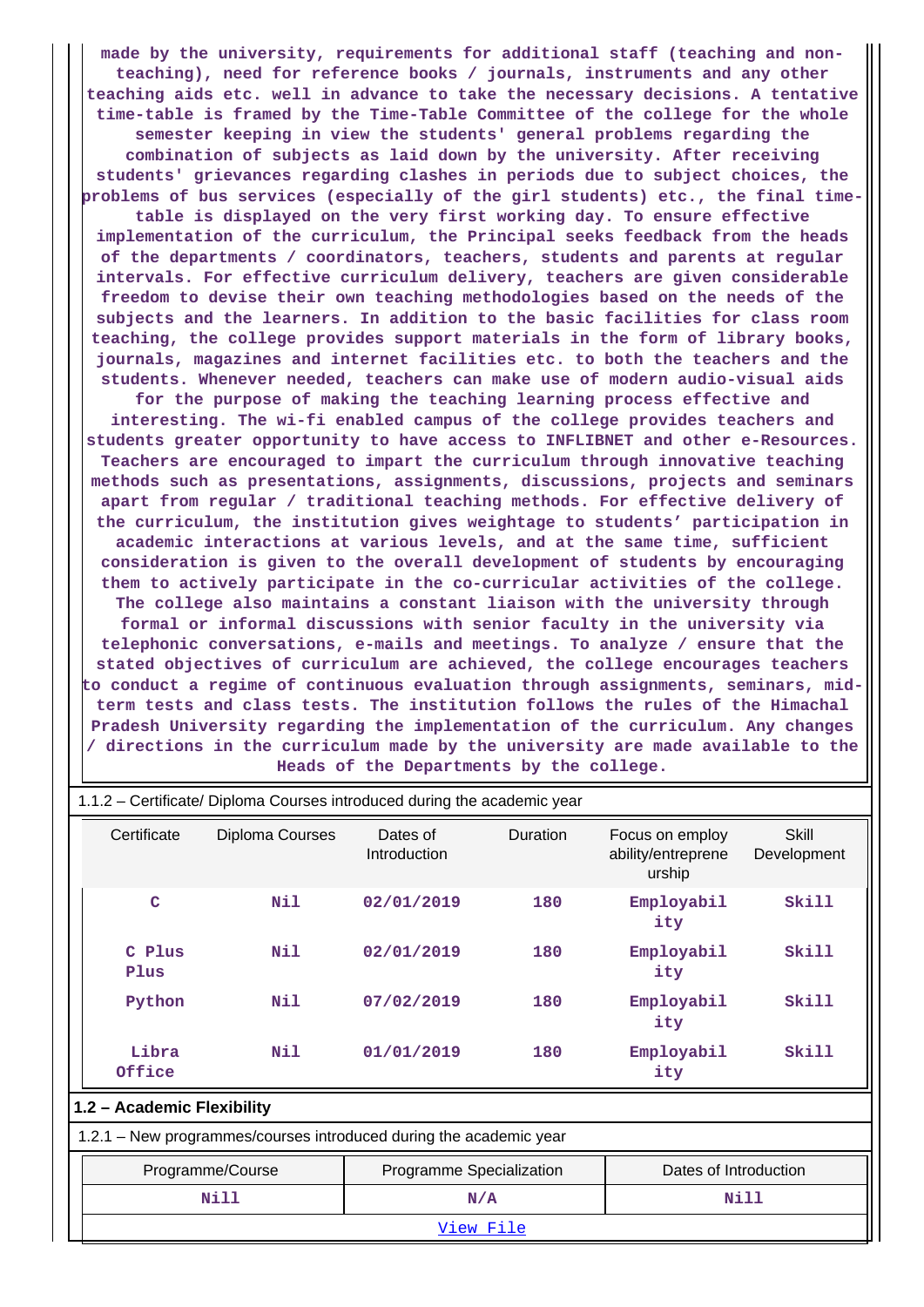**made by the university, requirements for additional staff (teaching and nonteaching), need for reference books / journals, instruments and any other teaching aids etc. well in advance to take the necessary decisions. A tentative time-table is framed by the Time-Table Committee of the college for the whole semester keeping in view the students' general problems regarding the combination of subjects as laid down by the university. After receiving students' grievances regarding clashes in periods due to subject choices, the problems of bus services (especially of the girl students) etc., the final time-**

**table is displayed on the very first working day. To ensure effective implementation of the curriculum, the Principal seeks feedback from the heads of the departments / coordinators, teachers, students and parents at regular intervals. For effective curriculum delivery, teachers are given considerable freedom to devise their own teaching methodologies based on the needs of the subjects and the learners. In addition to the basic facilities for class room teaching, the college provides support materials in the form of library books, journals, magazines and internet facilities etc. to both the teachers and the students. Whenever needed, teachers can make use of modern audio-visual aids**

**for the purpose of making the teaching learning process effective and interesting. The wi-fi enabled campus of the college provides teachers and students greater opportunity to have access to INFLIBNET and other e-Resources. Teachers are encouraged to impart the curriculum through innovative teaching methods such as presentations, assignments, discussions, projects and seminars apart from regular / traditional teaching methods. For effective delivery of the curriculum, the institution gives weightage to students' participation in academic interactions at various levels, and at the same time, sufficient consideration is given to the overall development of students by encouraging them to actively participate in the co-curricular activities of the college. The college also maintains a constant liaison with the university through formal or informal discussions with senior faculty in the university via telephonic conversations, e-mails and meetings. To analyze / ensure that the stated objectives of curriculum are achieved, the college encourages teachers to conduct a regime of continuous evaluation through assignments, seminars, midterm tests and class tests. The institution follows the rules of the Himachal Pradesh University regarding the implementation of the curriculum. Any changes / directions in the curriculum made by the university are made available to the Heads of the Departments by the college.**

| 1.1.2 – Certificate/ Diploma Courses introduced during the academic year |                                                                    |                          |          |                                                 |                      |  |  |  |  |
|--------------------------------------------------------------------------|--------------------------------------------------------------------|--------------------------|----------|-------------------------------------------------|----------------------|--|--|--|--|
| Certificate                                                              | Diploma Courses                                                    | Dates of<br>Introduction | Duration | Focus on employ<br>ability/entreprene<br>urship | Skill<br>Development |  |  |  |  |
| $\mathbf C$                                                              | Nil                                                                | 02/01/2019               | 180      | Employabil<br>ity                               | Skill                |  |  |  |  |
| C Plus<br>Plus                                                           | Nil                                                                | 02/01/2019               | 180      | Employabil<br>ity                               | <b>Skill</b>         |  |  |  |  |
| Python                                                                   | Nil                                                                | 07/02/2019               | 180      | Employabil<br>ity                               | Skill                |  |  |  |  |
| Libra<br>Office                                                          | Nil                                                                | 01/01/2019               | 180      | Employabil<br>ity                               | <b>Skill</b>         |  |  |  |  |
| 1.2 - Academic Flexibility                                               |                                                                    |                          |          |                                                 |                      |  |  |  |  |
|                                                                          | 1.2.1 - New programmes/courses introduced during the academic year |                          |          |                                                 |                      |  |  |  |  |
|                                                                          | Programme/Course                                                   | Programme Specialization |          | Dates of Introduction                           |                      |  |  |  |  |
|                                                                          | Nill                                                               |                          | N/A      |                                                 | Nill                 |  |  |  |  |
|                                                                          | <u>View File</u>                                                   |                          |          |                                                 |                      |  |  |  |  |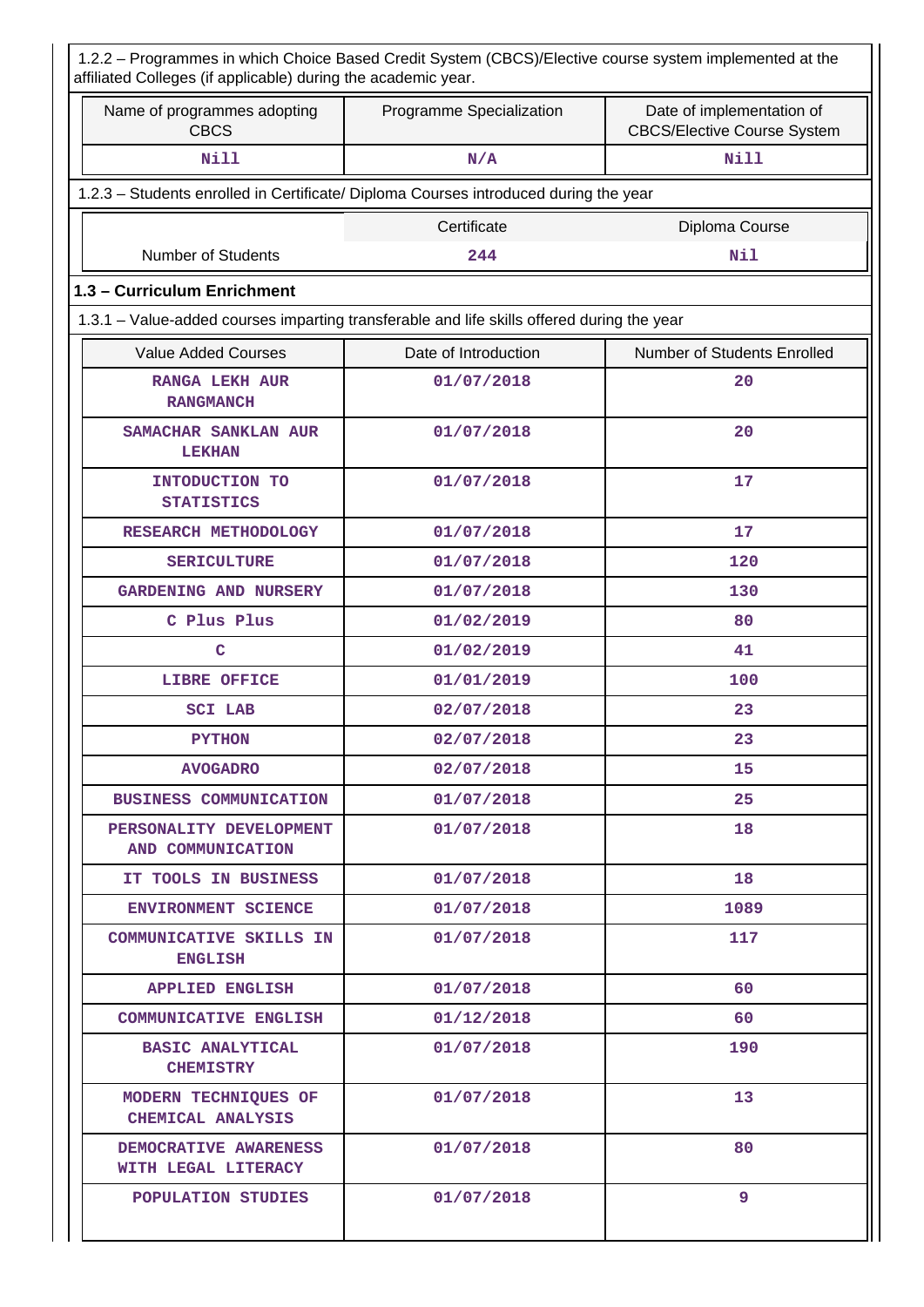| 1.2.2 - Programmes in which Choice Based Credit System (CBCS)/Elective course system implemented at the<br>affiliated Colleges (if applicable) during the academic year. |                          |                                                                 |  |  |  |  |
|--------------------------------------------------------------------------------------------------------------------------------------------------------------------------|--------------------------|-----------------------------------------------------------------|--|--|--|--|
| Name of programmes adopting<br><b>CBCS</b>                                                                                                                               | Programme Specialization | Date of implementation of<br><b>CBCS/Elective Course System</b> |  |  |  |  |
| <b>Nill</b>                                                                                                                                                              | N/A                      | <b>Nill</b>                                                     |  |  |  |  |
| 1.2.3 - Students enrolled in Certificate/ Diploma Courses introduced during the year                                                                                     |                          |                                                                 |  |  |  |  |
|                                                                                                                                                                          | Certificate              | Diploma Course                                                  |  |  |  |  |
| Number of Students                                                                                                                                                       | 244                      | Nil                                                             |  |  |  |  |
| 1.3 - Curriculum Enrichment                                                                                                                                              |                          |                                                                 |  |  |  |  |
| 1.3.1 - Value-added courses imparting transferable and life skills offered during the year                                                                               |                          |                                                                 |  |  |  |  |
| <b>Value Added Courses</b>                                                                                                                                               | Date of Introduction     | Number of Students Enrolled                                     |  |  |  |  |
| <b>RANGA LEKH AUR</b><br><b>RANGMANCH</b>                                                                                                                                | 01/07/2018               | 20                                                              |  |  |  |  |
| SAMACHAR SANKLAN AUR<br><b>LEKHAN</b>                                                                                                                                    | 01/07/2018               | 20                                                              |  |  |  |  |
| INTODUCTION TO<br><b>STATISTICS</b>                                                                                                                                      | 01/07/2018               | 17                                                              |  |  |  |  |
| RESEARCH METHODOLOGY                                                                                                                                                     | 01/07/2018               | 17                                                              |  |  |  |  |
| <b>SERICULTURE</b>                                                                                                                                                       | 01/07/2018               | 120                                                             |  |  |  |  |
| <b>GARDENING AND NURSERY</b>                                                                                                                                             | 01/07/2018               | 130                                                             |  |  |  |  |
| C Plus Plus                                                                                                                                                              | 01/02/2019               | 80                                                              |  |  |  |  |
| c                                                                                                                                                                        | 01/02/2019               | 41                                                              |  |  |  |  |
| LIBRE OFFICE                                                                                                                                                             | 01/01/2019               | 100                                                             |  |  |  |  |
| <b>SCI LAB</b>                                                                                                                                                           | 02/07/2018               | 23                                                              |  |  |  |  |
| <b>PYTHON</b>                                                                                                                                                            | 02/07/2018               | 23                                                              |  |  |  |  |
| <b>AVOGADRO</b>                                                                                                                                                          | 02/07/2018               | 15                                                              |  |  |  |  |
| <b>BUSINESS COMMUNICATION</b>                                                                                                                                            | 01/07/2018               | 25                                                              |  |  |  |  |
| PERSONALITY DEVELOPMENT<br>AND COMMUNICATION                                                                                                                             | 01/07/2018               | 18                                                              |  |  |  |  |
| IT TOOLS IN BUSINESS                                                                                                                                                     | 01/07/2018               | 18                                                              |  |  |  |  |
| <b>ENVIRONMENT SCIENCE</b>                                                                                                                                               | 01/07/2018               | 1089                                                            |  |  |  |  |
| <b>COMMUNICATIVE SKILLS IN</b><br><b>ENGLISH</b>                                                                                                                         | 01/07/2018               | 117                                                             |  |  |  |  |
| <b>APPLIED ENGLISH</b>                                                                                                                                                   | 01/07/2018               | 60                                                              |  |  |  |  |
| COMMUNICATIVE ENGLISH                                                                                                                                                    | 01/12/2018               | 60                                                              |  |  |  |  |
| <b>BASIC ANALYTICAL</b><br><b>CHEMISTRY</b>                                                                                                                              | 01/07/2018               | 190                                                             |  |  |  |  |
| MODERN TECHNIQUES OF<br>CHEMICAL ANALYSIS                                                                                                                                | 01/07/2018               | 13                                                              |  |  |  |  |
| DEMOCRATIVE AWARENESS<br>WITH LEGAL LITERACY                                                                                                                             | 01/07/2018               | 80                                                              |  |  |  |  |
| POPULATION STUDIES                                                                                                                                                       | 01/07/2018               | 9                                                               |  |  |  |  |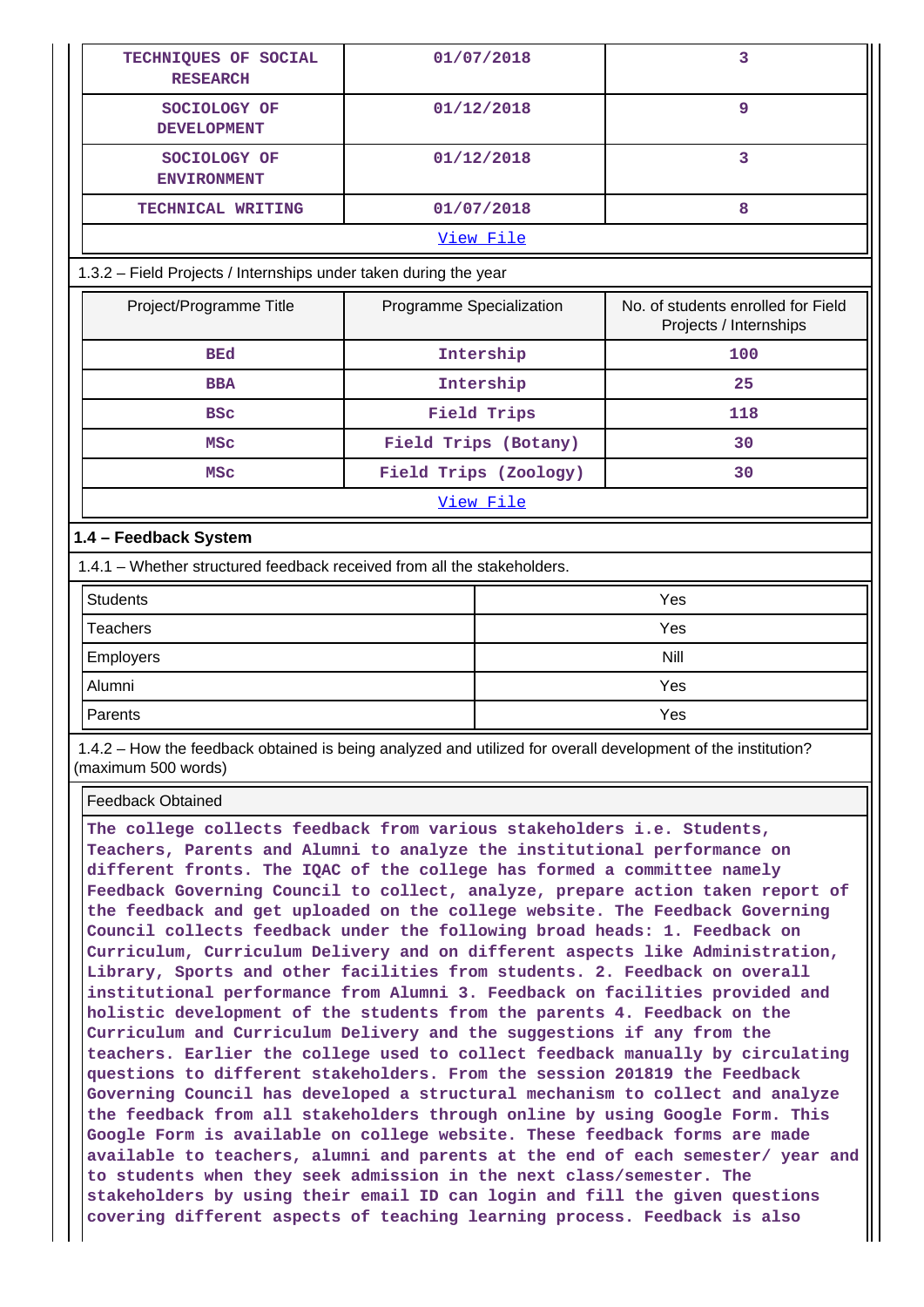| TECHNIQUES OF SOCIAL<br><b>RESEARCH</b>                                 |                          | 01/07/2018            | $\overline{3}$                                               |  |  |  |  |
|-------------------------------------------------------------------------|--------------------------|-----------------------|--------------------------------------------------------------|--|--|--|--|
| SOCIOLOGY OF<br><b>DEVELOPMENT</b>                                      |                          | 01/12/2018            | $\overline{9}$                                               |  |  |  |  |
| SOCIOLOGY OF<br><b>ENVIRONMENT</b>                                      |                          | 01/12/2018            | 3                                                            |  |  |  |  |
| TECHNICAL WRITING                                                       |                          | 01/07/2018            | 8                                                            |  |  |  |  |
|                                                                         |                          | View File             |                                                              |  |  |  |  |
| 1.3.2 - Field Projects / Internships under taken during the year        |                          |                       |                                                              |  |  |  |  |
| Project/Programme Title                                                 | Programme Specialization |                       | No. of students enrolled for Field<br>Projects / Internships |  |  |  |  |
| <b>BEd</b>                                                              | Intership                |                       | 100                                                          |  |  |  |  |
| <b>BBA</b>                                                              |                          | Intership             | 25                                                           |  |  |  |  |
| <b>BSC</b>                                                              |                          | Field Trips           | 118                                                          |  |  |  |  |
| <b>MSC</b>                                                              |                          | Field Trips (Botany)  | 30                                                           |  |  |  |  |
| <b>MSC</b>                                                              |                          | Field Trips (Zoology) | 30                                                           |  |  |  |  |
|                                                                         |                          | View File             |                                                              |  |  |  |  |
| 1.4 - Feedback System                                                   |                          |                       |                                                              |  |  |  |  |
| 1.4.1 – Whether structured feedback received from all the stakeholders. |                          |                       |                                                              |  |  |  |  |
| <b>Students</b>                                                         |                          |                       | Yes                                                          |  |  |  |  |
| <b>Teachers</b>                                                         |                          |                       | Yes                                                          |  |  |  |  |
| Employers                                                               |                          | <b>Nill</b>           |                                                              |  |  |  |  |
| Alumni                                                                  |                          | Yes                   |                                                              |  |  |  |  |
| Parents                                                                 |                          |                       | Yes                                                          |  |  |  |  |

 1.4.2 – How the feedback obtained is being analyzed and utilized for overall development of the institution? (maximum 500 words)

Feedback Obtained

**The college collects feedback from various stakeholders i.e. Students, Teachers, Parents and Alumni to analyze the institutional performance on different fronts. The IQAC of the college has formed a committee namely Feedback Governing Council to collect, analyze, prepare action taken report of the feedback and get uploaded on the college website. The Feedback Governing Council collects feedback under the following broad heads: 1. Feedback on Curriculum, Curriculum Delivery and on different aspects like Administration, Library, Sports and other facilities from students. 2. Feedback on overall institutional performance from Alumni 3. Feedback on facilities provided and holistic development of the students from the parents 4. Feedback on the Curriculum and Curriculum Delivery and the suggestions if any from the teachers. Earlier the college used to collect feedback manually by circulating questions to different stakeholders. From the session 201819 the Feedback Governing Council has developed a structural mechanism to collect and analyze the feedback from all stakeholders through online by using Google Form. This Google Form is available on college website. These feedback forms are made available to teachers, alumni and parents at the end of each semester/ year and to students when they seek admission in the next class/semester. The stakeholders by using their email ID can login and fill the given questions covering different aspects of teaching learning process. Feedback is also**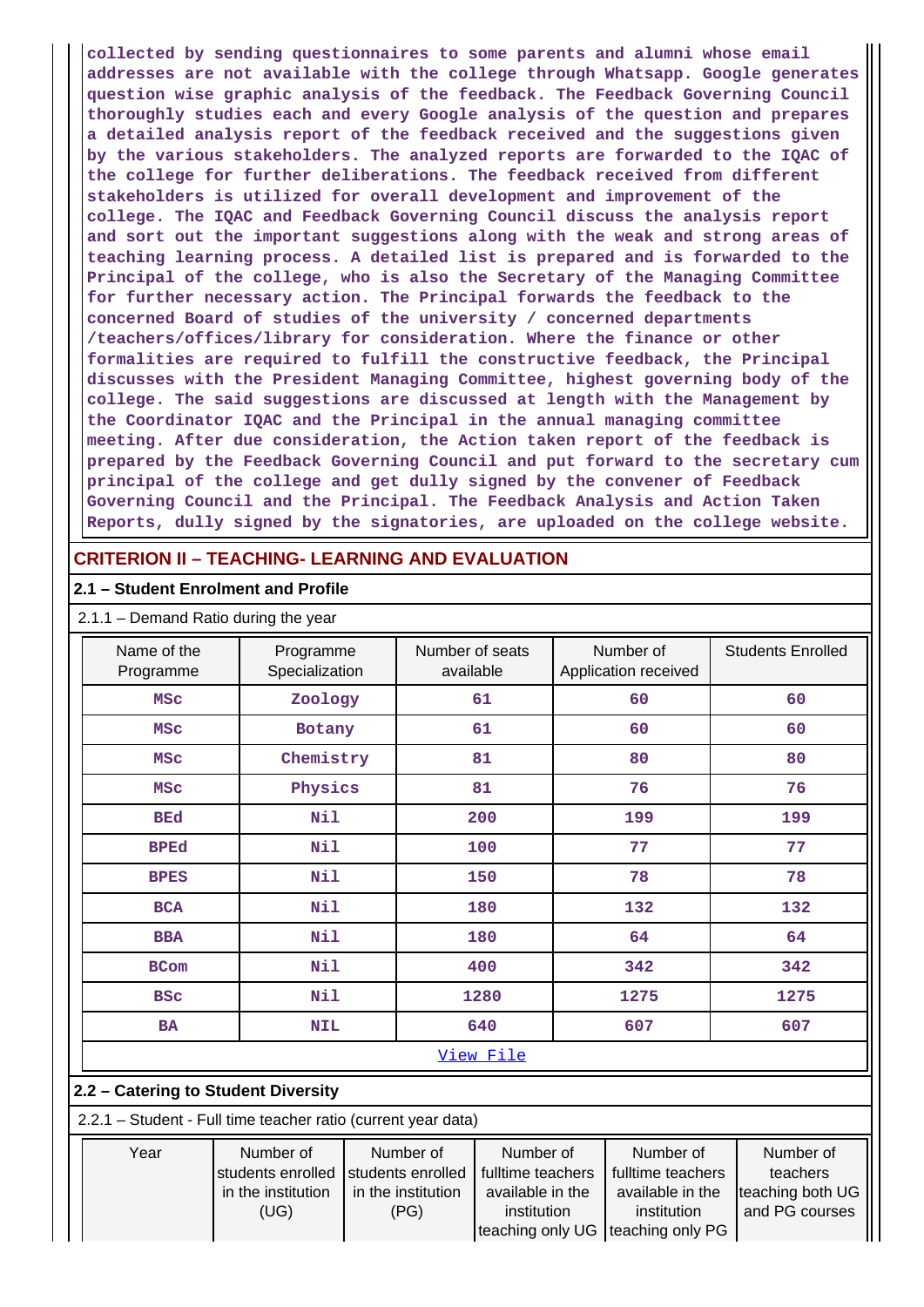**collected by sending questionnaires to some parents and alumni whose email addresses are not available with the college through Whatsapp. Google generates question wise graphic analysis of the feedback. The Feedback Governing Council thoroughly studies each and every Google analysis of the question and prepares a detailed analysis report of the feedback received and the suggestions given by the various stakeholders. The analyzed reports are forwarded to the IQAC of the college for further deliberations. The feedback received from different stakeholders is utilized for overall development and improvement of the college. The IQAC and Feedback Governing Council discuss the analysis report and sort out the important suggestions along with the weak and strong areas of teaching learning process. A detailed list is prepared and is forwarded to the Principal of the college, who is also the Secretary of the Managing Committee for further necessary action. The Principal forwards the feedback to the concerned Board of studies of the university / concerned departments /teachers/offices/library for consideration. Where the finance or other formalities are required to fulfill the constructive feedback, the Principal discusses with the President Managing Committee, highest governing body of the college. The said suggestions are discussed at length with the Management by the Coordinator IQAC and the Principal in the annual managing committee meeting. After due consideration, the Action taken report of the feedback is prepared by the Feedback Governing Council and put forward to the secretary cum principal of the college and get dully signed by the convener of Feedback Governing Council and the Principal. The Feedback Analysis and Action Taken Reports, dully signed by the signatories, are uploaded on the college website.**

# **CRITERION II – TEACHING- LEARNING AND EVALUATION**

## **2.1 – Student Enrolment and Profile**

2.1.1 – Demand Ratio during the year

| Name of the<br>Programme                                      | Programme<br>Specialization                                  |  | Number of seats<br>available                                 |                                                                   |      | Number of<br>Application received                                 | <b>Students Enrolled</b>                                    |
|---------------------------------------------------------------|--------------------------------------------------------------|--|--------------------------------------------------------------|-------------------------------------------------------------------|------|-------------------------------------------------------------------|-------------------------------------------------------------|
| <b>MSC</b>                                                    | Zoology                                                      |  |                                                              | 61                                                                |      | 60                                                                | 60                                                          |
| <b>MSC</b>                                                    | Botany                                                       |  |                                                              | 61                                                                |      | 60                                                                | 60                                                          |
| <b>MSC</b>                                                    | Chemistry                                                    |  |                                                              | 81                                                                |      | 80                                                                | 80                                                          |
| <b>MSC</b>                                                    | Physics                                                      |  |                                                              | 81                                                                |      | 76                                                                | 76                                                          |
| <b>BEd</b>                                                    | Nil                                                          |  |                                                              | 200                                                               |      | 199                                                               | 199                                                         |
| <b>BPEd</b>                                                   | Nil                                                          |  |                                                              | 100                                                               |      | 77                                                                | 77                                                          |
| <b>BPES</b>                                                   | Nil<br>150                                                   |  |                                                              | 78                                                                |      | 78                                                                |                                                             |
| <b>BCA</b>                                                    | Nil                                                          |  | 180                                                          |                                                                   | 132  | 132                                                               |                                                             |
| <b>BBA</b>                                                    | Nil                                                          |  |                                                              | 180                                                               | 64   |                                                                   | 64                                                          |
| <b>BCom</b>                                                   | Nil                                                          |  |                                                              | 400                                                               |      | 342                                                               | 342                                                         |
| <b>BSC</b>                                                    | Nil                                                          |  |                                                              | 1280                                                              | 1275 |                                                                   | 1275                                                        |
| <b>BA</b>                                                     | <b>NIL</b>                                                   |  |                                                              | 640                                                               | 607  |                                                                   | 607                                                         |
|                                                               |                                                              |  |                                                              | View File                                                         |      |                                                                   |                                                             |
| 2.2 - Catering to Student Diversity                           |                                                              |  |                                                              |                                                                   |      |                                                                   |                                                             |
| 2.2.1 - Student - Full time teacher ratio (current year data) |                                                              |  |                                                              |                                                                   |      |                                                                   |                                                             |
| Year                                                          | Number of<br>students enrolled<br>in the institution<br>(UG) |  | Number of<br>students enrolled<br>in the institution<br>(PG) | Number of<br>fulltime teachers<br>available in the<br>institution |      | Number of<br>fulltime teachers<br>available in the<br>institution | Number of<br>teachers<br>teaching both UG<br>and PG courses |

teaching only UG | teaching only PG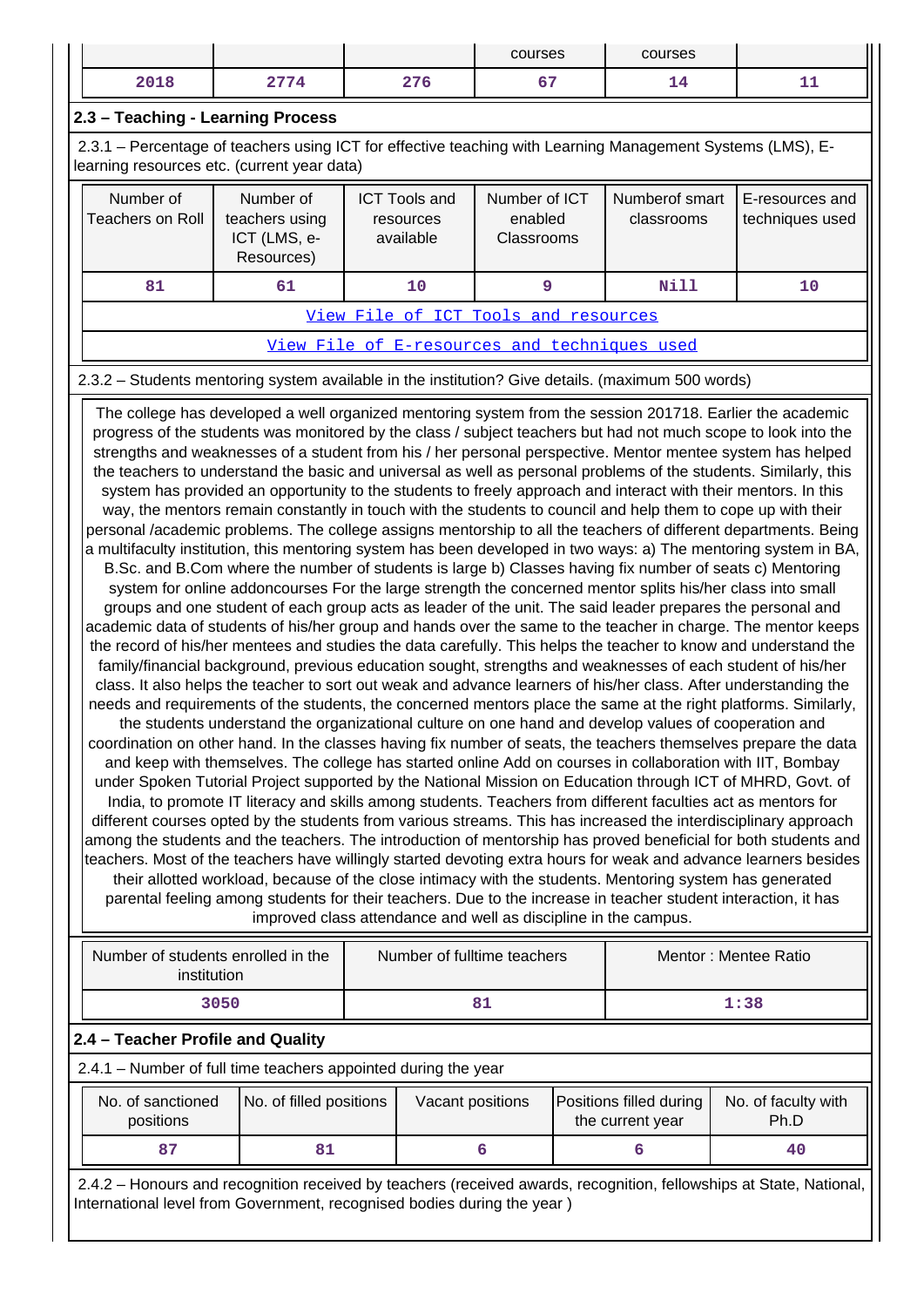|                                                                                                                                                                                                                                                                                                                                                                                                                                                                                                                                                                                                                                                                                                                                                                                                                                                                                                                                                                                                                                                                                                                                                                                                                                                                                                                                                                                                                                                                                                                                                                                                                                                                                                                                                                                                                                                                                                                                                                                                                                                                                                                                                                                                                                                                                                                                                                                                                                                                                                                                                                                                                                                                                                                                                                                                                                                                                                                                                                                                                                                                                                                                                                                                         |                                                                                                                                                           |                                                           |  |                                                | courses                                |  | courses                                      |                                    |
|---------------------------------------------------------------------------------------------------------------------------------------------------------------------------------------------------------------------------------------------------------------------------------------------------------------------------------------------------------------------------------------------------------------------------------------------------------------------------------------------------------------------------------------------------------------------------------------------------------------------------------------------------------------------------------------------------------------------------------------------------------------------------------------------------------------------------------------------------------------------------------------------------------------------------------------------------------------------------------------------------------------------------------------------------------------------------------------------------------------------------------------------------------------------------------------------------------------------------------------------------------------------------------------------------------------------------------------------------------------------------------------------------------------------------------------------------------------------------------------------------------------------------------------------------------------------------------------------------------------------------------------------------------------------------------------------------------------------------------------------------------------------------------------------------------------------------------------------------------------------------------------------------------------------------------------------------------------------------------------------------------------------------------------------------------------------------------------------------------------------------------------------------------------------------------------------------------------------------------------------------------------------------------------------------------------------------------------------------------------------------------------------------------------------------------------------------------------------------------------------------------------------------------------------------------------------------------------------------------------------------------------------------------------------------------------------------------------------------------------------------------------------------------------------------------------------------------------------------------------------------------------------------------------------------------------------------------------------------------------------------------------------------------------------------------------------------------------------------------------------------------------------------------------------------------------------------------|-----------------------------------------------------------------------------------------------------------------------------------------------------------|-----------------------------------------------------------|--|------------------------------------------------|----------------------------------------|--|----------------------------------------------|------------------------------------|
|                                                                                                                                                                                                                                                                                                                                                                                                                                                                                                                                                                                                                                                                                                                                                                                                                                                                                                                                                                                                                                                                                                                                                                                                                                                                                                                                                                                                                                                                                                                                                                                                                                                                                                                                                                                                                                                                                                                                                                                                                                                                                                                                                                                                                                                                                                                                                                                                                                                                                                                                                                                                                                                                                                                                                                                                                                                                                                                                                                                                                                                                                                                                                                                                         | 2018                                                                                                                                                      | 2774                                                      |  | 276                                            | 67                                     |  | 14                                           | 11                                 |
|                                                                                                                                                                                                                                                                                                                                                                                                                                                                                                                                                                                                                                                                                                                                                                                                                                                                                                                                                                                                                                                                                                                                                                                                                                                                                                                                                                                                                                                                                                                                                                                                                                                                                                                                                                                                                                                                                                                                                                                                                                                                                                                                                                                                                                                                                                                                                                                                                                                                                                                                                                                                                                                                                                                                                                                                                                                                                                                                                                                                                                                                                                                                                                                                         | 2.3 - Teaching - Learning Process                                                                                                                         |                                                           |  |                                                |                                        |  |                                              |                                    |
|                                                                                                                                                                                                                                                                                                                                                                                                                                                                                                                                                                                                                                                                                                                                                                                                                                                                                                                                                                                                                                                                                                                                                                                                                                                                                                                                                                                                                                                                                                                                                                                                                                                                                                                                                                                                                                                                                                                                                                                                                                                                                                                                                                                                                                                                                                                                                                                                                                                                                                                                                                                                                                                                                                                                                                                                                                                                                                                                                                                                                                                                                                                                                                                                         | 2.3.1 – Percentage of teachers using ICT for effective teaching with Learning Management Systems (LMS), E-<br>learning resources etc. (current year data) |                                                           |  |                                                |                                        |  |                                              |                                    |
|                                                                                                                                                                                                                                                                                                                                                                                                                                                                                                                                                                                                                                                                                                                                                                                                                                                                                                                                                                                                                                                                                                                                                                                                                                                                                                                                                                                                                                                                                                                                                                                                                                                                                                                                                                                                                                                                                                                                                                                                                                                                                                                                                                                                                                                                                                                                                                                                                                                                                                                                                                                                                                                                                                                                                                                                                                                                                                                                                                                                                                                                                                                                                                                                         | Number of<br><b>Teachers on Roll</b>                                                                                                                      | Number of<br>teachers using<br>ICT (LMS, e-<br>Resources) |  | <b>ICT Tools and</b><br>resources<br>available | Number of ICT<br>enabled<br>Classrooms |  | Numberof smart<br>classrooms                 | E-resources and<br>techniques used |
|                                                                                                                                                                                                                                                                                                                                                                                                                                                                                                                                                                                                                                                                                                                                                                                                                                                                                                                                                                                                                                                                                                                                                                                                                                                                                                                                                                                                                                                                                                                                                                                                                                                                                                                                                                                                                                                                                                                                                                                                                                                                                                                                                                                                                                                                                                                                                                                                                                                                                                                                                                                                                                                                                                                                                                                                                                                                                                                                                                                                                                                                                                                                                                                                         | 81                                                                                                                                                        | 61                                                        |  | 10                                             | 9                                      |  | Nill                                         | 10                                 |
|                                                                                                                                                                                                                                                                                                                                                                                                                                                                                                                                                                                                                                                                                                                                                                                                                                                                                                                                                                                                                                                                                                                                                                                                                                                                                                                                                                                                                                                                                                                                                                                                                                                                                                                                                                                                                                                                                                                                                                                                                                                                                                                                                                                                                                                                                                                                                                                                                                                                                                                                                                                                                                                                                                                                                                                                                                                                                                                                                                                                                                                                                                                                                                                                         |                                                                                                                                                           |                                                           |  | View File of ICT Tools and resources           |                                        |  |                                              |                                    |
|                                                                                                                                                                                                                                                                                                                                                                                                                                                                                                                                                                                                                                                                                                                                                                                                                                                                                                                                                                                                                                                                                                                                                                                                                                                                                                                                                                                                                                                                                                                                                                                                                                                                                                                                                                                                                                                                                                                                                                                                                                                                                                                                                                                                                                                                                                                                                                                                                                                                                                                                                                                                                                                                                                                                                                                                                                                                                                                                                                                                                                                                                                                                                                                                         |                                                                                                                                                           |                                                           |  |                                                |                                        |  | View File of E-resources and techniques used |                                    |
|                                                                                                                                                                                                                                                                                                                                                                                                                                                                                                                                                                                                                                                                                                                                                                                                                                                                                                                                                                                                                                                                                                                                                                                                                                                                                                                                                                                                                                                                                                                                                                                                                                                                                                                                                                                                                                                                                                                                                                                                                                                                                                                                                                                                                                                                                                                                                                                                                                                                                                                                                                                                                                                                                                                                                                                                                                                                                                                                                                                                                                                                                                                                                                                                         | 2.3.2 - Students mentoring system available in the institution? Give details. (maximum 500 words)                                                         |                                                           |  |                                                |                                        |  |                                              |                                    |
| The college has developed a well organized mentoring system from the session 201718. Earlier the academic<br>progress of the students was monitored by the class / subject teachers but had not much scope to look into the<br>strengths and weaknesses of a student from his / her personal perspective. Mentor mentee system has helped<br>the teachers to understand the basic and universal as well as personal problems of the students. Similarly, this<br>system has provided an opportunity to the students to freely approach and interact with their mentors. In this<br>way, the mentors remain constantly in touch with the students to council and help them to cope up with their<br>personal /academic problems. The college assigns mentorship to all the teachers of different departments. Being<br>a multifaculty institution, this mentoring system has been developed in two ways: a) The mentoring system in BA,<br>B.Sc. and B.Com where the number of students is large b) Classes having fix number of seats c) Mentoring<br>system for online addoncourses For the large strength the concerned mentor splits his/her class into small<br>groups and one student of each group acts as leader of the unit. The said leader prepares the personal and<br>academic data of students of his/her group and hands over the same to the teacher in charge. The mentor keeps<br>the record of his/her mentees and studies the data carefully. This helps the teacher to know and understand the<br>family/financial background, previous education sought, strengths and weaknesses of each student of his/her<br>class. It also helps the teacher to sort out weak and advance learners of his/her class. After understanding the<br>needs and requirements of the students, the concerned mentors place the same at the right platforms. Similarly,<br>the students understand the organizational culture on one hand and develop values of cooperation and<br>coordination on other hand. In the classes having fix number of seats, the teachers themselves prepare the data<br>and keep with themselves. The college has started online Add on courses in collaboration with IIT, Bombay<br>under Spoken Tutorial Project supported by the National Mission on Education through ICT of MHRD, Govt. of<br>India, to promote IT literacy and skills among students. Teachers from different faculties act as mentors for<br>different courses opted by the students from various streams. This has increased the interdisciplinary approach<br>among the students and the teachers. The introduction of mentorship has proved beneficial for both students and<br>teachers. Most of the teachers have willingly started devoting extra hours for weak and advance learners besides<br>their allotted workload, because of the close intimacy with the students. Mentoring system has generated<br>parental feeling among students for their teachers. Due to the increase in teacher student interaction, it has<br>improved class attendance and well as discipline in the campus.<br>Number of students enrolled in the<br>Number of fulltime teachers<br>Mentor: Mentee Ratio |                                                                                                                                                           |                                                           |  |                                                |                                        |  |                                              |                                    |
|                                                                                                                                                                                                                                                                                                                                                                                                                                                                                                                                                                                                                                                                                                                                                                                                                                                                                                                                                                                                                                                                                                                                                                                                                                                                                                                                                                                                                                                                                                                                                                                                                                                                                                                                                                                                                                                                                                                                                                                                                                                                                                                                                                                                                                                                                                                                                                                                                                                                                                                                                                                                                                                                                                                                                                                                                                                                                                                                                                                                                                                                                                                                                                                                         | institution                                                                                                                                               |                                                           |  |                                                |                                        |  |                                              |                                    |
|                                                                                                                                                                                                                                                                                                                                                                                                                                                                                                                                                                                                                                                                                                                                                                                                                                                                                                                                                                                                                                                                                                                                                                                                                                                                                                                                                                                                                                                                                                                                                                                                                                                                                                                                                                                                                                                                                                                                                                                                                                                                                                                                                                                                                                                                                                                                                                                                                                                                                                                                                                                                                                                                                                                                                                                                                                                                                                                                                                                                                                                                                                                                                                                                         |                                                                                                                                                           | 3050                                                      |  |                                                | 81                                     |  |                                              | 1:38                               |
|                                                                                                                                                                                                                                                                                                                                                                                                                                                                                                                                                                                                                                                                                                                                                                                                                                                                                                                                                                                                                                                                                                                                                                                                                                                                                                                                                                                                                                                                                                                                                                                                                                                                                                                                                                                                                                                                                                                                                                                                                                                                                                                                                                                                                                                                                                                                                                                                                                                                                                                                                                                                                                                                                                                                                                                                                                                                                                                                                                                                                                                                                                                                                                                                         | 2.4 - Teacher Profile and Quality<br>2.4.1 - Number of full time teachers appointed during the year                                                       |                                                           |  |                                                |                                        |  |                                              |                                    |
|                                                                                                                                                                                                                                                                                                                                                                                                                                                                                                                                                                                                                                                                                                                                                                                                                                                                                                                                                                                                                                                                                                                                                                                                                                                                                                                                                                                                                                                                                                                                                                                                                                                                                                                                                                                                                                                                                                                                                                                                                                                                                                                                                                                                                                                                                                                                                                                                                                                                                                                                                                                                                                                                                                                                                                                                                                                                                                                                                                                                                                                                                                                                                                                                         |                                                                                                                                                           |                                                           |  |                                                |                                        |  |                                              |                                    |
|                                                                                                                                                                                                                                                                                                                                                                                                                                                                                                                                                                                                                                                                                                                                                                                                                                                                                                                                                                                                                                                                                                                                                                                                                                                                                                                                                                                                                                                                                                                                                                                                                                                                                                                                                                                                                                                                                                                                                                                                                                                                                                                                                                                                                                                                                                                                                                                                                                                                                                                                                                                                                                                                                                                                                                                                                                                                                                                                                                                                                                                                                                                                                                                                         | No. of sanctioned<br>positions                                                                                                                            | No. of filled positions                                   |  | Vacant positions                               |                                        |  | Positions filled during<br>the current year  | No. of faculty with<br>Ph.D        |
|                                                                                                                                                                                                                                                                                                                                                                                                                                                                                                                                                                                                                                                                                                                                                                                                                                                                                                                                                                                                                                                                                                                                                                                                                                                                                                                                                                                                                                                                                                                                                                                                                                                                                                                                                                                                                                                                                                                                                                                                                                                                                                                                                                                                                                                                                                                                                                                                                                                                                                                                                                                                                                                                                                                                                                                                                                                                                                                                                                                                                                                                                                                                                                                                         | 87                                                                                                                                                        | 81                                                        |  |                                                | 6                                      |  | 6                                            | 40                                 |
|                                                                                                                                                                                                                                                                                                                                                                                                                                                                                                                                                                                                                                                                                                                                                                                                                                                                                                                                                                                                                                                                                                                                                                                                                                                                                                                                                                                                                                                                                                                                                                                                                                                                                                                                                                                                                                                                                                                                                                                                                                                                                                                                                                                                                                                                                                                                                                                                                                                                                                                                                                                                                                                                                                                                                                                                                                                                                                                                                                                                                                                                                                                                                                                                         |                                                                                                                                                           |                                                           |  |                                                |                                        |  |                                              |                                    |

 2.4.2 – Honours and recognition received by teachers (received awards, recognition, fellowships at State, National, International level from Government, recognised bodies during the year )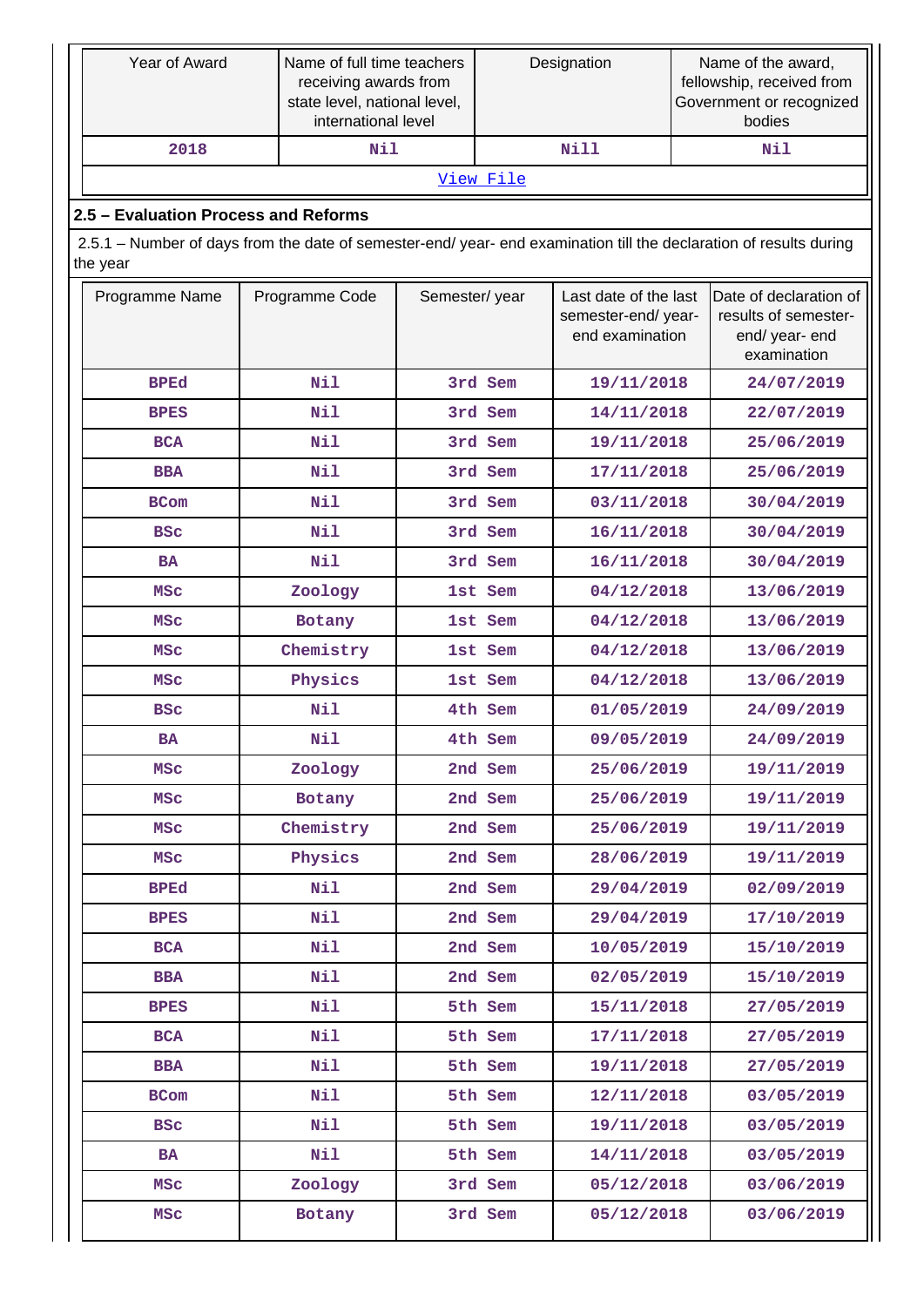|                | Year of Award                                                                                                      | Name of full time teachers<br>receiving awards from<br>state level, national level,<br>international level |               | Designation |                                                                | Name of the award,<br>fellowship, received from<br>Government or recognized<br>bodies |                                                                                 |  |  |  |
|----------------|--------------------------------------------------------------------------------------------------------------------|------------------------------------------------------------------------------------------------------------|---------------|-------------|----------------------------------------------------------------|---------------------------------------------------------------------------------------|---------------------------------------------------------------------------------|--|--|--|
|                | 2018                                                                                                               | Nil                                                                                                        |               |             | Nill                                                           |                                                                                       | Nil                                                                             |  |  |  |
|                |                                                                                                                    |                                                                                                            |               | View File   |                                                                |                                                                                       |                                                                                 |  |  |  |
|                | 2.5 - Evaluation Process and Reforms                                                                               |                                                                                                            |               |             |                                                                |                                                                                       |                                                                                 |  |  |  |
| the year       | 2.5.1 – Number of days from the date of semester-end/ year- end examination till the declaration of results during |                                                                                                            |               |             |                                                                |                                                                                       |                                                                                 |  |  |  |
| Programme Name |                                                                                                                    | Programme Code                                                                                             | Semester/year |             | Last date of the last<br>semester-end/year-<br>end examination |                                                                                       | Date of declaration of<br>results of semester-<br>end/ year- end<br>examination |  |  |  |
| <b>BPEd</b>    |                                                                                                                    | Nil                                                                                                        |               | 3rd Sem     | 19/11/2018                                                     |                                                                                       | 24/07/2019                                                                      |  |  |  |
| <b>BPES</b>    |                                                                                                                    | Nil                                                                                                        |               | 3rd Sem     | 14/11/2018                                                     |                                                                                       | 22/07/2019                                                                      |  |  |  |
| <b>BCA</b>     |                                                                                                                    | Nil                                                                                                        |               | 3rd Sem     | 19/11/2018                                                     |                                                                                       | 25/06/2019                                                                      |  |  |  |
| <b>BBA</b>     |                                                                                                                    | Nil                                                                                                        |               | 3rd Sem     | 17/11/2018                                                     |                                                                                       | 25/06/2019                                                                      |  |  |  |
| <b>BCom</b>    |                                                                                                                    | Nil                                                                                                        |               | 3rd Sem     | 03/11/2018                                                     |                                                                                       | 30/04/2019                                                                      |  |  |  |
| <b>BSC</b>     |                                                                                                                    | Nil                                                                                                        |               | 3rd Sem     | 16/11/2018                                                     |                                                                                       | 30/04/2019                                                                      |  |  |  |
| <b>BA</b>      |                                                                                                                    | Nil                                                                                                        |               | 3rd Sem     | 16/11/2018                                                     |                                                                                       | 30/04/2019                                                                      |  |  |  |
| <b>MSC</b>     |                                                                                                                    | Zoology                                                                                                    |               | 1st Sem     | 04/12/2018                                                     |                                                                                       | 13/06/2019                                                                      |  |  |  |
| <b>MSC</b>     |                                                                                                                    | Botany                                                                                                     |               | 1st Sem     | 04/12/2018                                                     |                                                                                       | 13/06/2019                                                                      |  |  |  |
| <b>MSC</b>     |                                                                                                                    | Chemistry                                                                                                  |               | 1st Sem     | 04/12/2018                                                     |                                                                                       | 13/06/2019                                                                      |  |  |  |
| <b>MSC</b>     |                                                                                                                    | Physics                                                                                                    |               | 1st Sem     | 04/12/2018                                                     |                                                                                       | 13/06/2019                                                                      |  |  |  |
| <b>BSC</b>     |                                                                                                                    | Nil                                                                                                        |               | 4th Sem     | 01/05/2019                                                     |                                                                                       | 24/09/2019                                                                      |  |  |  |
| BA             |                                                                                                                    | Nil                                                                                                        |               | 4th Sem     | 09/05/2019                                                     |                                                                                       | 24/09/2019                                                                      |  |  |  |
| MSc            |                                                                                                                    | Zoology                                                                                                    |               | 2nd Sem     | 25/06/2019                                                     |                                                                                       | 19/11/2019                                                                      |  |  |  |
| <b>MSC</b>     |                                                                                                                    | Botany                                                                                                     |               | 2nd Sem     | 25/06/2019                                                     |                                                                                       | 19/11/2019                                                                      |  |  |  |
| <b>MSC</b>     |                                                                                                                    | Chemistry                                                                                                  |               | 2nd Sem     | 25/06/2019                                                     |                                                                                       | 19/11/2019                                                                      |  |  |  |
| <b>MSC</b>     |                                                                                                                    | Physics                                                                                                    |               | 2nd Sem     | 28/06/2019                                                     |                                                                                       | 19/11/2019                                                                      |  |  |  |
| <b>BPEd</b>    |                                                                                                                    | Nil                                                                                                        |               | 2nd Sem     | 29/04/2019                                                     |                                                                                       | 02/09/2019                                                                      |  |  |  |
| <b>BPES</b>    |                                                                                                                    | Nil                                                                                                        |               | 2nd Sem     | 29/04/2019                                                     |                                                                                       | 17/10/2019                                                                      |  |  |  |
| <b>BCA</b>     |                                                                                                                    | Nil                                                                                                        |               | 2nd Sem     | 10/05/2019                                                     |                                                                                       | 15/10/2019                                                                      |  |  |  |
| <b>BBA</b>     |                                                                                                                    | Nil                                                                                                        |               | 2nd Sem     | 02/05/2019                                                     |                                                                                       | 15/10/2019                                                                      |  |  |  |
| <b>BPES</b>    |                                                                                                                    | Nil                                                                                                        |               | 5th Sem     | 15/11/2018                                                     |                                                                                       | 27/05/2019                                                                      |  |  |  |
| <b>BCA</b>     |                                                                                                                    | Nil                                                                                                        |               | 5th Sem     | 17/11/2018                                                     |                                                                                       | 27/05/2019                                                                      |  |  |  |
| <b>BBA</b>     |                                                                                                                    | Nil                                                                                                        |               | 5th Sem     | 19/11/2018                                                     |                                                                                       | 27/05/2019                                                                      |  |  |  |
| <b>BCom</b>    |                                                                                                                    | Nil                                                                                                        |               | 5th Sem     | 12/11/2018                                                     |                                                                                       | 03/05/2019                                                                      |  |  |  |
| <b>BSC</b>     |                                                                                                                    | Nil                                                                                                        |               | 5th Sem     | 19/11/2018                                                     |                                                                                       | 03/05/2019                                                                      |  |  |  |
| BA             |                                                                                                                    | Nil                                                                                                        |               | 5th Sem     | 14/11/2018                                                     |                                                                                       | 03/05/2019                                                                      |  |  |  |
| <b>MSC</b>     |                                                                                                                    | Zoology                                                                                                    |               | 3rd Sem     | 05/12/2018                                                     |                                                                                       | 03/06/2019                                                                      |  |  |  |
| <b>MSC</b>     |                                                                                                                    | Botany                                                                                                     |               | 3rd Sem     | 05/12/2018                                                     |                                                                                       | 03/06/2019                                                                      |  |  |  |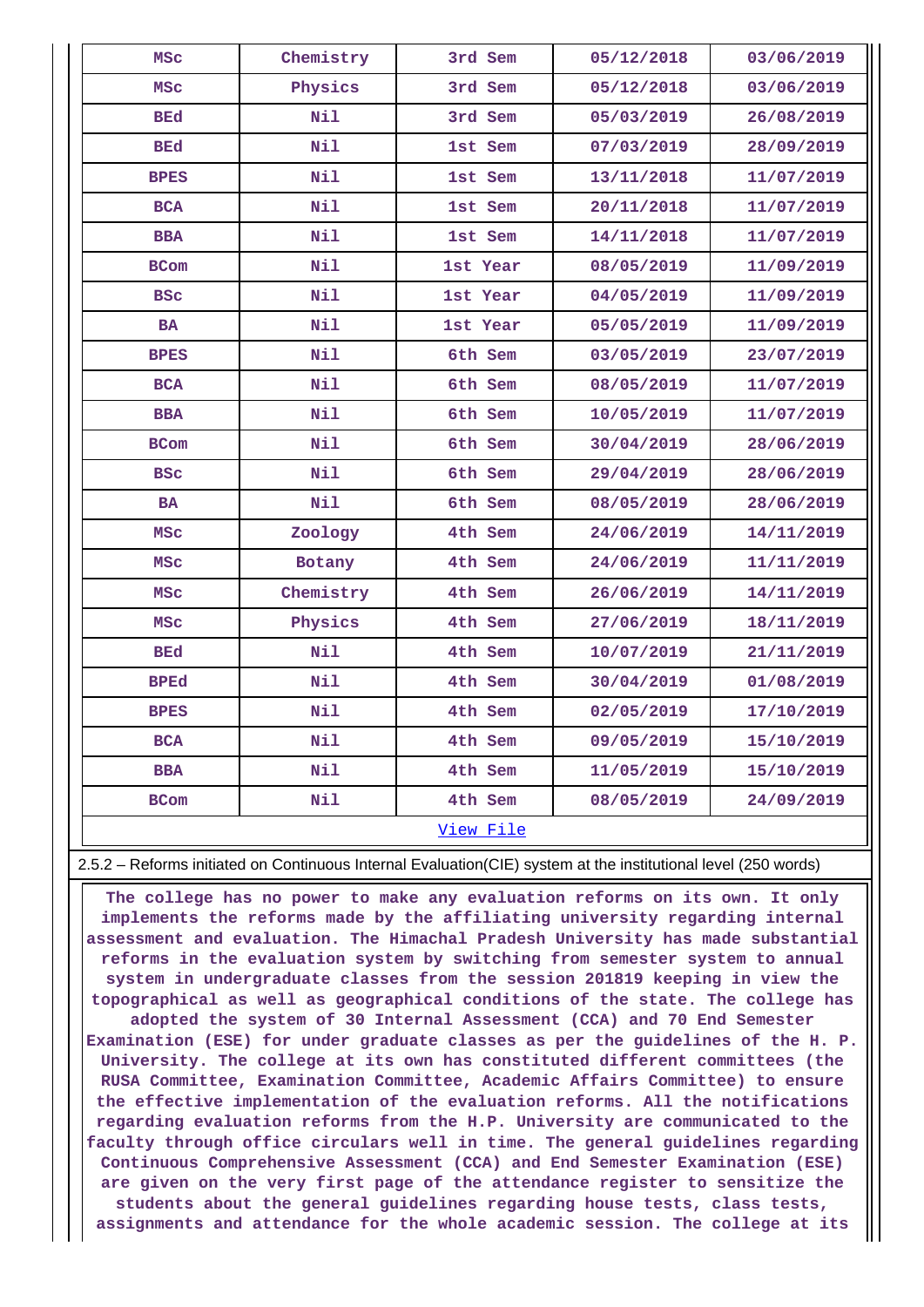| Chemistry<br>3rd Sem<br>05/12/2018<br>03/06/2019<br><b>MSC</b><br>Physics<br>3rd Sem<br>05/12/2018<br>03/06/2019<br>MSC<br>Nil<br>3rd Sem<br>BEd<br>05/03/2019<br>26/08/2019<br>Nil<br>BEd<br>1st Sem<br>07/03/2019<br>28/09/2019<br>Nil<br><b>BPES</b><br>1st Sem<br>13/11/2018<br>11/07/2019<br>Nil<br><b>BCA</b><br>1st Sem<br>20/11/2018<br>11/07/2019<br><b>BBA</b><br>Nil<br>1st Sem<br>14/11/2018<br>11/07/2019<br>Nil<br>1st Year<br>08/05/2019<br>11/09/2019<br><b>BCom</b><br>Nil<br><b>BSC</b><br>04/05/2019<br>11/09/2019<br>1st Year<br>Nil<br><b>BA</b><br>1st Year<br>05/05/2019<br>11/09/2019<br>Nil<br><b>BPES</b><br>6th Sem<br>03/05/2019<br>23/07/2019<br>Nil<br>6th Sem<br>08/05/2019<br>11/07/2019<br><b>BCA</b><br>Nil<br><b>BBA</b><br>6th Sem<br>10/05/2019<br>11/07/2019<br>Nil<br>30/04/2019<br>28/06/2019<br><b>BCom</b><br>6th Sem<br>Nil<br><b>BSC</b><br>6th Sem<br>29/04/2019<br>28/06/2019<br>Nil<br>6th Sem<br>08/05/2019<br>28/06/2019<br><b>BA</b><br>4th Sem<br>14/11/2019<br><b>MSC</b><br>Zoology<br>24/06/2019<br>4th Sem<br>24/06/2019<br>11/11/2019<br><b>MSC</b><br>Botany<br><b>MSC</b><br>Chemistry<br>4th Sem<br>26/06/2019<br>14/11/2019<br>Physics<br>4th Sem<br>27/06/2019<br>18/11/2019<br><b>MSC</b><br>Nil<br>BEd<br>4th Sem<br>10/07/2019<br>21/11/2019<br>Nil<br><b>BPEd</b><br>4th Sem<br>30/04/2019<br>01/08/2019<br>Nil<br>4th Sem<br><b>BPES</b><br>02/05/2019<br>17/10/2019<br>Nil<br>4th Sem<br>09/05/2019<br>15/10/2019<br><b>BCA</b><br>Nil<br><b>BBA</b><br>4th Sem<br>11/05/2019<br>15/10/2019<br>Nil<br>4th Sem<br>08/05/2019<br>24/09/2019<br><b>BCom</b><br>View File |  |  |  |
|------------------------------------------------------------------------------------------------------------------------------------------------------------------------------------------------------------------------------------------------------------------------------------------------------------------------------------------------------------------------------------------------------------------------------------------------------------------------------------------------------------------------------------------------------------------------------------------------------------------------------------------------------------------------------------------------------------------------------------------------------------------------------------------------------------------------------------------------------------------------------------------------------------------------------------------------------------------------------------------------------------------------------------------------------------------------------------------------------------------------------------------------------------------------------------------------------------------------------------------------------------------------------------------------------------------------------------------------------------------------------------------------------------------------------------------------------------------------------------------------------------------------------------------------------------------------------------------------------------------------------------------|--|--|--|
|                                                                                                                                                                                                                                                                                                                                                                                                                                                                                                                                                                                                                                                                                                                                                                                                                                                                                                                                                                                                                                                                                                                                                                                                                                                                                                                                                                                                                                                                                                                                                                                                                                          |  |  |  |
|                                                                                                                                                                                                                                                                                                                                                                                                                                                                                                                                                                                                                                                                                                                                                                                                                                                                                                                                                                                                                                                                                                                                                                                                                                                                                                                                                                                                                                                                                                                                                                                                                                          |  |  |  |
|                                                                                                                                                                                                                                                                                                                                                                                                                                                                                                                                                                                                                                                                                                                                                                                                                                                                                                                                                                                                                                                                                                                                                                                                                                                                                                                                                                                                                                                                                                                                                                                                                                          |  |  |  |
|                                                                                                                                                                                                                                                                                                                                                                                                                                                                                                                                                                                                                                                                                                                                                                                                                                                                                                                                                                                                                                                                                                                                                                                                                                                                                                                                                                                                                                                                                                                                                                                                                                          |  |  |  |
|                                                                                                                                                                                                                                                                                                                                                                                                                                                                                                                                                                                                                                                                                                                                                                                                                                                                                                                                                                                                                                                                                                                                                                                                                                                                                                                                                                                                                                                                                                                                                                                                                                          |  |  |  |
|                                                                                                                                                                                                                                                                                                                                                                                                                                                                                                                                                                                                                                                                                                                                                                                                                                                                                                                                                                                                                                                                                                                                                                                                                                                                                                                                                                                                                                                                                                                                                                                                                                          |  |  |  |
|                                                                                                                                                                                                                                                                                                                                                                                                                                                                                                                                                                                                                                                                                                                                                                                                                                                                                                                                                                                                                                                                                                                                                                                                                                                                                                                                                                                                                                                                                                                                                                                                                                          |  |  |  |
|                                                                                                                                                                                                                                                                                                                                                                                                                                                                                                                                                                                                                                                                                                                                                                                                                                                                                                                                                                                                                                                                                                                                                                                                                                                                                                                                                                                                                                                                                                                                                                                                                                          |  |  |  |
|                                                                                                                                                                                                                                                                                                                                                                                                                                                                                                                                                                                                                                                                                                                                                                                                                                                                                                                                                                                                                                                                                                                                                                                                                                                                                                                                                                                                                                                                                                                                                                                                                                          |  |  |  |
|                                                                                                                                                                                                                                                                                                                                                                                                                                                                                                                                                                                                                                                                                                                                                                                                                                                                                                                                                                                                                                                                                                                                                                                                                                                                                                                                                                                                                                                                                                                                                                                                                                          |  |  |  |
|                                                                                                                                                                                                                                                                                                                                                                                                                                                                                                                                                                                                                                                                                                                                                                                                                                                                                                                                                                                                                                                                                                                                                                                                                                                                                                                                                                                                                                                                                                                                                                                                                                          |  |  |  |
|                                                                                                                                                                                                                                                                                                                                                                                                                                                                                                                                                                                                                                                                                                                                                                                                                                                                                                                                                                                                                                                                                                                                                                                                                                                                                                                                                                                                                                                                                                                                                                                                                                          |  |  |  |
|                                                                                                                                                                                                                                                                                                                                                                                                                                                                                                                                                                                                                                                                                                                                                                                                                                                                                                                                                                                                                                                                                                                                                                                                                                                                                                                                                                                                                                                                                                                                                                                                                                          |  |  |  |
|                                                                                                                                                                                                                                                                                                                                                                                                                                                                                                                                                                                                                                                                                                                                                                                                                                                                                                                                                                                                                                                                                                                                                                                                                                                                                                                                                                                                                                                                                                                                                                                                                                          |  |  |  |
|                                                                                                                                                                                                                                                                                                                                                                                                                                                                                                                                                                                                                                                                                                                                                                                                                                                                                                                                                                                                                                                                                                                                                                                                                                                                                                                                                                                                                                                                                                                                                                                                                                          |  |  |  |
|                                                                                                                                                                                                                                                                                                                                                                                                                                                                                                                                                                                                                                                                                                                                                                                                                                                                                                                                                                                                                                                                                                                                                                                                                                                                                                                                                                                                                                                                                                                                                                                                                                          |  |  |  |
|                                                                                                                                                                                                                                                                                                                                                                                                                                                                                                                                                                                                                                                                                                                                                                                                                                                                                                                                                                                                                                                                                                                                                                                                                                                                                                                                                                                                                                                                                                                                                                                                                                          |  |  |  |
|                                                                                                                                                                                                                                                                                                                                                                                                                                                                                                                                                                                                                                                                                                                                                                                                                                                                                                                                                                                                                                                                                                                                                                                                                                                                                                                                                                                                                                                                                                                                                                                                                                          |  |  |  |
|                                                                                                                                                                                                                                                                                                                                                                                                                                                                                                                                                                                                                                                                                                                                                                                                                                                                                                                                                                                                                                                                                                                                                                                                                                                                                                                                                                                                                                                                                                                                                                                                                                          |  |  |  |
|                                                                                                                                                                                                                                                                                                                                                                                                                                                                                                                                                                                                                                                                                                                                                                                                                                                                                                                                                                                                                                                                                                                                                                                                                                                                                                                                                                                                                                                                                                                                                                                                                                          |  |  |  |
|                                                                                                                                                                                                                                                                                                                                                                                                                                                                                                                                                                                                                                                                                                                                                                                                                                                                                                                                                                                                                                                                                                                                                                                                                                                                                                                                                                                                                                                                                                                                                                                                                                          |  |  |  |
|                                                                                                                                                                                                                                                                                                                                                                                                                                                                                                                                                                                                                                                                                                                                                                                                                                                                                                                                                                                                                                                                                                                                                                                                                                                                                                                                                                                                                                                                                                                                                                                                                                          |  |  |  |
|                                                                                                                                                                                                                                                                                                                                                                                                                                                                                                                                                                                                                                                                                                                                                                                                                                                                                                                                                                                                                                                                                                                                                                                                                                                                                                                                                                                                                                                                                                                                                                                                                                          |  |  |  |
|                                                                                                                                                                                                                                                                                                                                                                                                                                                                                                                                                                                                                                                                                                                                                                                                                                                                                                                                                                                                                                                                                                                                                                                                                                                                                                                                                                                                                                                                                                                                                                                                                                          |  |  |  |
|                                                                                                                                                                                                                                                                                                                                                                                                                                                                                                                                                                                                                                                                                                                                                                                                                                                                                                                                                                                                                                                                                                                                                                                                                                                                                                                                                                                                                                                                                                                                                                                                                                          |  |  |  |
|                                                                                                                                                                                                                                                                                                                                                                                                                                                                                                                                                                                                                                                                                                                                                                                                                                                                                                                                                                                                                                                                                                                                                                                                                                                                                                                                                                                                                                                                                                                                                                                                                                          |  |  |  |
|                                                                                                                                                                                                                                                                                                                                                                                                                                                                                                                                                                                                                                                                                                                                                                                                                                                                                                                                                                                                                                                                                                                                                                                                                                                                                                                                                                                                                                                                                                                                                                                                                                          |  |  |  |

## 2.5.2 – Reforms initiated on Continuous Internal Evaluation(CIE) system at the institutional level (250 words)

 **The college has no power to make any evaluation reforms on its own. It only implements the reforms made by the affiliating university regarding internal assessment and evaluation. The Himachal Pradesh University has made substantial reforms in the evaluation system by switching from semester system to annual system in undergraduate classes from the session 201819 keeping in view the topographical as well as geographical conditions of the state. The college has adopted the system of 30 Internal Assessment (CCA) and 70 End Semester Examination (ESE) for under graduate classes as per the guidelines of the H. P. University. The college at its own has constituted different committees (the RUSA Committee, Examination Committee, Academic Affairs Committee) to ensure the effective implementation of the evaluation reforms. All the notifications regarding evaluation reforms from the H.P. University are communicated to the faculty through office circulars well in time. The general guidelines regarding Continuous Comprehensive Assessment (CCA) and End Semester Examination (ESE) are given on the very first page of the attendance register to sensitize the students about the general guidelines regarding house tests, class tests, assignments and attendance for the whole academic session. The college at its**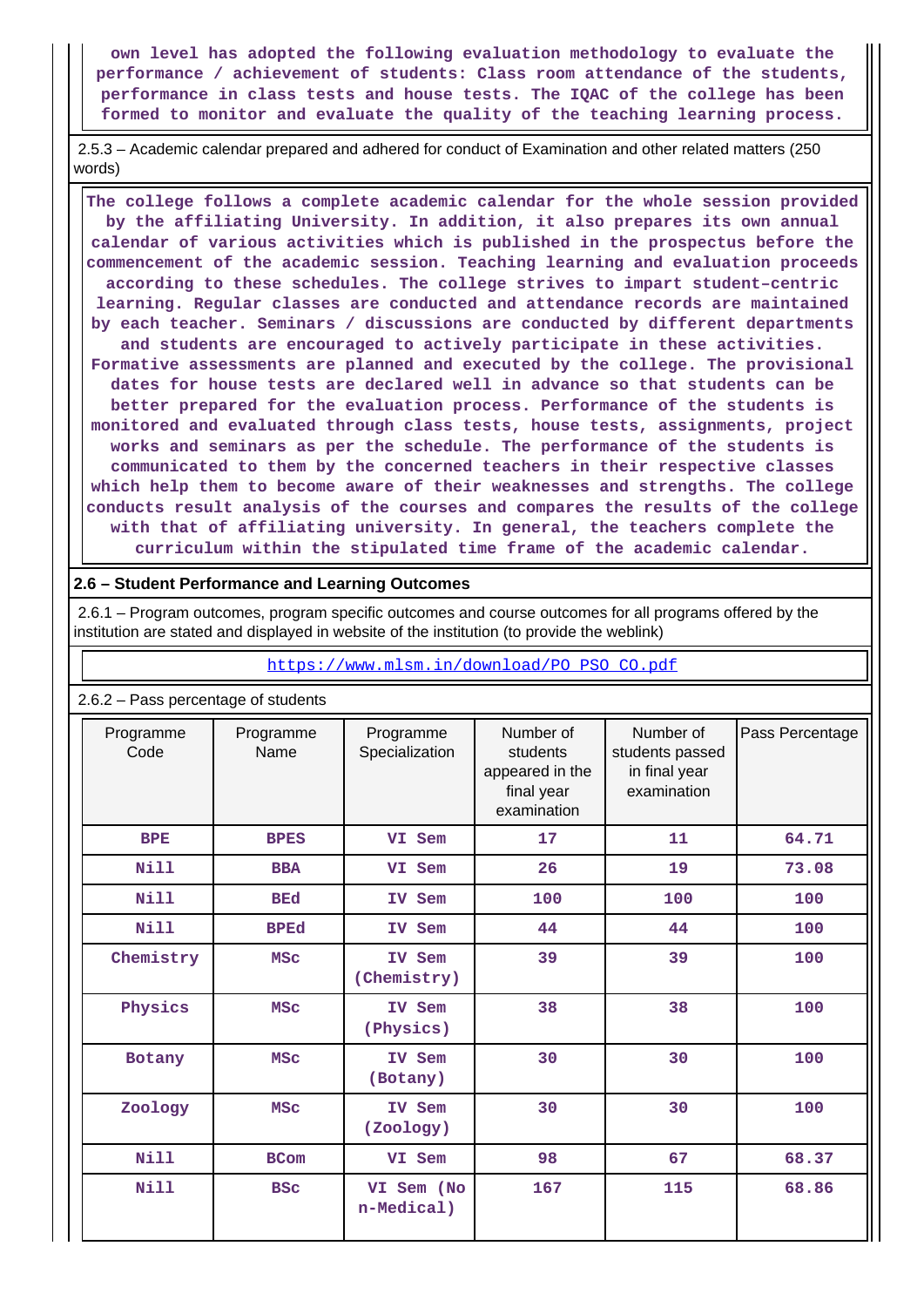**own level has adopted the following evaluation methodology to evaluate the performance / achievement of students: Class room attendance of the students, performance in class tests and house tests. The IQAC of the college has been formed to monitor and evaluate the quality of the teaching learning process.**

 2.5.3 – Academic calendar prepared and adhered for conduct of Examination and other related matters (250 words)

 **The college follows a complete academic calendar for the whole session provided by the affiliating University. In addition, it also prepares its own annual calendar of various activities which is published in the prospectus before the commencement of the academic session. Teaching learning and evaluation proceeds according to these schedules. The college strives to impart student–centric learning. Regular classes are conducted and attendance records are maintained by each teacher. Seminars / discussions are conducted by different departments and students are encouraged to actively participate in these activities. Formative assessments are planned and executed by the college. The provisional dates for house tests are declared well in advance so that students can be better prepared for the evaluation process. Performance of the students is monitored and evaluated through class tests, house tests, assignments, project works and seminars as per the schedule. The performance of the students is communicated to them by the concerned teachers in their respective classes which help them to become aware of their weaknesses and strengths. The college conducts result analysis of the courses and compares the results of the college with that of affiliating university. In general, the teachers complete the curriculum within the stipulated time frame of the academic calendar.**

### **2.6 – Student Performance and Learning Outcomes**

 2.6.1 – Program outcomes, program specific outcomes and course outcomes for all programs offered by the institution are stated and displayed in website of the institution (to provide the weblink)

[https://www.mlsm.in/download/PO\\_PSO\\_CO.pdf](https://www.mlsm.in/download/PO_PSO_CO.pdf)

| 2.6.2 - Pass percentage of students |                   |                             |                                                                       |                                                              |                 |  |  |  |
|-------------------------------------|-------------------|-----------------------------|-----------------------------------------------------------------------|--------------------------------------------------------------|-----------------|--|--|--|
| Programme<br>Code                   | Programme<br>Name | Programme<br>Specialization | Number of<br>students<br>appeared in the<br>final year<br>examination | Number of<br>students passed<br>in final year<br>examination | Pass Percentage |  |  |  |
| <b>BPE</b>                          | <b>BPES</b>       | VI Sem                      | 17                                                                    | 11                                                           | 64.71           |  |  |  |
| <b>Nill</b>                         | <b>BBA</b>        | VI Sem                      | 26                                                                    | 19                                                           | 73.08           |  |  |  |
| <b>Nill</b>                         | <b>BEd</b>        | IV Sem                      | 100                                                                   | 100                                                          | 100             |  |  |  |
| Nill                                | <b>BPEd</b>       | IV Sem                      | 44                                                                    | 44                                                           | 100             |  |  |  |
| Chemistry                           | <b>MSC</b>        | IV Sem<br>(Chemistry)       | 39                                                                    | 39                                                           | 100             |  |  |  |
| Physics                             | <b>MSC</b>        | IV Sem<br>(Physics)         | 38                                                                    | 38                                                           | 100             |  |  |  |
| Botany                              | <b>MSC</b>        | IV Sem<br>(Botany)          | 30                                                                    | 30                                                           | 100             |  |  |  |
| Zoology                             | <b>MSC</b>        | IV Sem<br>(Zoology)         | 30                                                                    | 30                                                           | 100             |  |  |  |
| <b>Nill</b>                         | <b>BCom</b>       | VI Sem                      | 98                                                                    | 67                                                           | 68.37           |  |  |  |
| Nill                                | <b>BSC</b>        | VI Sem (No<br>n-Medical)    | 167                                                                   | 115                                                          | 68.86           |  |  |  |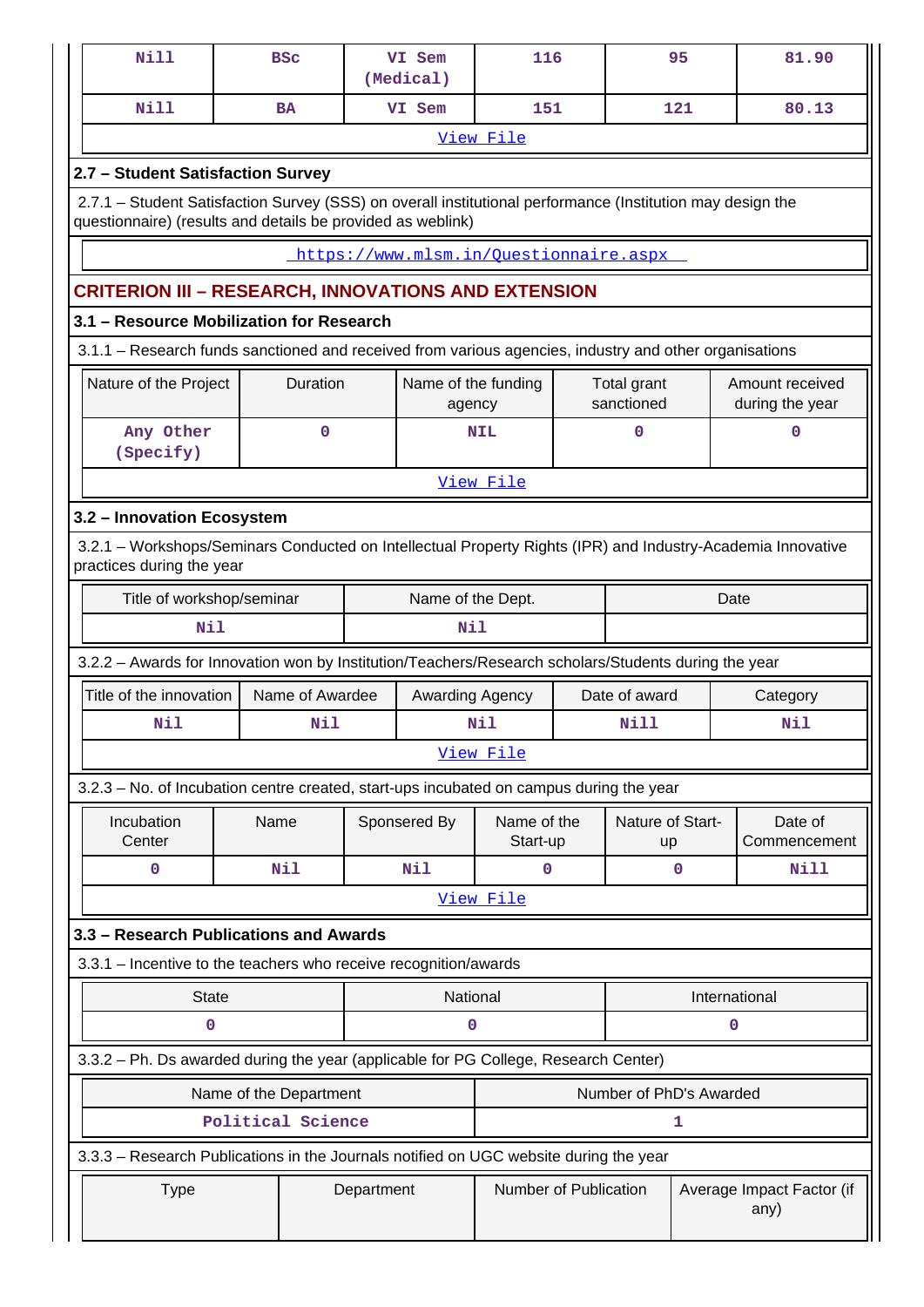| <b>Nill</b>                                                                                                                                                               |                        | <b>BSC</b>      |  | VI Sem<br>(Medical)           | 116                                    |  |                           | 95            | 81.90                              |  |  |
|---------------------------------------------------------------------------------------------------------------------------------------------------------------------------|------------------------|-----------------|--|-------------------------------|----------------------------------------|--|---------------------------|---------------|------------------------------------|--|--|
| <b>Nill</b>                                                                                                                                                               |                        | <b>BA</b>       |  | VI Sem                        | 151                                    |  |                           | 121           | 80.13                              |  |  |
|                                                                                                                                                                           |                        |                 |  |                               | View File                              |  |                           |               |                                    |  |  |
| 2.7 - Student Satisfaction Survey                                                                                                                                         |                        |                 |  |                               |                                        |  |                           |               |                                    |  |  |
| 2.7.1 - Student Satisfaction Survey (SSS) on overall institutional performance (Institution may design the<br>questionnaire) (results and details be provided as weblink) |                        |                 |  |                               |                                        |  |                           |               |                                    |  |  |
|                                                                                                                                                                           |                        |                 |  |                               | https://www.mlsm.in/Ouestionnaire.aspx |  |                           |               |                                    |  |  |
| <b>CRITERION III - RESEARCH, INNOVATIONS AND EXTENSION</b>                                                                                                                |                        |                 |  |                               |                                        |  |                           |               |                                    |  |  |
| 3.1 - Resource Mobilization for Research                                                                                                                                  |                        |                 |  |                               |                                        |  |                           |               |                                    |  |  |
| 3.1.1 - Research funds sanctioned and received from various agencies, industry and other organisations                                                                    |                        |                 |  |                               |                                        |  |                           |               |                                    |  |  |
| Nature of the Project                                                                                                                                                     |                        | Duration        |  | Name of the funding<br>agency |                                        |  | Total grant<br>sanctioned |               | Amount received<br>during the year |  |  |
| Any Other<br>(Specify)                                                                                                                                                    |                        | $\mathbf 0$     |  |                               | <b>NIL</b>                             |  | 0                         | $\mathbf 0$   |                                    |  |  |
| View File                                                                                                                                                                 |                        |                 |  |                               |                                        |  |                           |               |                                    |  |  |
| 3.2 - Innovation Ecosystem                                                                                                                                                |                        |                 |  |                               |                                        |  |                           |               |                                    |  |  |
| 3.2.1 - Workshops/Seminars Conducted on Intellectual Property Rights (IPR) and Industry-Academia Innovative<br>practices during the year                                  |                        |                 |  |                               |                                        |  |                           |               |                                    |  |  |
| Title of workshop/seminar                                                                                                                                                 |                        |                 |  | Name of the Dept.             |                                        |  |                           | Date          |                                    |  |  |
| Nil                                                                                                                                                                       |                        |                 |  | Nil                           |                                        |  |                           |               |                                    |  |  |
| 3.2.2 - Awards for Innovation won by Institution/Teachers/Research scholars/Students during the year                                                                      |                        |                 |  |                               |                                        |  |                           |               |                                    |  |  |
| Title of the innovation                                                                                                                                                   |                        | Name of Awardee |  | Awarding Agency               |                                        |  | Date of award             |               | Category                           |  |  |
| Nil                                                                                                                                                                       |                        | Nil             |  |                               | Nil                                    |  | Nill                      |               | Nil                                |  |  |
|                                                                                                                                                                           |                        |                 |  |                               | View File                              |  |                           |               |                                    |  |  |
| 3.2.3 - No. of Incubation centre created, start-ups incubated on campus during the year                                                                                   |                        |                 |  |                               |                                        |  |                           |               |                                    |  |  |
| Incubation<br>Center                                                                                                                                                      | Name                   |                 |  | Sponsered By                  | Name of the<br>Start-up                |  | Nature of Start-<br>up    |               | Date of<br>Commencement            |  |  |
| $\mathbf 0$                                                                                                                                                               |                        | Nil             |  | Nil                           | 0                                      |  |                           | $\mathbf 0$   | <b>Nill</b>                        |  |  |
|                                                                                                                                                                           |                        |                 |  |                               | View File                              |  |                           |               |                                    |  |  |
| 3.3 - Research Publications and Awards                                                                                                                                    |                        |                 |  |                               |                                        |  |                           |               |                                    |  |  |
| 3.3.1 - Incentive to the teachers who receive recognition/awards                                                                                                          |                        |                 |  |                               |                                        |  |                           |               |                                    |  |  |
| <b>State</b>                                                                                                                                                              |                        |                 |  | National                      |                                        |  |                           | International |                                    |  |  |
| 0                                                                                                                                                                         |                        |                 |  | 0                             |                                        |  |                           | 0             |                                    |  |  |
| 3.3.2 - Ph. Ds awarded during the year (applicable for PG College, Research Center)                                                                                       |                        |                 |  |                               |                                        |  |                           |               |                                    |  |  |
|                                                                                                                                                                           | Name of the Department |                 |  |                               |                                        |  | Number of PhD's Awarded   |               |                                    |  |  |
| Political Science<br>1                                                                                                                                                    |                        |                 |  |                               |                                        |  |                           |               |                                    |  |  |
| 3.3.3 - Research Publications in the Journals notified on UGC website during the year                                                                                     |                        |                 |  |                               |                                        |  |                           |               |                                    |  |  |
| <b>Type</b>                                                                                                                                                               |                        |                 |  | Department                    | Number of Publication                  |  |                           |               | Average Impact Factor (if<br>any)  |  |  |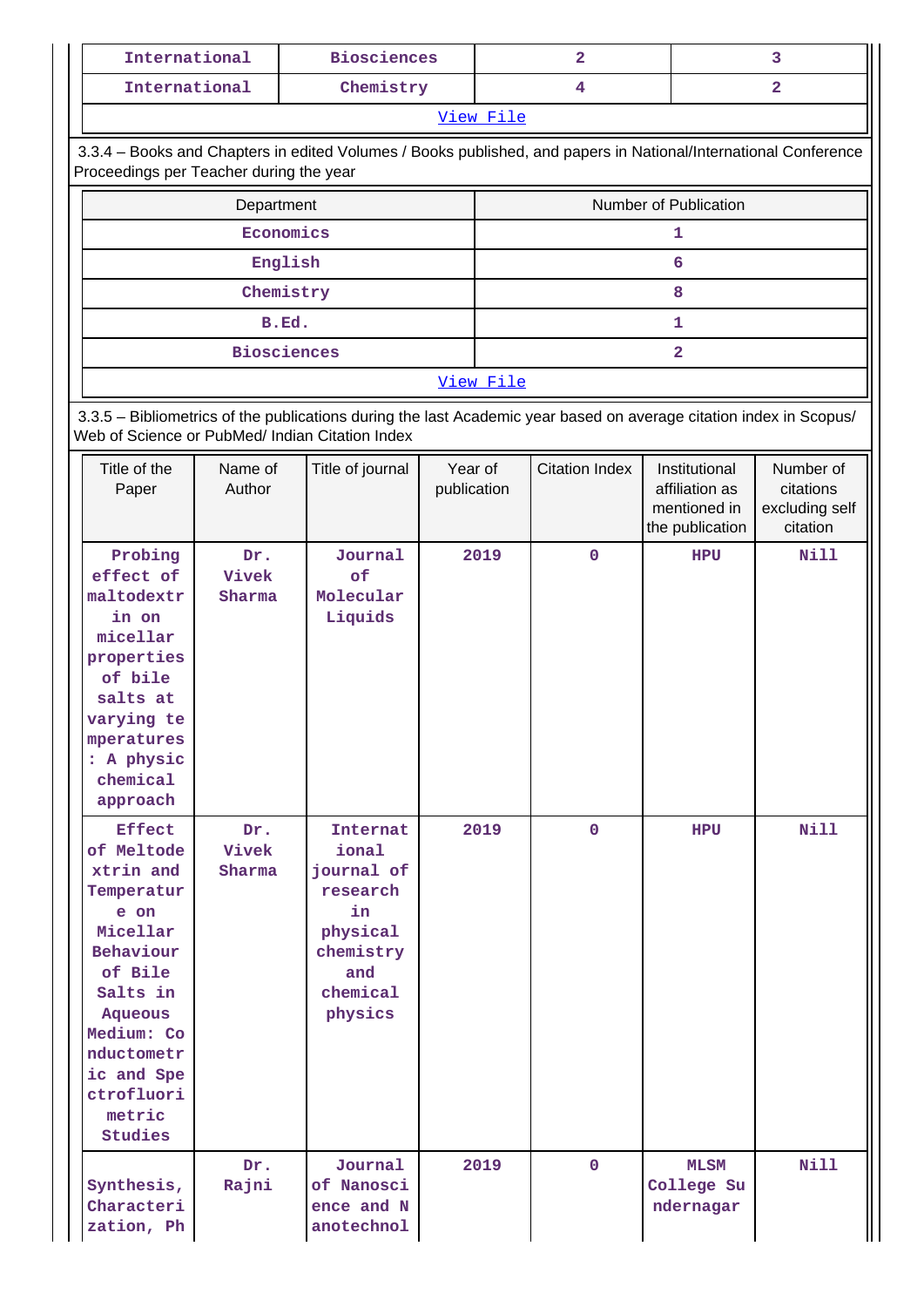| International                                                                                                                                              | <b>Biosciences</b> | $\overline{2}$        | 3 |  |  |  |  |  |  |  |  |
|------------------------------------------------------------------------------------------------------------------------------------------------------------|--------------------|-----------------------|---|--|--|--|--|--|--|--|--|
| International                                                                                                                                              | Chemistry          | 4                     | 2 |  |  |  |  |  |  |  |  |
|                                                                                                                                                            |                    | View File             |   |  |  |  |  |  |  |  |  |
| 3.3.4 – Books and Chapters in edited Volumes / Books published, and papers in National/International Conference<br>Proceedings per Teacher during the year |                    |                       |   |  |  |  |  |  |  |  |  |
| Department                                                                                                                                                 |                    | Number of Publication |   |  |  |  |  |  |  |  |  |
|                                                                                                                                                            | Economics          |                       |   |  |  |  |  |  |  |  |  |
|                                                                                                                                                            | English            | 6                     |   |  |  |  |  |  |  |  |  |
|                                                                                                                                                            | Chemistry          | 8                     |   |  |  |  |  |  |  |  |  |
| B.Ed.                                                                                                                                                      |                    |                       |   |  |  |  |  |  |  |  |  |

[View File](https://assessmentonline.naac.gov.in/public/Postacc/Books_and_Chapters/2057_Books_and_Chapters_1575876200.xlsx)

 3.3.5 – Bibliometrics of the publications during the last Academic year based on average citation index in Scopus/ Web of Science or PubMed/ Indian Citation Index

 **Biosciences 2**

| Title of the<br>Paper                                                                                                                                                                                  | Name of<br>Author      | Title of journal                                                                                         | Year of<br>publication | <b>Citation Index</b> | Institutional<br>affiliation as<br>mentioned in<br>the publication | Number of<br>citations<br>excluding self<br>citation |
|--------------------------------------------------------------------------------------------------------------------------------------------------------------------------------------------------------|------------------------|----------------------------------------------------------------------------------------------------------|------------------------|-----------------------|--------------------------------------------------------------------|------------------------------------------------------|
| Probing<br>effect of<br>maltodextr<br>in on<br>micellar<br>properties<br>of bile<br>salts at<br>varying te<br>mperatures<br>: A physic<br>chemical<br>approach                                         | Dr.<br>Vivek<br>Sharma | Journal<br>of<br>Molecular<br>Liquids                                                                    | 2019                   | $\overline{0}$        | <b>HPU</b>                                                         | Nill                                                 |
| <b>Effect</b><br>of Meltode<br>xtrin and<br>Temperatur<br>e on<br>Micellar<br>Behaviour<br>of Bile<br>Salts in<br>Aqueous<br>Medium: Co<br>nductometr<br>ic and Spe<br>ctrofluori<br>metric<br>Studies | Dr.<br>Vivek<br>Sharma | Internat<br>ional<br>journal of<br>research<br>in<br>physical<br>chemistry<br>and<br>chemical<br>physics | 2019                   | $\mathbf 0$           | <b>HPU</b>                                                         | Nill                                                 |
| Synthesis,<br>Characteri<br>zation, Ph                                                                                                                                                                 | Dr.<br>Rajni           | Journal<br>of Nanosci<br>ence and N<br>anotechnol                                                        | 2019                   | $\mathbf 0$           | <b>MLSM</b><br>College Su<br>ndernagar                             | <b>Nill</b>                                          |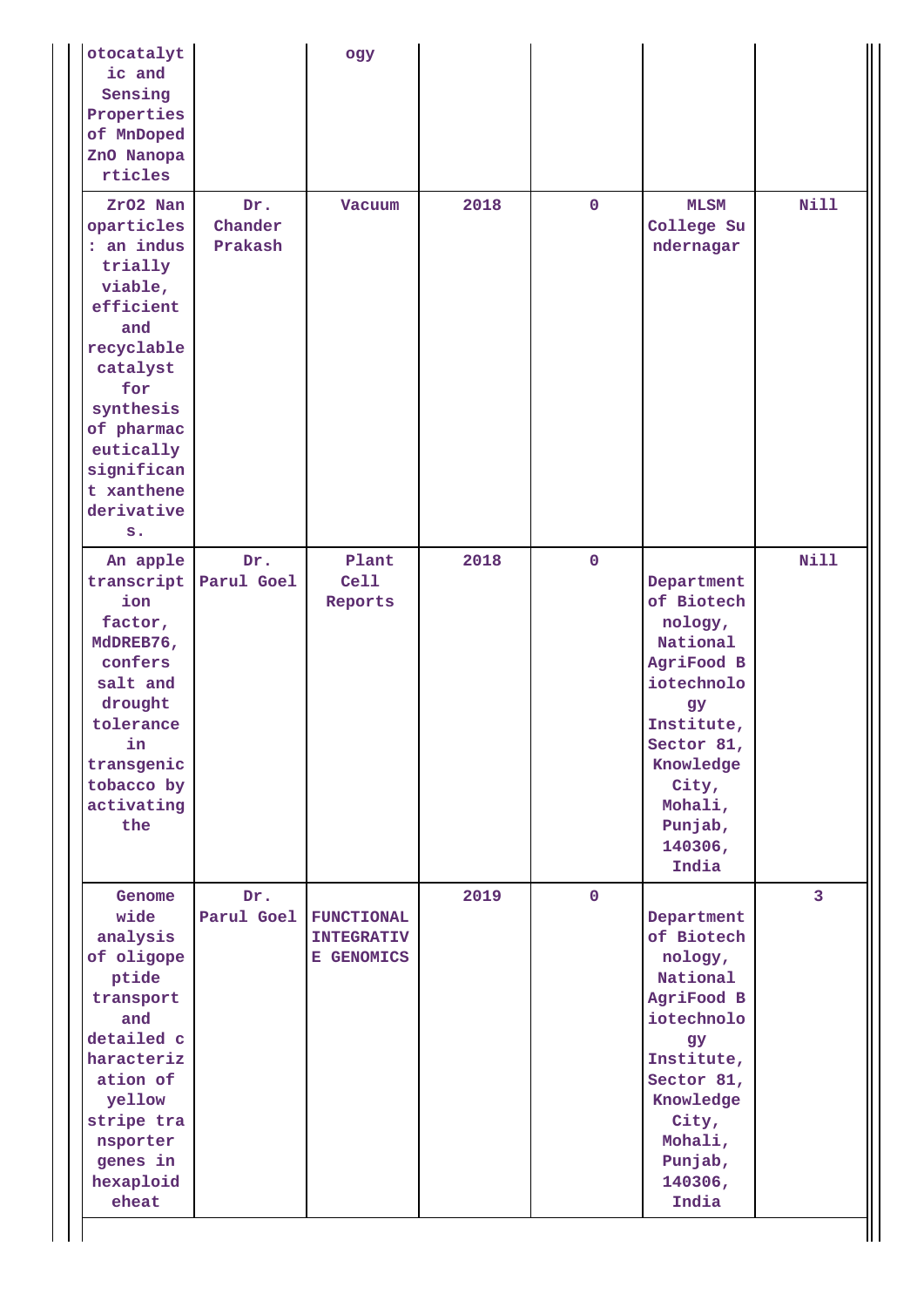| otocatalyt<br>ic and<br>Sensing<br>Properties<br>of MnDoped<br>ZnO Nanopa<br>rticles                                                                                                                       |                              | ogy                                                  |      |              |                                                                                                                                                                                      |                |
|------------------------------------------------------------------------------------------------------------------------------------------------------------------------------------------------------------|------------------------------|------------------------------------------------------|------|--------------|--------------------------------------------------------------------------------------------------------------------------------------------------------------------------------------|----------------|
| ZrO2 Nan<br>oparticles<br>: an indus<br>trially<br>viable,<br>efficient<br>and<br>recyclable<br>catalyst<br>for<br>synthesis<br>of pharmac<br>eutically<br>significan<br>t xanthene<br>derivative<br>$s$ . | Dr.<br>Chander<br>Prakash    | Vacuum                                               | 2018 | $\mathbf{0}$ | <b>MLSM</b><br>College Su<br>ndernagar                                                                                                                                               | <b>Nill</b>    |
| An apple<br>ion<br>factor,<br>MdDREB76,<br>confers<br>salt and<br>drought<br>tolerance<br>in<br>transgenic<br>tobacco by<br>activating<br>the                                                              | Dr.<br>transcript Parul Goel | Plant<br>Ce11<br>Reports                             | 2018 | $\mathbf 0$  | Department<br>of Biotech<br>nology,<br>National<br>AgriFood B<br>iotechnolo<br><b>gy</b><br>Institute,<br>Sector 81,<br>Knowledge<br>City,<br>Mohali,<br>Punjab,<br>140306,<br>India | <b>Nill</b>    |
| Genome<br>wide<br>analysis<br>of oligope<br>ptide<br>transport<br>and<br>detailed c<br>haracteriz<br>ation of<br>yellow<br>stripe tra<br>nsporter<br>genes in<br>hexaploid<br>eheat                        | Dr.<br>Parul Goel            | <b>FUNCTIONAL</b><br><b>INTEGRATIV</b><br>E GENOMICS | 2019 | $\mathbf{O}$ | Department<br>of Biotech<br>nology,<br>National<br>AgriFood B<br>iotechnolo<br>gy<br>Institute,<br>Sector 81,<br>Knowledge<br>City,<br>Mohali,<br>Punjab,<br>140306,<br>India        | $\overline{3}$ |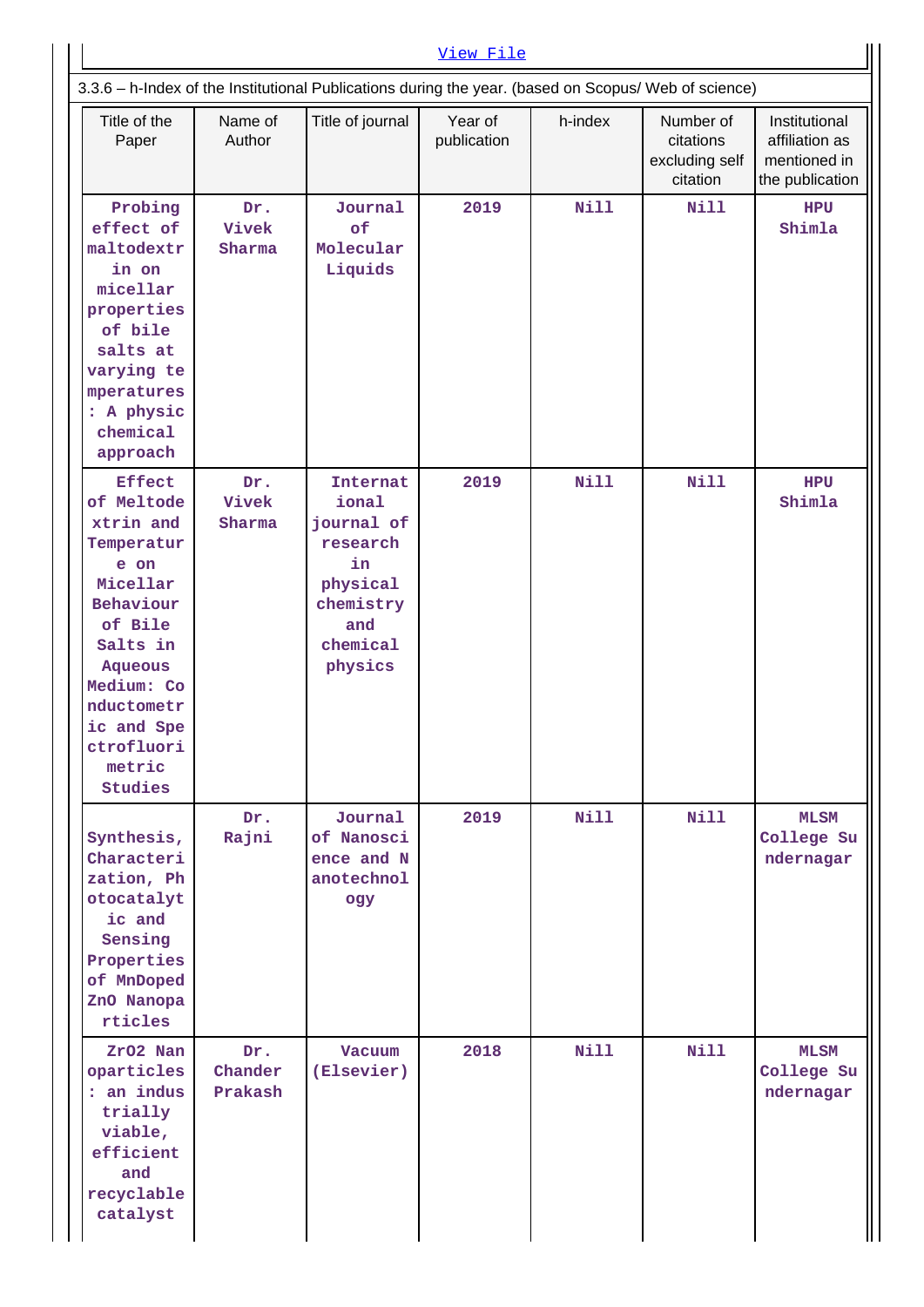| Title of the<br>Paper                                                                                                                                                                                         | Name of<br>Author         | Title of journal                                                                                                | Year of<br>publication | h-index     | Number of<br>citations<br>excluding self<br>citation | Institutional<br>affiliation as<br>mentioned in<br>the publication |
|---------------------------------------------------------------------------------------------------------------------------------------------------------------------------------------------------------------|---------------------------|-----------------------------------------------------------------------------------------------------------------|------------------------|-------------|------------------------------------------------------|--------------------------------------------------------------------|
| Probing<br>effect of<br>maltodextr<br>in on<br>micellar<br>properties<br>of bile<br>salts at<br>varying te<br>mperatures<br>: A physic<br>chemical<br>approach                                                | Dr.<br>Vivek<br>Sharma    | Journal<br><b>of</b><br>Molecular<br>Liquids                                                                    | 2019                   | <b>Nill</b> | Nill                                                 | <b>HPU</b><br>Shimla                                               |
| <b>Effect</b><br>of Meltode<br>xtrin and<br>Temperatur<br>e on<br>Micellar<br>Behaviour<br>of Bile<br>Salts in<br><b>Aqueous</b><br>Medium: Co<br>nductometr<br>ic and Spe<br>ctrofluori<br>metric<br>Studies | Dr.<br>Vivek<br>Sharma    | <b>Internat</b><br>ional<br>journal of<br>research<br>in<br>physical<br>chemistry<br>and<br>chemical<br>physics | 2019                   | Nill        | <b>Nill</b>                                          | <b>HPU</b><br>Shimla                                               |
| Synthesis,<br>Characteri<br>zation, Ph<br>otocatalyt<br>ic and<br>Sensing<br>Properties<br>of MnDoped<br>ZnO Nanopa<br>rticles                                                                                | Dr.<br>Rajni              | Journal<br>of Nanosci<br>ence and N<br>anotechnol<br>ogy                                                        | 2019                   | Nill        | <b>Nill</b>                                          | <b>MLSM</b><br>College Su<br>ndernagar                             |
| ZrO2 Nan<br>oparticles<br>: an indus<br>trially<br>viable,<br>efficient<br>and<br>recyclable<br>catalyst                                                                                                      | Dr.<br>Chander<br>Prakash | Vacuum<br>(Elsevier)                                                                                            | 2018                   | Nill        | Nill                                                 | <b>MLSM</b><br>College Su<br>ndernagar                             |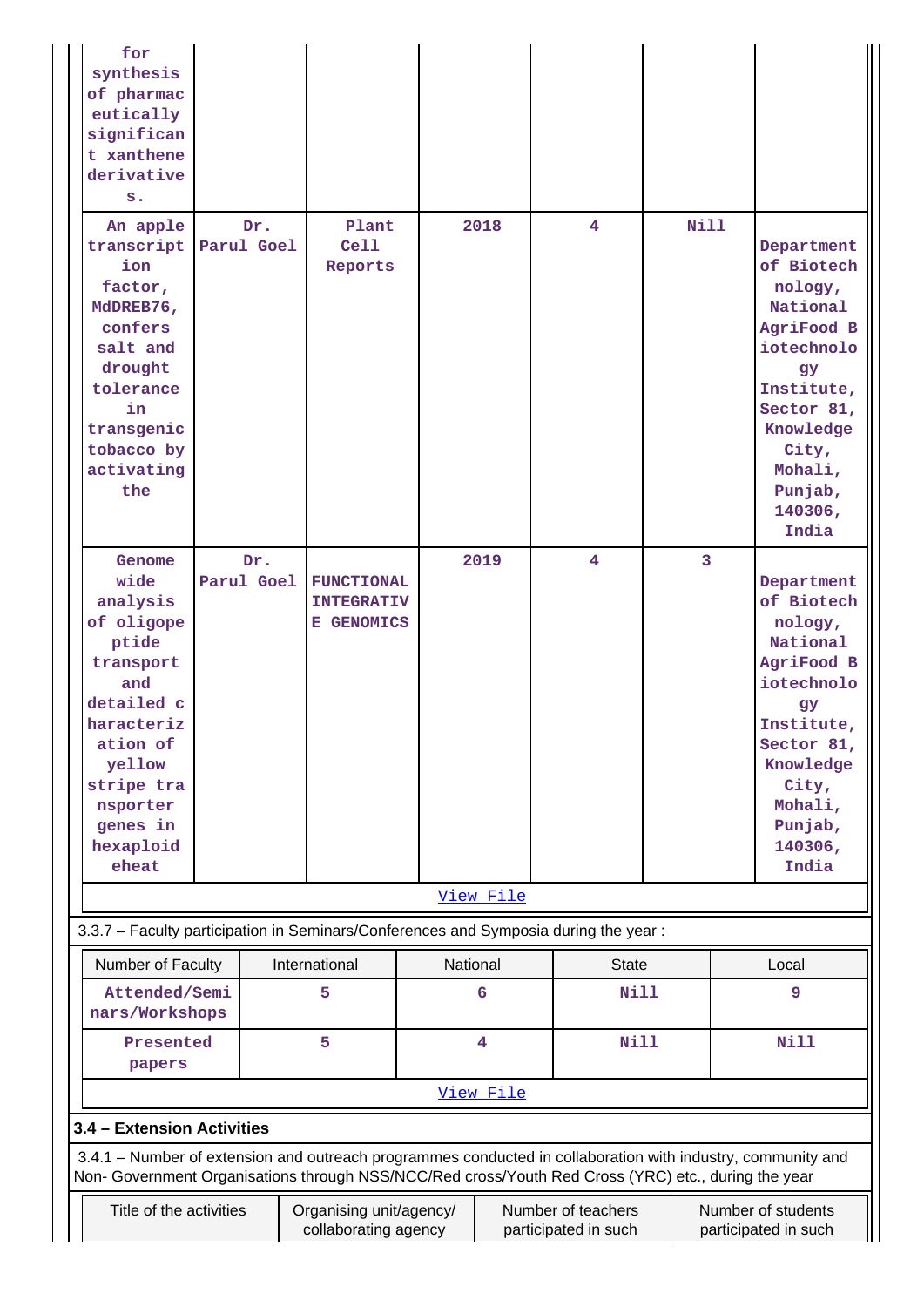| for<br>synthesis                                                                                            |                                                                                                                                                                        |     |                          |          |                         |                |                |  |                                                                                          |  |
|-------------------------------------------------------------------------------------------------------------|------------------------------------------------------------------------------------------------------------------------------------------------------------------------|-----|--------------------------|----------|-------------------------|----------------|----------------|--|------------------------------------------------------------------------------------------|--|
| of pharmac                                                                                                  |                                                                                                                                                                        |     |                          |          |                         |                |                |  |                                                                                          |  |
| eutically                                                                                                   |                                                                                                                                                                        |     |                          |          |                         |                |                |  |                                                                                          |  |
| significan                                                                                                  |                                                                                                                                                                        |     |                          |          |                         |                |                |  |                                                                                          |  |
| t xanthene<br>derivative                                                                                    |                                                                                                                                                                        |     |                          |          |                         |                |                |  |                                                                                          |  |
| $s$ .                                                                                                       |                                                                                                                                                                        |     |                          |          |                         |                |                |  |                                                                                          |  |
|                                                                                                             |                                                                                                                                                                        |     |                          |          |                         |                |                |  |                                                                                          |  |
| An apple<br>transcript Parul Goel<br>ion<br>factor,<br>MdDREB76,<br>confers<br>salt and<br>drought          |                                                                                                                                                                        | Dr. | Plant<br>Cell<br>Reports |          | 2018                    | $\overline{4}$ | Nill           |  | Department<br>of Biotech<br>nology,<br>National<br>AgriFood B<br>iotechnolo<br>gy        |  |
| tolerance<br>in<br>transgenic<br>tobacco by<br>activating<br>the                                            |                                                                                                                                                                        |     |                          |          |                         |                |                |  | Institute,<br>Sector 81,<br>Knowledge<br>City,<br>Mohali,<br>Punjab,<br>140306,<br>India |  |
| Genome                                                                                                      |                                                                                                                                                                        | Dr. |                          |          | 2019                    | $\overline{4}$ | $\overline{3}$ |  |                                                                                          |  |
| wide                                                                                                        | Parul Goel                                                                                                                                                             |     | <b>FUNCTIONAL</b>        |          |                         |                |                |  | Department                                                                               |  |
| analysis                                                                                                    |                                                                                                                                                                        |     | <b>INTEGRATIV</b>        |          |                         |                |                |  | of Biotech                                                                               |  |
| of oligope<br>ptide                                                                                         |                                                                                                                                                                        |     | E GENOMICS               |          |                         |                |                |  | nology,<br>National                                                                      |  |
| transport                                                                                                   |                                                                                                                                                                        |     |                          |          |                         |                |                |  | AgriFood B                                                                               |  |
| and                                                                                                         |                                                                                                                                                                        |     |                          |          |                         |                |                |  | iotechnolo                                                                               |  |
| detailed c                                                                                                  |                                                                                                                                                                        |     |                          |          |                         |                |                |  | gy                                                                                       |  |
| haracteriz                                                                                                  |                                                                                                                                                                        |     |                          |          |                         |                |                |  | Institute,                                                                               |  |
| ation of                                                                                                    |                                                                                                                                                                        |     |                          |          |                         |                |                |  | Sector 81,                                                                               |  |
| yellow                                                                                                      |                                                                                                                                                                        |     |                          |          |                         |                |                |  | Knowledge                                                                                |  |
| stripe tra                                                                                                  |                                                                                                                                                                        |     |                          |          |                         |                |                |  | City,                                                                                    |  |
| nsporter                                                                                                    |                                                                                                                                                                        |     |                          |          |                         |                |                |  | Mohali,                                                                                  |  |
| genes in                                                                                                    |                                                                                                                                                                        |     |                          |          |                         |                |                |  | Punjab,                                                                                  |  |
| hexaploid                                                                                                   |                                                                                                                                                                        |     |                          |          |                         |                |                |  | 140306,                                                                                  |  |
| eheat                                                                                                       |                                                                                                                                                                        |     |                          |          |                         |                |                |  | India                                                                                    |  |
|                                                                                                             |                                                                                                                                                                        |     |                          |          | View File               |                |                |  |                                                                                          |  |
| 3.3.7 - Faculty participation in Seminars/Conferences and Symposia during the year:                         |                                                                                                                                                                        |     |                          |          |                         |                |                |  |                                                                                          |  |
| Number of Faculty                                                                                           |                                                                                                                                                                        |     | International            | National |                         | <b>State</b>   |                |  | Local                                                                                    |  |
| Attended/Semi<br>nars/Workshops                                                                             |                                                                                                                                                                        |     | 5                        |          | 6                       | <b>Nill</b>    |                |  | 9                                                                                        |  |
| Presented<br>papers                                                                                         |                                                                                                                                                                        |     | 5                        |          | $\overline{\mathbf{4}}$ | <b>Nill</b>    |                |  | <b>Nill</b>                                                                              |  |
|                                                                                                             |                                                                                                                                                                        |     |                          |          | View File               |                |                |  |                                                                                          |  |
|                                                                                                             | 3.4 - Extension Activities                                                                                                                                             |     |                          |          |                         |                |                |  |                                                                                          |  |
| 3.4.1 – Number of extension and outreach programmes conducted in collaboration with industry, community and |                                                                                                                                                                        |     |                          |          |                         |                |                |  |                                                                                          |  |
| Non- Government Organisations through NSS/NCC/Red cross/Youth Red Cross (YRC) etc., during the year         |                                                                                                                                                                        |     |                          |          |                         |                |                |  |                                                                                          |  |
|                                                                                                             | Title of the activities<br>Organising unit/agency/<br>Number of teachers<br>Number of students<br>collaborating agency<br>participated in such<br>participated in such |     |                          |          |                         |                |                |  |                                                                                          |  |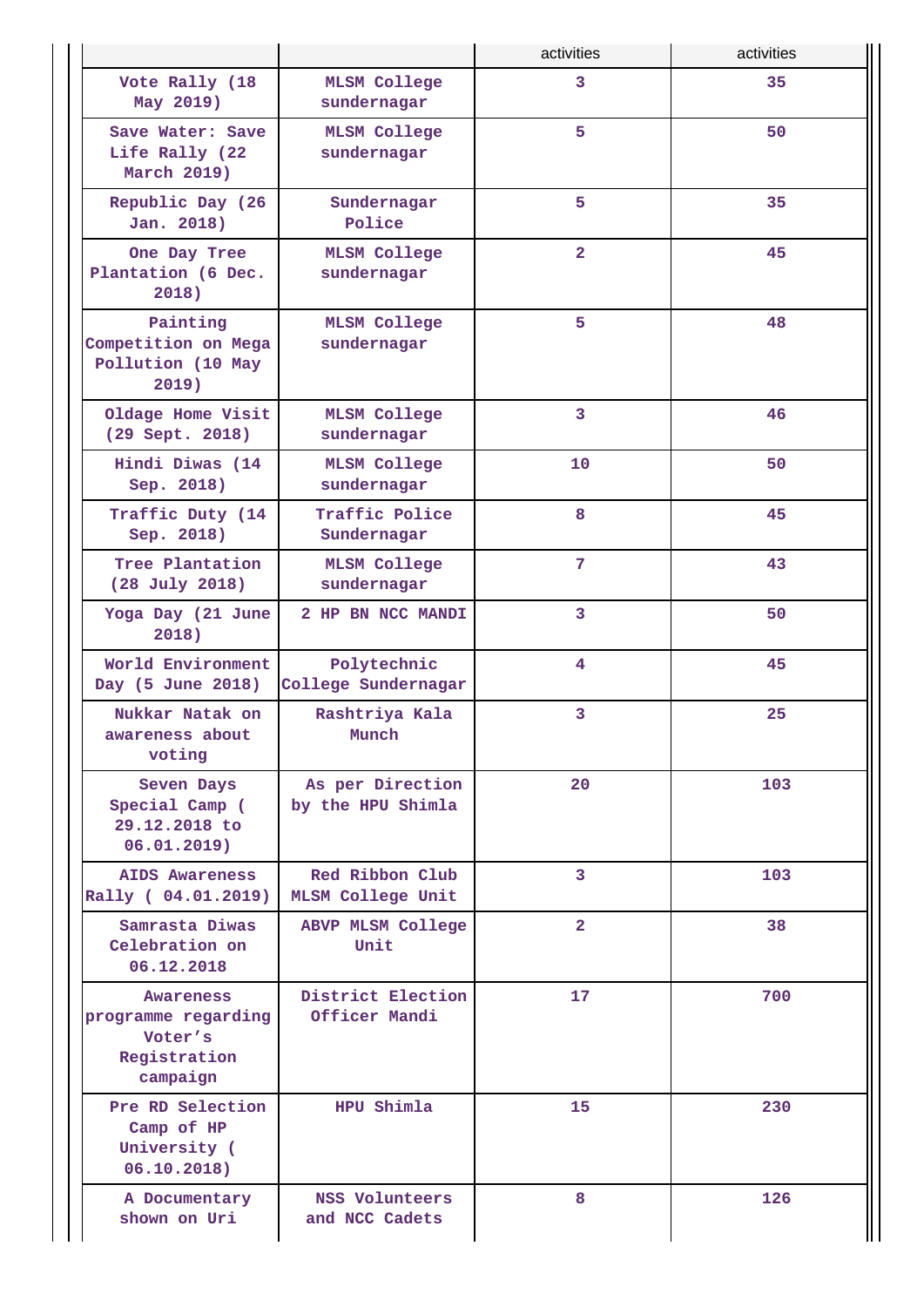|                                                                         |                                             | activities      | activities |
|-------------------------------------------------------------------------|---------------------------------------------|-----------------|------------|
| Vote Rally (18<br>May 2019)                                             | <b>MLSM College</b><br>sundernagar          | $\overline{3}$  | 35         |
| Save Water: Save<br>Life Rally (22<br>March 2019)                       | <b>MLSM College</b><br>sundernagar          | 5               | 50         |
| Republic Day (26<br>Jan. 2018)                                          | Sundernagar<br>Police                       |                 | 35         |
| One Day Tree<br>Plantation (6 Dec.<br>2018)                             | <b>MLSM College</b><br>sundernagar          | $\overline{2}$  | 45         |
| Painting<br>Competition on Mega<br>Pollution (10 May<br>$2019$ )        | <b>MLSM College</b><br>sundernagar          | 5               | 48         |
| Oldage Home Visit<br>(29 Sept. 2018)                                    | <b>MLSM College</b><br>sundernagar          | 3               | 46         |
| Hindi Diwas (14<br>Sep. 2018)                                           | <b>MLSM College</b><br>sundernagar          | 10              | 50         |
| Traffic Duty (14<br>Sep. 2018)                                          | Traffic Police<br>Sundernagar               | 8               | 45         |
| Tree Plantation<br>(28 July 2018)                                       | <b>MLSM College</b><br>sundernagar          | 7               | 43         |
| Yoga Day (21 June<br>2018)                                              | 2 HP BN NCC MANDI                           | 3               | 50         |
| World Environment<br>Day (5 June 2018)                                  | Polytechnic<br>College Sundernagar          | 4               | 45         |
| Nukkar Natak on<br>awareness about<br>voting                            | Rashtriya Kala<br>Munch                     | 3               | 25         |
| Seven Days<br>Special Camp (<br>29.12.2018 to<br>06.01.2019)            | As per Direction<br>by the HPU Shimla       | 20              | 103        |
| <b>AIDS Awareness</b><br>Rally ( 04.01.2019)                            | Red Ribbon Club<br><b>MLSM College Unit</b> | $\overline{3}$  | 103        |
| Samrasta Diwas<br>Celebration on<br>06.12.2018                          | ABVP MLSM College<br>Unit                   | $\overline{2}$  | 38         |
| Awareness<br>programme regarding<br>Voter's<br>Registration<br>campaign | District Election<br>Officer Mandi          | 17 <sub>1</sub> | 700        |
| Pre RD Selection<br>Camp of HP<br>University (<br>06.10.2018)           | HPU Shimla                                  |                 | 230        |
| A Documentary<br>shown on Uri                                           | NSS Volunteers<br>and NCC Cadets            | 8               | 126        |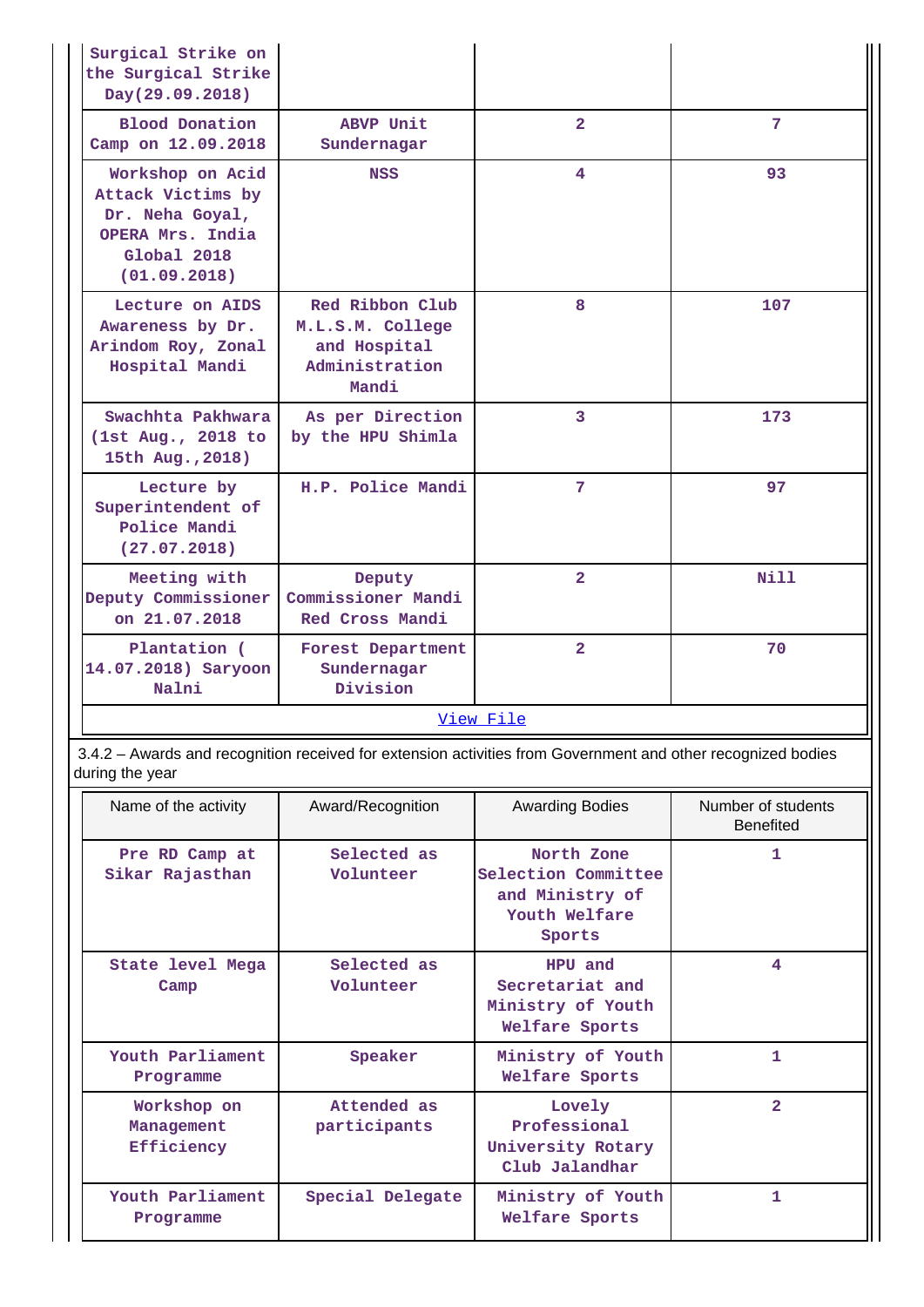| Surgical Strike on<br>the Surgical Strike<br>Day(29.09.2018)                                                |                                                                                |                |      |  |  |  |  |  |
|-------------------------------------------------------------------------------------------------------------|--------------------------------------------------------------------------------|----------------|------|--|--|--|--|--|
| <b>Blood Donation</b><br>Camp on 12.09.2018                                                                 | ABVP Unit<br>Sundernagar                                                       | $\overline{2}$ | 7    |  |  |  |  |  |
| Workshop on Acid<br>Attack Victims by<br>Dr. Neha Goyal,<br>OPERA Mrs. India<br>Global 2018<br>(01.09.2018) | <b>NSS</b>                                                                     | 4              | 93   |  |  |  |  |  |
| Lecture on AIDS<br>Awareness by Dr.<br>Arindom Roy, Zonal<br>Hospital Mandi                                 | Red Ribbon Club<br>M.L.S.M. College<br>and Hospital<br>Administration<br>Mandi |                | 107  |  |  |  |  |  |
| Swachhta Pakhwara<br>(1st Aug., 2018 to<br>15th Aug., 2018)                                                 | As per Direction<br>by the HPU Shimla                                          | $\overline{3}$ | 173  |  |  |  |  |  |
| Lecture by<br>Superintendent of<br>Police Mandi<br>(27.07.2018)                                             | H.P. Police Mandi                                                              | 7              | 97   |  |  |  |  |  |
| Meeting with<br>Deputy Commissioner<br>on 21.07.2018                                                        | Deputy<br>Commissioner Mandi<br>Red Cross Mandi                                | $\overline{2}$ | Nill |  |  |  |  |  |
| Plantation (<br>Forest Department<br>14.07.2018) Saryoon<br>Sundernagar<br>Nalni<br>Division                |                                                                                | $\overline{a}$ | 70   |  |  |  |  |  |
| View File                                                                                                   |                                                                                |                |      |  |  |  |  |  |

 3.4.2 – Awards and recognition received for extension activities from Government and other recognized bodies during the year

| Name of the activity                                                   | Award/Recognition        | <b>Awarding Bodies</b><br>Number of students<br><b>Benefited</b>                |                |  |  |
|------------------------------------------------------------------------|--------------------------|---------------------------------------------------------------------------------|----------------|--|--|
| Pre RD Camp at<br>Sikar Rajasthan                                      | Selected as<br>Volunteer | North Zone<br>Selection Committee<br>and Ministry of<br>Youth Welfare<br>Sports | 1.             |  |  |
| State level Mega<br>Camp                                               | Selected as<br>Volunteer | HPU and<br>Secretariat and<br>Ministry of Youth<br>Welfare Sports               | 4              |  |  |
| Youth Parliament<br>Programme                                          | Speaker                  | Ministry of Youth<br>Welfare Sports                                             | 1.             |  |  |
| Attended as<br>Workshop on<br>participants<br>Management<br>Efficiency |                          | Lovely<br>Professional<br>University Rotary<br>Club Jalandhar                   | $\overline{2}$ |  |  |
| Youth Parliament<br>Programme                                          | Special Delegate         | Ministry of Youth<br>Welfare Sports                                             | 1.             |  |  |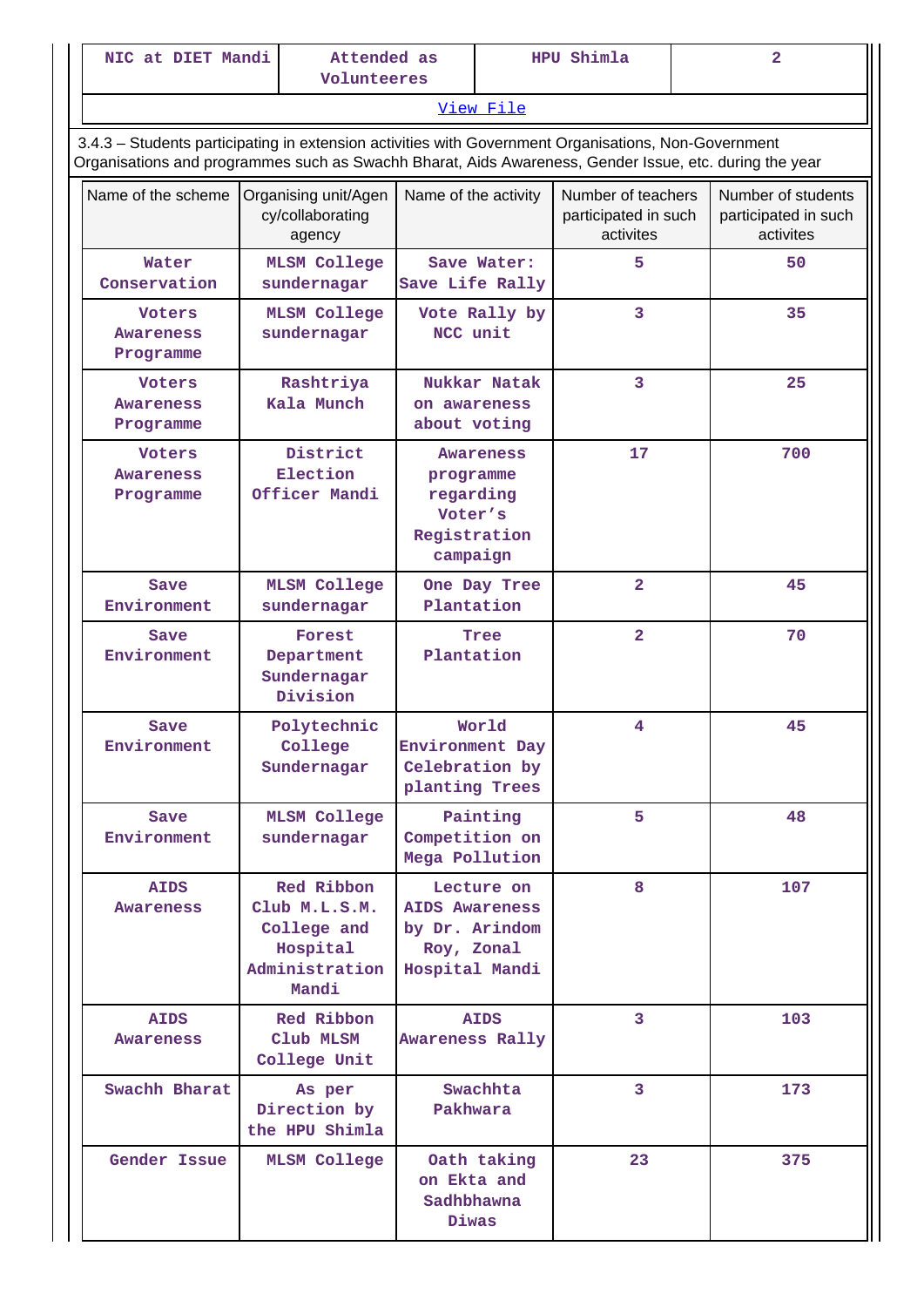| NIC at DIET Mandi                                                                                                                                                                                              |                                    | Attended as<br>Volunteeres                                                        |                                                                            | HPU Shimla    |                                                         | $\overline{2}$ |                                                         |
|----------------------------------------------------------------------------------------------------------------------------------------------------------------------------------------------------------------|------------------------------------|-----------------------------------------------------------------------------------|----------------------------------------------------------------------------|---------------|---------------------------------------------------------|----------------|---------------------------------------------------------|
|                                                                                                                                                                                                                |                                    |                                                                                   |                                                                            | View File     |                                                         |                |                                                         |
| 3.4.3 - Students participating in extension activities with Government Organisations, Non-Government<br>Organisations and programmes such as Swachh Bharat, Aids Awareness, Gender Issue, etc. during the year |                                    |                                                                                   |                                                                            |               |                                                         |                |                                                         |
| Name of the scheme                                                                                                                                                                                             |                                    | Organising unit/Agen<br>cy/collaborating<br>agency                                | Name of the activity                                                       |               | Number of teachers<br>participated in such<br>activites |                | Number of students<br>participated in such<br>activites |
| Water<br>Conservation                                                                                                                                                                                          |                                    | <b>MLSM College</b><br>sundernagar                                                | Save Water:<br>Save Life Rally                                             |               | 5                                                       |                | 50                                                      |
| <b>Voters</b><br>Awareness<br>Programme                                                                                                                                                                        | <b>MLSM College</b><br>sundernagar |                                                                                   | NCC unit                                                                   | Vote Rally by | 3                                                       |                | 35                                                      |
| <b>Voters</b><br><b>Awareness</b><br>Programme                                                                                                                                                                 |                                    | Rashtriya<br>Kala Munch                                                           | Nukkar Natak<br>on awareness<br>about voting                               |               | 3                                                       |                | 25                                                      |
| <b>Voters</b><br><b>Awareness</b><br>Programme                                                                                                                                                                 |                                    | District<br>Election<br>Officer Mandi                                             | Awareness<br>programme<br>regarding<br>Voter's<br>Registration<br>campaign |               | 17                                                      |                | 700                                                     |
| Save<br>Environment                                                                                                                                                                                            | <b>MLSM College</b><br>sundernagar |                                                                                   | One Day Tree<br>Plantation                                                 |               | $\overline{a}$                                          |                | 45                                                      |
| Save<br>Environment                                                                                                                                                                                            |                                    | Forest<br>Department<br>Sundernagar<br>Division                                   | Tree<br>Plantation                                                         |               | $\overline{2}$                                          |                | 70                                                      |
| Save<br>Environment                                                                                                                                                                                            |                                    | Polytechnic<br>College<br>Sundernagar                                             | World<br>Environment Day<br>Celebration by<br>planting Trees               |               | 4                                                       |                | 45                                                      |
| Save<br>Environment                                                                                                                                                                                            |                                    | <b>MLSM College</b><br>sundernagar                                                | Competition on<br>Mega Pollution                                           | Painting      | 5                                                       |                | 48                                                      |
| <b>AIDS</b><br><b>Awareness</b>                                                                                                                                                                                |                                    | Red Ribbon<br>Club M.L.S.M.<br>College and<br>Hospital<br>Administration<br>Mandi | <b>AIDS Awareness</b><br>by Dr. Arindom<br>Roy, Zonal<br>Hospital Mandi    | Lecture on    | 8                                                       |                | 107                                                     |
| <b>AIDS</b><br>Awareness                                                                                                                                                                                       |                                    | Red Ribbon<br>Club MLSM<br>College Unit                                           | Awareness Rally                                                            | <b>AIDS</b>   | 3                                                       |                | 103                                                     |
| Swachh Bharat                                                                                                                                                                                                  |                                    | As per<br>Direction by<br>the HPU Shimla                                          | Pakhwara                                                                   | Swachhta      | 3                                                       |                | 173                                                     |
| Gender Issue                                                                                                                                                                                                   |                                    | <b>MLSM College</b>                                                               | on Ekta and<br>Sadhbhawna<br>Diwas                                         | Oath taking   | 23                                                      |                | 375                                                     |

H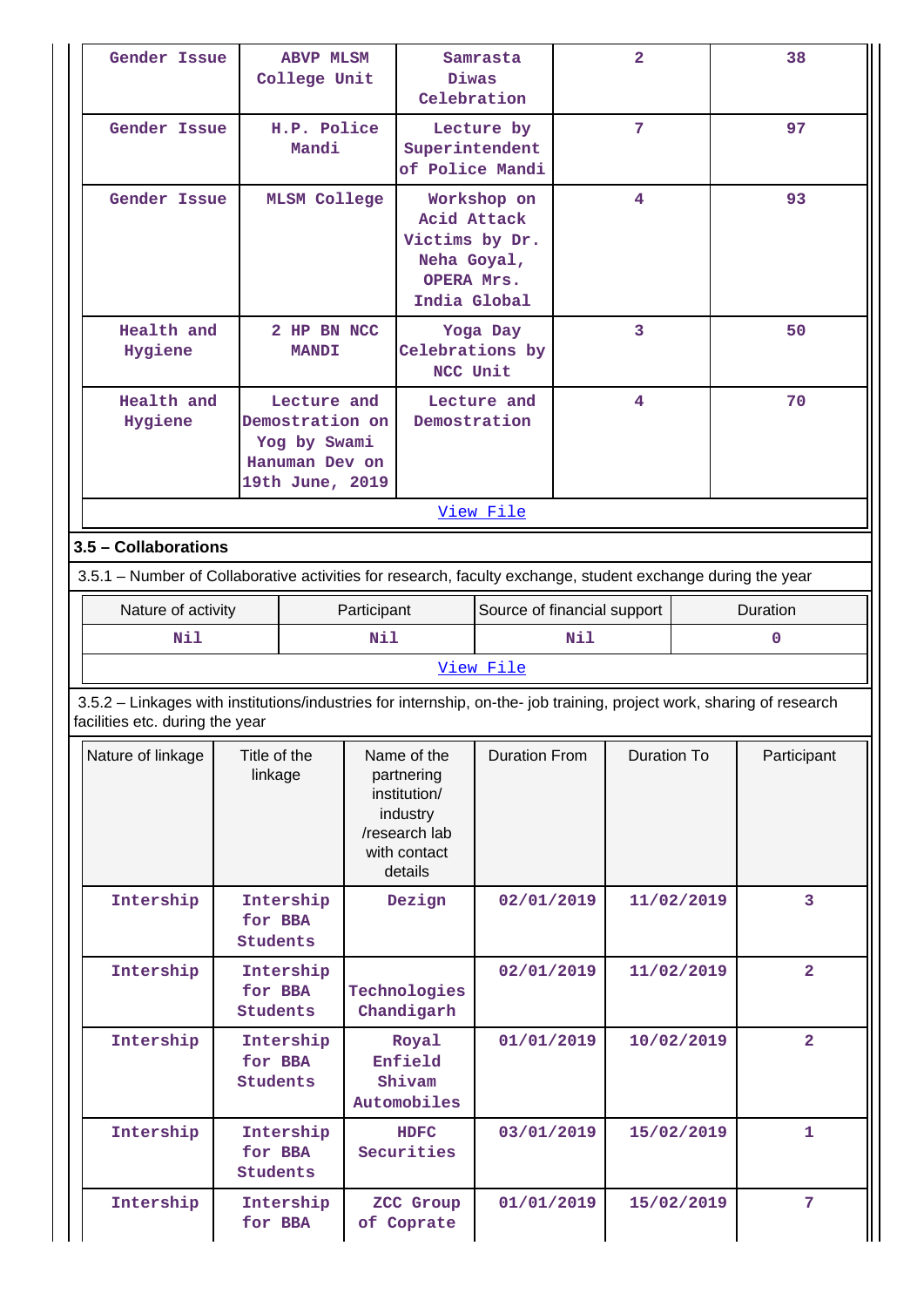| Gender Issue                                                                                                                                             | <b>ABVP MLSM</b><br>College Unit                                                                  |             | Diwas                                                                                             | Samrasta<br>Celebration                         |     | $\overline{2}$     |            | 38             |
|----------------------------------------------------------------------------------------------------------------------------------------------------------|---------------------------------------------------------------------------------------------------|-------------|---------------------------------------------------------------------------------------------------|-------------------------------------------------|-----|--------------------|------------|----------------|
| Gender Issue                                                                                                                                             | Mandi                                                                                             | H.P. Police |                                                                                                   | Lecture by<br>Superintendent<br>of Police Mandi |     | 7                  |            | 97             |
|                                                                                                                                                          | Gender Issue<br><b>MLSM College</b>                                                               |             | Victims by Dr.<br>Neha Goyal,<br>OPERA Mrs.                                                       | Workshop on<br>Acid Attack<br>India Global      |     | 4                  |            | 93             |
| Health and<br>Hygiene                                                                                                                                    | <b>MANDI</b>                                                                                      | 2 HP BN NCC | NCC Unit                                                                                          | Yoga Day<br>Celebrations by                     |     | 3                  |            | 50             |
| Hygiene                                                                                                                                                  | Health and<br>Lecture and<br>Demostration on<br>Yog by Swami<br>Hanuman Dev on<br>19th June, 2019 |             |                                                                                                   | Lecture and<br>Demostration                     |     | 4                  |            | 70             |
|                                                                                                                                                          |                                                                                                   |             |                                                                                                   | View File                                       |     |                    |            |                |
| 3.5 - Collaborations                                                                                                                                     |                                                                                                   |             |                                                                                                   |                                                 |     |                    |            |                |
| 3.5.1 – Number of Collaborative activities for research, faculty exchange, student exchange during the year                                              |                                                                                                   |             |                                                                                                   |                                                 |     |                    |            |                |
| Nature of activity                                                                                                                                       |                                                                                                   | Participant |                                                                                                   | Source of financial support                     |     |                    |            | Duration       |
| Nil                                                                                                                                                      |                                                                                                   | Nil         |                                                                                                   |                                                 | Nil |                    |            | 0              |
|                                                                                                                                                          |                                                                                                   |             |                                                                                                   | View File                                       |     |                    |            |                |
| 3.5.2 - Linkages with institutions/industries for internship, on-the- job training, project work, sharing of research<br>facilities etc. during the year |                                                                                                   |             |                                                                                                   |                                                 |     |                    |            |                |
| Nature of linkage                                                                                                                                        | Title of the<br>linkage                                                                           |             | Name of the<br>partnering<br>institution/<br>industry<br>/research lab<br>with contact<br>details | <b>Duration From</b>                            |     | <b>Duration To</b> |            | Participant    |
| Intership                                                                                                                                                | Intership<br>for BBA<br><b>Students</b>                                                           |             | Dezign                                                                                            | 02/01/2019                                      |     |                    | 11/02/2019 | 3              |
| Intership                                                                                                                                                | Intership<br>for BBA<br><b>Students</b>                                                           |             | Technologies<br>Chandigarh                                                                        | 02/01/2019                                      |     |                    | 11/02/2019 | $\overline{2}$ |
| Intership                                                                                                                                                | Intership<br>for BBA<br><b>Students</b>                                                           |             | Royal<br>Enfield<br>Shivam<br>Automobiles                                                         | 01/01/2019                                      |     |                    | 10/02/2019 | $\overline{a}$ |
| Intership                                                                                                                                                | Intership<br>for BBA<br><b>Students</b>                                                           |             | <b>HDFC</b><br>Securities                                                                         | 03/01/2019                                      |     | 15/02/2019         |            | 1              |
| Intership                                                                                                                                                | Intership<br>for BBA                                                                              |             | ZCC Group<br>of Coprate                                                                           | 01/01/2019                                      |     |                    | 15/02/2019 | 7              |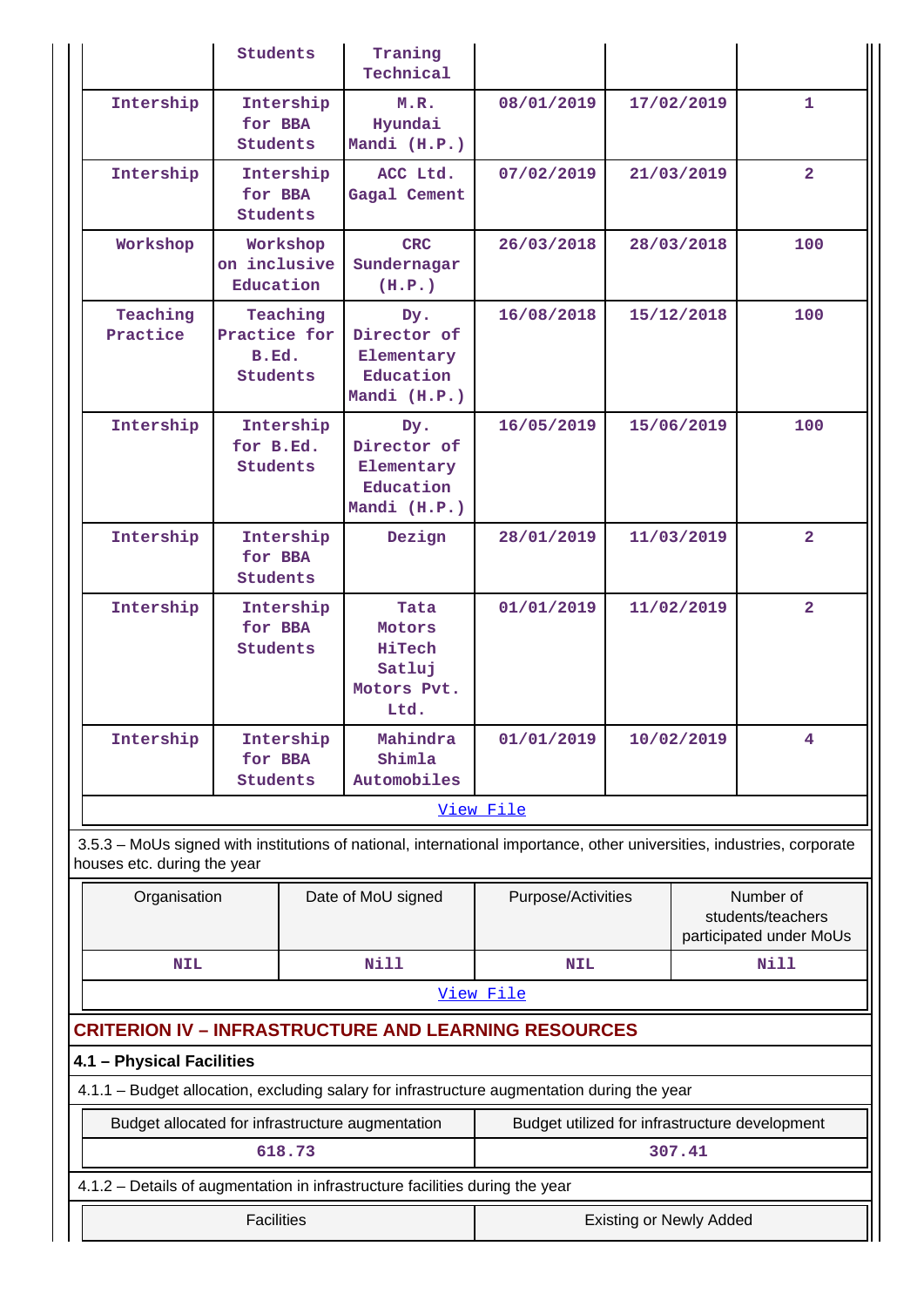|                                                             | <b>Students</b>                                                                                                                     |           | Traning<br>Technical                                             |                                                                                                                        |            |            |                                                           |  |  |
|-------------------------------------------------------------|-------------------------------------------------------------------------------------------------------------------------------------|-----------|------------------------------------------------------------------|------------------------------------------------------------------------------------------------------------------------|------------|------------|-----------------------------------------------------------|--|--|
| Intership                                                   | for BBA<br><b>Students</b>                                                                                                          | Intership | M.R.<br>Hyundai<br>Mandi (H.P.)                                  | 08/01/2019                                                                                                             |            | 17/02/2019 | 1.                                                        |  |  |
| Intership                                                   | for BBA<br><b>Students</b>                                                                                                          | Intership | ACC Ltd.<br>Gagal Cement                                         | 07/02/2019                                                                                                             |            | 21/03/2019 | $\overline{2}$                                            |  |  |
| Workshop                                                    | on inclusive<br>Education                                                                                                           | Workshop  | <b>CRC</b><br>Sundernagar<br>(H.P.)                              | 26/03/2018                                                                                                             |            | 28/03/2018 | 100                                                       |  |  |
| Teaching<br>Practice                                        | Practice for<br>B.Ed.<br>Students                                                                                                   | Teaching  | Dy.<br>Director of<br>Elementary<br>Education<br>Mandi (H.P.)    | 16/08/2018                                                                                                             |            | 15/12/2018 | 100                                                       |  |  |
| Intership                                                   | Intership<br>for B.Ed.<br>Students                                                                                                  |           | Dy.<br>Director of<br>Elementary<br>Education<br>Mandi (H.P.)    | 16/05/2019                                                                                                             |            | 15/06/2019 | 100                                                       |  |  |
| Intership                                                   | for BBA<br><b>Students</b>                                                                                                          | Intership | Dezign                                                           | 28/01/2019                                                                                                             |            | 11/03/2019 | 2 <sup>1</sup>                                            |  |  |
| Intership                                                   | for BBA<br><b>Students</b>                                                                                                          | Intership | Tata<br>Motors<br><b>HiTech</b><br>Satluj<br>Motors Pvt.<br>Ltd. | 01/01/2019                                                                                                             | 11/02/2019 |            | $\overline{2}$                                            |  |  |
| Intership                                                   | for BBA<br>Students                                                                                                                 | Intership | Mahindra<br>Shimla<br>Automobiles                                | 01/01/2019                                                                                                             |            | 10/02/2019 | 4                                                         |  |  |
|                                                             |                                                                                                                                     |           |                                                                  | View File                                                                                                              |            |            |                                                           |  |  |
| houses etc. during the year                                 |                                                                                                                                     |           |                                                                  | 3.5.3 - MoUs signed with institutions of national, international importance, other universities, industries, corporate |            |            |                                                           |  |  |
| Organisation                                                |                                                                                                                                     |           | Date of MoU signed                                               | Purpose/Activities                                                                                                     |            |            | Number of<br>students/teachers<br>participated under MoUs |  |  |
| <b>NIL</b>                                                  |                                                                                                                                     |           | <b>Nill</b>                                                      | <b>NIL</b>                                                                                                             |            |            | <b>Nill</b>                                               |  |  |
|                                                             |                                                                                                                                     |           |                                                                  | View File                                                                                                              |            |            |                                                           |  |  |
| <b>CRITERION IV - INFRASTRUCTURE AND LEARNING RESOURCES</b> |                                                                                                                                     |           |                                                                  |                                                                                                                        |            |            |                                                           |  |  |
| 4.1 - Physical Facilities                                   |                                                                                                                                     |           |                                                                  |                                                                                                                        |            |            |                                                           |  |  |
|                                                             |                                                                                                                                     |           |                                                                  | 4.1.1 - Budget allocation, excluding salary for infrastructure augmentation during the year                            |            |            |                                                           |  |  |
|                                                             |                                                                                                                                     | 618.73    | Budget allocated for infrastructure augmentation                 | Budget utilized for infrastructure development                                                                         |            | 307.41     |                                                           |  |  |
|                                                             |                                                                                                                                     |           |                                                                  |                                                                                                                        |            |            |                                                           |  |  |
|                                                             | 4.1.2 - Details of augmentation in infrastructure facilities during the year<br><b>Facilities</b><br><b>Existing or Newly Added</b> |           |                                                                  |                                                                                                                        |            |            |                                                           |  |  |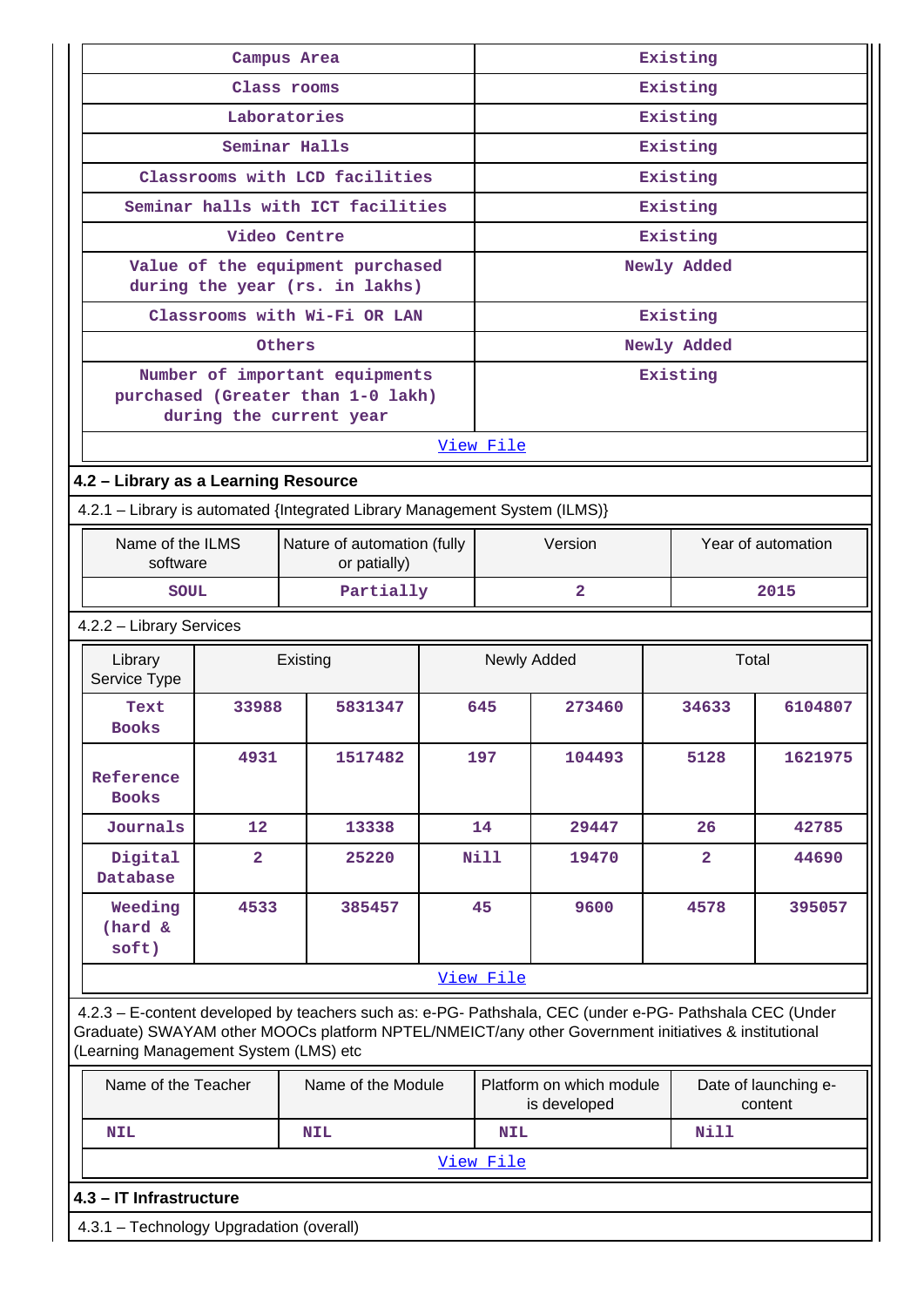|                                      |                | Campus Area                                                                                    | Existing |                      |                                                                                                                                                                                                                                                         |                |                                 |  |  |  |  |
|--------------------------------------|----------------|------------------------------------------------------------------------------------------------|----------|----------------------|---------------------------------------------------------------------------------------------------------------------------------------------------------------------------------------------------------------------------------------------------------|----------------|---------------------------------|--|--|--|--|
|                                      |                | Class rooms                                                                                    |          | Existing             |                                                                                                                                                                                                                                                         |                |                                 |  |  |  |  |
|                                      |                | Laboratories                                                                                   | Existing |                      |                                                                                                                                                                                                                                                         |                |                                 |  |  |  |  |
|                                      |                | Seminar Halls                                                                                  |          |                      | Existing                                                                                                                                                                                                                                                |                |                                 |  |  |  |  |
|                                      |                | Classrooms with LCD facilities                                                                 |          |                      |                                                                                                                                                                                                                                                         | Existing       |                                 |  |  |  |  |
|                                      |                | Seminar halls with ICT facilities                                                              |          |                      |                                                                                                                                                                                                                                                         | Existing       |                                 |  |  |  |  |
|                                      |                | Video Centre                                                                                   |          |                      |                                                                                                                                                                                                                                                         | Existing       |                                 |  |  |  |  |
|                                      |                | Value of the equipment purchased<br>during the year (rs. in lakhs)                             |          |                      |                                                                                                                                                                                                                                                         | Newly Added    |                                 |  |  |  |  |
|                                      |                | Classrooms with Wi-Fi OR LAN                                                                   |          |                      |                                                                                                                                                                                                                                                         | Existing       |                                 |  |  |  |  |
|                                      |                | Others                                                                                         |          |                      |                                                                                                                                                                                                                                                         | Newly Added    |                                 |  |  |  |  |
|                                      |                | Number of important equipments<br>purchased (Greater than 1-0 lakh)<br>during the current year |          |                      |                                                                                                                                                                                                                                                         | Existing       |                                 |  |  |  |  |
|                                      |                |                                                                                                |          | View File            |                                                                                                                                                                                                                                                         |                |                                 |  |  |  |  |
| 4.2 - Library as a Learning Resource |                |                                                                                                |          |                      |                                                                                                                                                                                                                                                         |                |                                 |  |  |  |  |
|                                      |                | 4.2.1 - Library is automated {Integrated Library Management System (ILMS)}                     |          |                      |                                                                                                                                                                                                                                                         |                |                                 |  |  |  |  |
| Name of the ILMS<br>software         |                | Nature of automation (fully<br>or patially)                                                    |          |                      | Version                                                                                                                                                                                                                                                 |                | Year of automation              |  |  |  |  |
| SOUL                                 |                | Partially                                                                                      |          | $\mathbf{2}$<br>2015 |                                                                                                                                                                                                                                                         |                |                                 |  |  |  |  |
| 4.2.2 - Library Services             |                |                                                                                                |          |                      |                                                                                                                                                                                                                                                         |                |                                 |  |  |  |  |
| Library<br>Service Type              | Existing       |                                                                                                |          |                      | Total<br>Newly Added                                                                                                                                                                                                                                    |                |                                 |  |  |  |  |
| Text<br><b>Books</b>                 | 33988          | 5831347                                                                                        |          | 645                  | 273460                                                                                                                                                                                                                                                  | 34633          | 6104807                         |  |  |  |  |
| Reference<br><b>Books</b>            | 4931           | 1517482                                                                                        |          | 197                  | 104493                                                                                                                                                                                                                                                  | 5128           | 1621975                         |  |  |  |  |
| Journals                             | 12             | 13338                                                                                          |          | 14                   | 29447                                                                                                                                                                                                                                                   | 26             | 42785                           |  |  |  |  |
| Digital<br><b>Database</b>           | $\overline{2}$ | 25220                                                                                          |          | Nill                 | 19470                                                                                                                                                                                                                                                   | $\overline{2}$ | 44690                           |  |  |  |  |
| Weeding<br>(hard &<br>soft)          | 4533           | 385457                                                                                         |          | 45                   | 9600                                                                                                                                                                                                                                                    | 4578           | 395057                          |  |  |  |  |
| View File                            |                |                                                                                                |          |                      |                                                                                                                                                                                                                                                         |                |                                 |  |  |  |  |
|                                      |                |                                                                                                |          |                      | 4.2.3 - E-content developed by teachers such as: e-PG- Pathshala, CEC (under e-PG- Pathshala CEC (Under<br>Graduate) SWAYAM other MOOCs platform NPTEL/NMEICT/any other Government initiatives & institutional<br>(Learning Management System (LMS) etc |                |                                 |  |  |  |  |
|                                      |                |                                                                                                |          |                      |                                                                                                                                                                                                                                                         |                |                                 |  |  |  |  |
| Name of the Teacher                  |                | Name of the Module                                                                             |          |                      | Platform on which module<br>is developed                                                                                                                                                                                                                |                | Date of launching e-<br>content |  |  |  |  |
| <b>NIL</b>                           |                | <b>NIL</b>                                                                                     |          | <b>NIL</b>           |                                                                                                                                                                                                                                                         | <b>Nill</b>    |                                 |  |  |  |  |
|                                      |                |                                                                                                |          | View File            |                                                                                                                                                                                                                                                         |                |                                 |  |  |  |  |
| 4.3 - IT Infrastructure              |                |                                                                                                |          |                      |                                                                                                                                                                                                                                                         |                |                                 |  |  |  |  |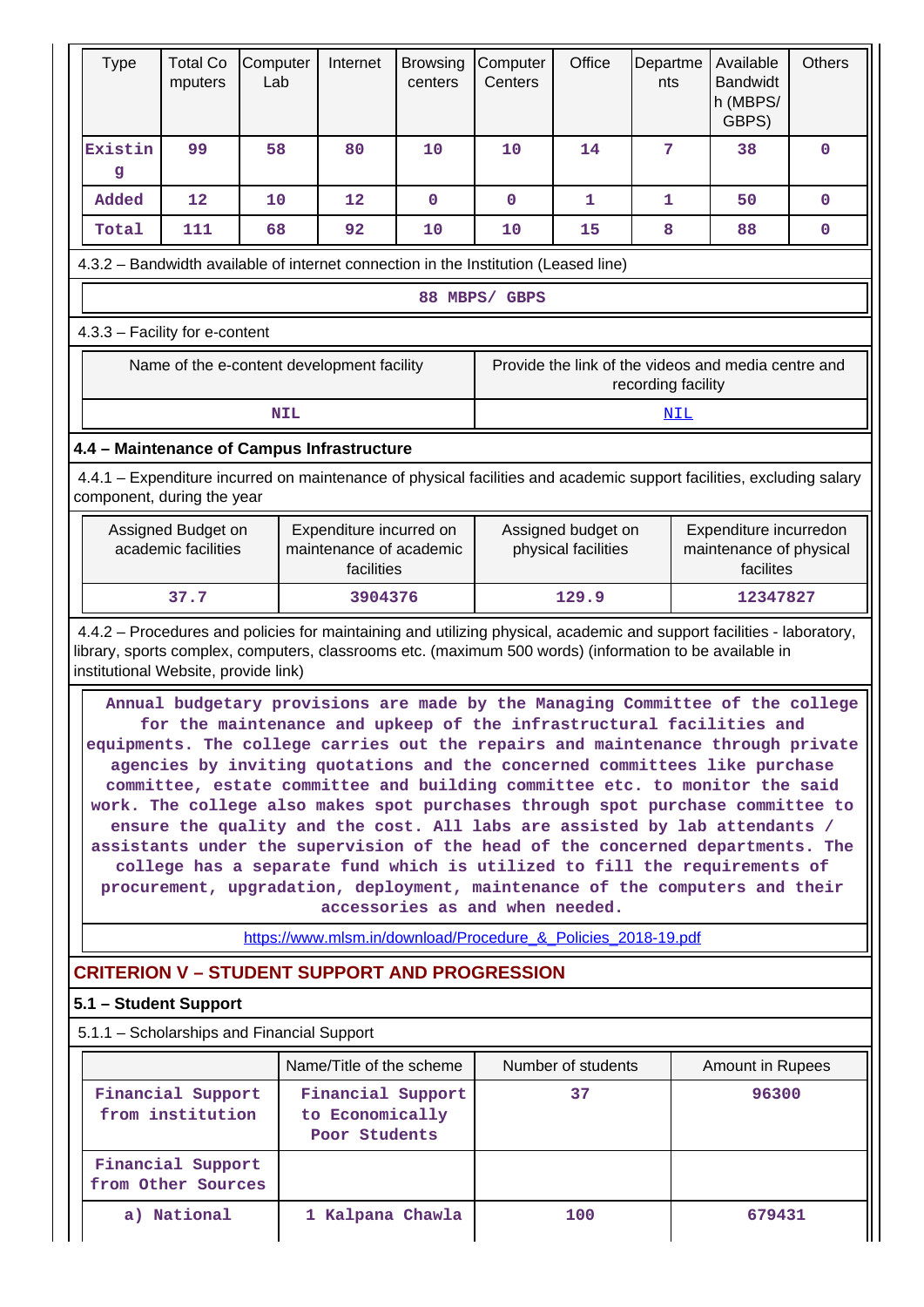| <b>Type</b>                                                                                                                                                                                                                                                              | <b>Total Co</b><br>mputers                                                                                                                                                                                                                                                                                                                                                                                                                                                                                                                                                                                                                                                                                                                                                                                                                              | Computer<br>Lab | Internet                                              | <b>Browsing</b><br>centers | Computer<br>Centers                                           | Office             | Departme<br>nts | Available<br><b>Bandwidt</b><br>h (MBPS/<br>GBPS)              | <b>Others</b> |  |  |
|--------------------------------------------------------------------------------------------------------------------------------------------------------------------------------------------------------------------------------------------------------------------------|---------------------------------------------------------------------------------------------------------------------------------------------------------------------------------------------------------------------------------------------------------------------------------------------------------------------------------------------------------------------------------------------------------------------------------------------------------------------------------------------------------------------------------------------------------------------------------------------------------------------------------------------------------------------------------------------------------------------------------------------------------------------------------------------------------------------------------------------------------|-----------------|-------------------------------------------------------|----------------------------|---------------------------------------------------------------|--------------------|-----------------|----------------------------------------------------------------|---------------|--|--|
| Existin<br>g                                                                                                                                                                                                                                                             | 99                                                                                                                                                                                                                                                                                                                                                                                                                                                                                                                                                                                                                                                                                                                                                                                                                                                      | 58              | 80                                                    | 10                         | 10                                                            | 14                 | 7               | 38                                                             | $\mathbf 0$   |  |  |
| Added                                                                                                                                                                                                                                                                    | 12                                                                                                                                                                                                                                                                                                                                                                                                                                                                                                                                                                                                                                                                                                                                                                                                                                                      | 10              | 12                                                    | $\mathbf 0$                | $\mathbf 0$                                                   | 1                  | $\mathbf{1}$    | 50                                                             | $\mathbf 0$   |  |  |
| Total                                                                                                                                                                                                                                                                    | 111                                                                                                                                                                                                                                                                                                                                                                                                                                                                                                                                                                                                                                                                                                                                                                                                                                                     | 68              | 92                                                    | 10                         | 10                                                            | 15                 | 8               | 88                                                             | $\pmb{0}$     |  |  |
| 4.3.2 - Bandwidth available of internet connection in the Institution (Leased line)                                                                                                                                                                                      |                                                                                                                                                                                                                                                                                                                                                                                                                                                                                                                                                                                                                                                                                                                                                                                                                                                         |                 |                                                       |                            |                                                               |                    |                 |                                                                |               |  |  |
| 88 MBPS/ GBPS                                                                                                                                                                                                                                                            |                                                                                                                                                                                                                                                                                                                                                                                                                                                                                                                                                                                                                                                                                                                                                                                                                                                         |                 |                                                       |                            |                                                               |                    |                 |                                                                |               |  |  |
|                                                                                                                                                                                                                                                                          | 4.3.3 - Facility for e-content                                                                                                                                                                                                                                                                                                                                                                                                                                                                                                                                                                                                                                                                                                                                                                                                                          |                 |                                                       |                            |                                                               |                    |                 |                                                                |               |  |  |
| Name of the e-content development facility<br>Provide the link of the videos and media centre and<br>recording facility                                                                                                                                                  |                                                                                                                                                                                                                                                                                                                                                                                                                                                                                                                                                                                                                                                                                                                                                                                                                                                         |                 |                                                       |                            |                                                               |                    |                 |                                                                |               |  |  |
|                                                                                                                                                                                                                                                                          |                                                                                                                                                                                                                                                                                                                                                                                                                                                                                                                                                                                                                                                                                                                                                                                                                                                         | <b>NIL</b>      |                                                       |                            |                                                               |                    | <u>NIL</u>      |                                                                |               |  |  |
| 4.4 - Maintenance of Campus Infrastructure                                                                                                                                                                                                                               |                                                                                                                                                                                                                                                                                                                                                                                                                                                                                                                                                                                                                                                                                                                                                                                                                                                         |                 |                                                       |                            |                                                               |                    |                 |                                                                |               |  |  |
| 4.4.1 – Expenditure incurred on maintenance of physical facilities and academic support facilities, excluding salary<br>component, during the year                                                                                                                       |                                                                                                                                                                                                                                                                                                                                                                                                                                                                                                                                                                                                                                                                                                                                                                                                                                                         |                 |                                                       |                            |                                                               |                    |                 |                                                                |               |  |  |
|                                                                                                                                                                                                                                                                          | Assigned Budget on<br>Expenditure incurred on<br>academic facilities<br>maintenance of academic<br>facilities                                                                                                                                                                                                                                                                                                                                                                                                                                                                                                                                                                                                                                                                                                                                           |                 |                                                       |                            | Assigned budget on<br>physical facilities                     |                    |                 | Expenditure incurredon<br>maintenance of physical<br>facilites |               |  |  |
|                                                                                                                                                                                                                                                                          | 37.7                                                                                                                                                                                                                                                                                                                                                                                                                                                                                                                                                                                                                                                                                                                                                                                                                                                    |                 | 3904376                                               |                            | 129.9<br>12347827                                             |                    |                 |                                                                |               |  |  |
| 4.4.2 - Procedures and policies for maintaining and utilizing physical, academic and support facilities - laboratory,<br>library, sports complex, computers, classrooms etc. (maximum 500 words) (information to be available in<br>institutional Website, provide link) |                                                                                                                                                                                                                                                                                                                                                                                                                                                                                                                                                                                                                                                                                                                                                                                                                                                         |                 |                                                       |                            |                                                               |                    |                 |                                                                |               |  |  |
|                                                                                                                                                                                                                                                                          | Annual budgetary provisions are made by the Managing Committee of the college<br>for the maintenance and upkeep of the infrastructural facilities and<br>equipments. The college carries out the repairs and maintenance through private<br>agencies by inviting quotations and the concerned committees like purchase<br>committee, estate committee and building committee etc. to monitor the said<br>work. The college also makes spot purchases through spot purchase committee to<br>ensure the quality and the cost. All labs are assisted by lab attendants /<br>assistants under the supervision of the head of the concerned departments. The<br>college has a separate fund which is utilized to fill the requirements of<br>procurement, upgradation, deployment, maintenance of the computers and their<br>accessories as and when needed. |                 |                                                       |                            |                                                               |                    |                 |                                                                |               |  |  |
|                                                                                                                                                                                                                                                                          |                                                                                                                                                                                                                                                                                                                                                                                                                                                                                                                                                                                                                                                                                                                                                                                                                                                         |                 |                                                       |                            | https://www.mlsm.in/download/Procedure & Policies 2018-19.pdf |                    |                 |                                                                |               |  |  |
| <b>CRITERION V - STUDENT SUPPORT AND PROGRESSION</b>                                                                                                                                                                                                                     |                                                                                                                                                                                                                                                                                                                                                                                                                                                                                                                                                                                                                                                                                                                                                                                                                                                         |                 |                                                       |                            |                                                               |                    |                 |                                                                |               |  |  |
| 5.1 - Student Support                                                                                                                                                                                                                                                    |                                                                                                                                                                                                                                                                                                                                                                                                                                                                                                                                                                                                                                                                                                                                                                                                                                                         |                 |                                                       |                            |                                                               |                    |                 |                                                                |               |  |  |
| 5.1.1 - Scholarships and Financial Support                                                                                                                                                                                                                               |                                                                                                                                                                                                                                                                                                                                                                                                                                                                                                                                                                                                                                                                                                                                                                                                                                                         |                 |                                                       |                            |                                                               |                    |                 |                                                                |               |  |  |
|                                                                                                                                                                                                                                                                          |                                                                                                                                                                                                                                                                                                                                                                                                                                                                                                                                                                                                                                                                                                                                                                                                                                                         |                 | Name/Title of the scheme                              |                            |                                                               | Number of students |                 | Amount in Rupees                                               |               |  |  |
|                                                                                                                                                                                                                                                                          | Financial Support<br>from institution                                                                                                                                                                                                                                                                                                                                                                                                                                                                                                                                                                                                                                                                                                                                                                                                                   |                 | Financial Support<br>to Economically<br>Poor Students |                            |                                                               | 37                 |                 | 96300                                                          |               |  |  |
|                                                                                                                                                                                                                                                                          | Financial Support<br>from Other Sources                                                                                                                                                                                                                                                                                                                                                                                                                                                                                                                                                                                                                                                                                                                                                                                                                 |                 |                                                       |                            |                                                               |                    |                 |                                                                |               |  |  |
|                                                                                                                                                                                                                                                                          | a) National                                                                                                                                                                                                                                                                                                                                                                                                                                                                                                                                                                                                                                                                                                                                                                                                                                             |                 | 1 Kalpana Chawla                                      |                            |                                                               | 100                |                 | 679431                                                         |               |  |  |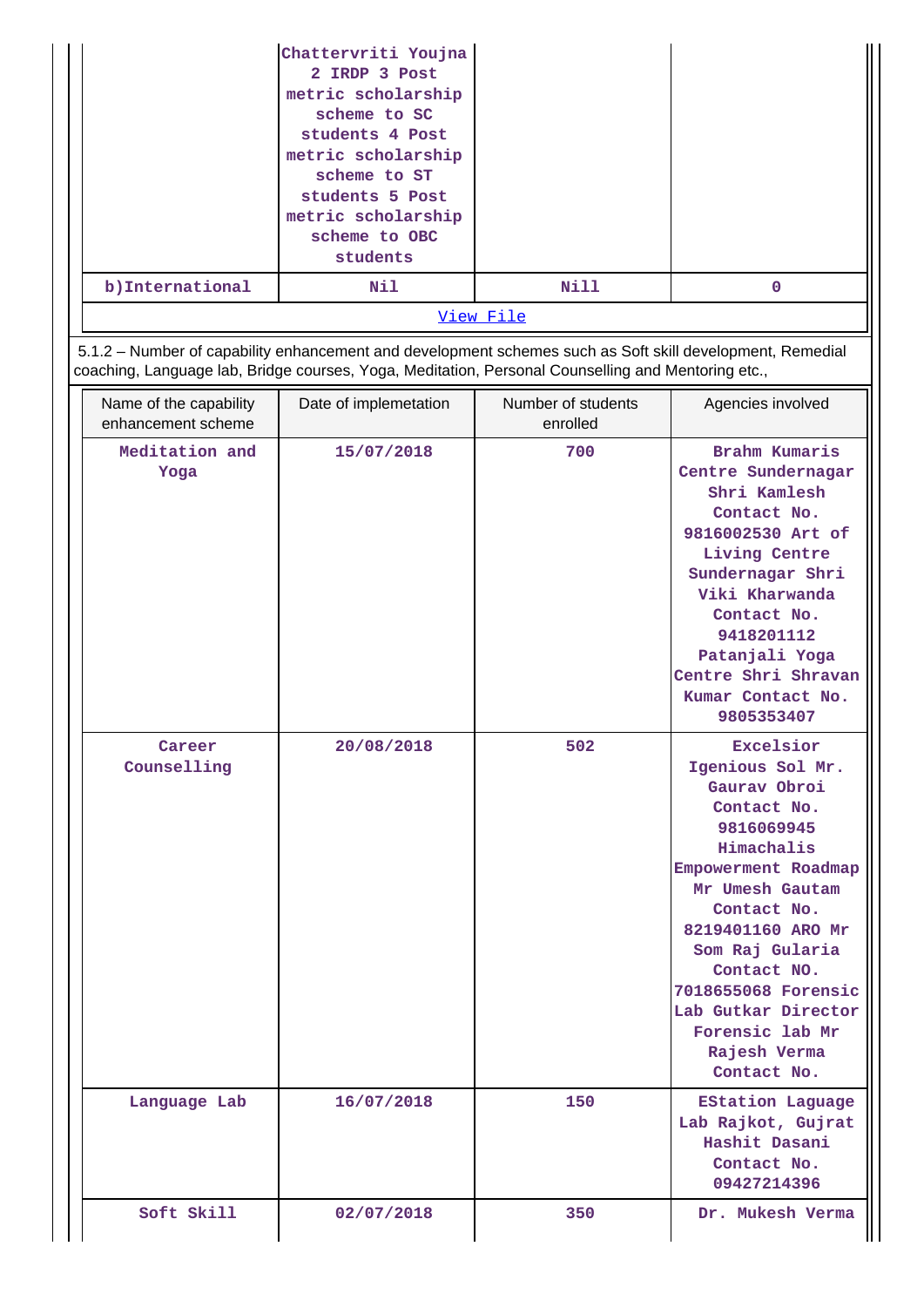| b) International                             | Chattervriti Youjna<br>2 IRDP 3 Post<br>metric scholarship<br>scheme to SC<br>students 4 Post<br>metric scholarship<br>scheme to ST<br>students 5 Post<br>metric scholarship<br>scheme to OBC<br>students<br>Nil | <b>Nill</b>                    | $\mathbf 0$                                                                                                                                                                                                                                                                                              |
|----------------------------------------------|------------------------------------------------------------------------------------------------------------------------------------------------------------------------------------------------------------------|--------------------------------|----------------------------------------------------------------------------------------------------------------------------------------------------------------------------------------------------------------------------------------------------------------------------------------------------------|
|                                              |                                                                                                                                                                                                                  | View File                      |                                                                                                                                                                                                                                                                                                          |
|                                              | 5.1.2 - Number of capability enhancement and development schemes such as Soft skill development, Remedial<br>coaching, Language lab, Bridge courses, Yoga, Meditation, Personal Counselling and Mentoring etc.,  |                                |                                                                                                                                                                                                                                                                                                          |
| Name of the capability<br>enhancement scheme | Date of implemetation                                                                                                                                                                                            | Number of students<br>enrolled | Agencies involved                                                                                                                                                                                                                                                                                        |
| Meditation and<br>Yoga                       | 15/07/2018                                                                                                                                                                                                       | 700                            | Brahm Kumaris<br>Centre Sundernagar<br>Shri Kamlesh<br>Contact No.<br>9816002530 Art of<br>Living Centre<br>Sundernagar Shri<br>Viki Kharwanda<br>Contact No.<br>9418201112<br>Patanjali Yoga<br>Centre Shri Shravan<br>Kumar Contact No.<br>9805353407                                                  |
| Career<br>Counselling                        | 20/08/2018                                                                                                                                                                                                       | 502                            | Excelsior<br>Igenious Sol Mr.<br>Gaurav Obroi<br>Contact No.<br>9816069945<br>Himachalis<br>Empowerment Roadmap<br>Mr Umesh Gautam<br>Contact No.<br>8219401160 ARO Mr<br>Som Raj Gularia<br>Contact NO.<br>7018655068 Forensic<br>Lab Gutkar Director<br>Forensic lab Mr<br>Rajesh Verma<br>Contact No. |
| Language Lab                                 | 16/07/2018                                                                                                                                                                                                       | 150                            | <b>EStation Laguage</b><br>Lab Rajkot, Gujrat<br>Hashit Dasani<br>Contact No.<br>09427214396                                                                                                                                                                                                             |
| Soft Skill                                   | 02/07/2018                                                                                                                                                                                                       | 350                            | Dr. Mukesh Verma                                                                                                                                                                                                                                                                                         |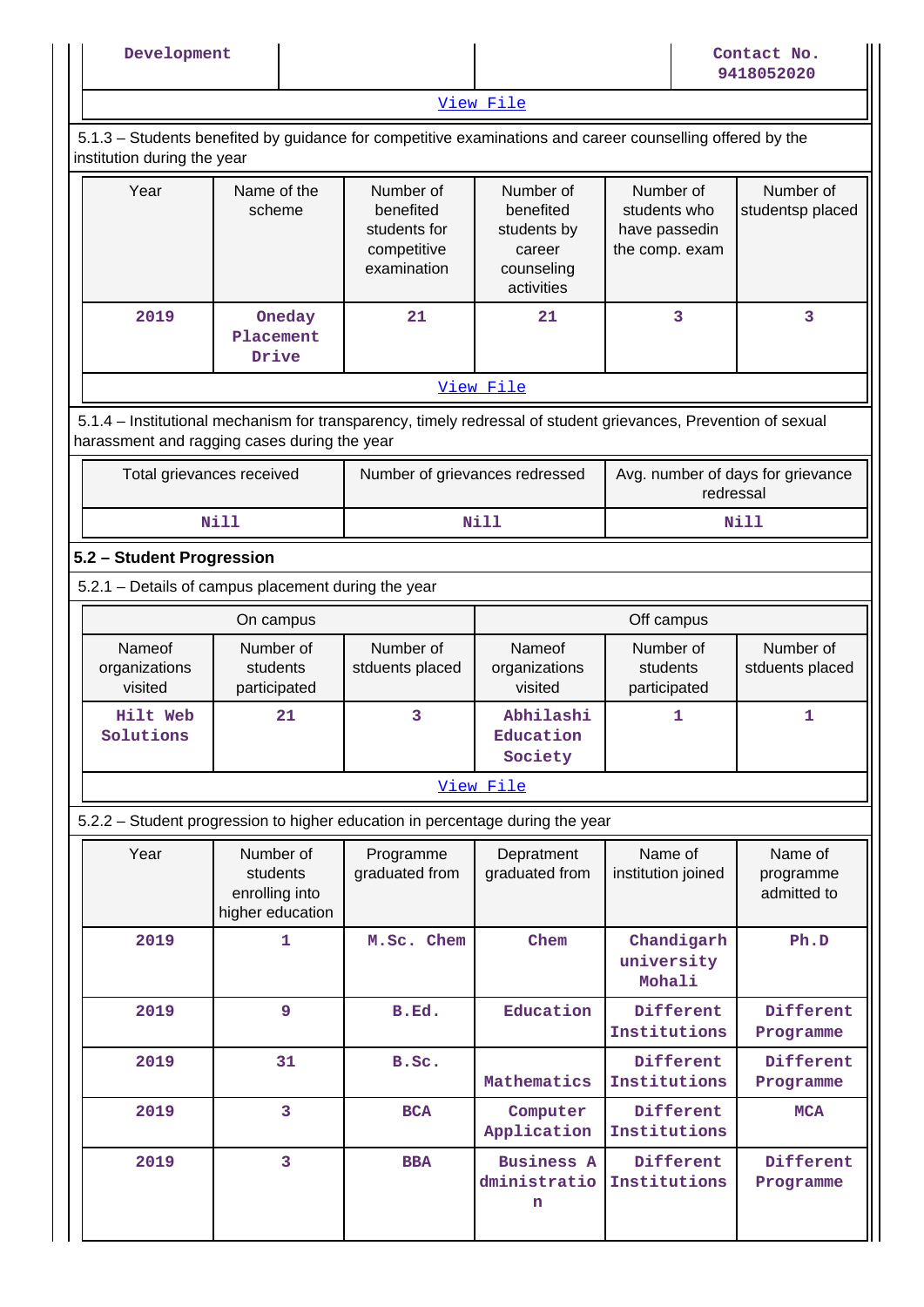| Development                        |                                                                                                                                                                |                                                                      |                                                                             |                                                              | Contact No.<br>9418052020           |
|------------------------------------|----------------------------------------------------------------------------------------------------------------------------------------------------------------|----------------------------------------------------------------------|-----------------------------------------------------------------------------|--------------------------------------------------------------|-------------------------------------|
|                                    |                                                                                                                                                                |                                                                      | View File                                                                   |                                                              |                                     |
| institution during the year        | 5.1.3 – Students benefited by guidance for competitive examinations and career counselling offered by the                                                      |                                                                      |                                                                             |                                                              |                                     |
| Year                               | Name of the<br>scheme                                                                                                                                          | Number of<br>benefited<br>students for<br>competitive<br>examination | Number of<br>benefited<br>students by<br>career<br>counseling<br>activities | Number of<br>students who<br>have passedin<br>the comp. exam | Number of<br>studentsp placed       |
| 2019                               | Oneday<br>Placement<br>Drive                                                                                                                                   | 21                                                                   | 21                                                                          | 3                                                            | 3                                   |
|                                    |                                                                                                                                                                |                                                                      | View File                                                                   |                                                              |                                     |
|                                    | 5.1.4 – Institutional mechanism for transparency, timely redressal of student grievances, Prevention of sexual<br>harassment and ragging cases during the year |                                                                      |                                                                             |                                                              |                                     |
|                                    | Total grievances received                                                                                                                                      | Number of grievances redressed                                       |                                                                             | Avg. number of days for grievance<br>redressal               |                                     |
|                                    | <b>Nill</b>                                                                                                                                                    |                                                                      | <b>Nill</b>                                                                 |                                                              | <b>Nill</b>                         |
| 5.2 - Student Progression          |                                                                                                                                                                |                                                                      |                                                                             |                                                              |                                     |
|                                    | 5.2.1 - Details of campus placement during the year                                                                                                            |                                                                      |                                                                             |                                                              |                                     |
|                                    | On campus                                                                                                                                                      |                                                                      |                                                                             | Off campus                                                   |                                     |
| Nameof<br>organizations<br>visited | Number of<br>students<br>participated                                                                                                                          | Number of<br>stduents placed                                         | Nameof<br>organizations<br>visited                                          | Number of<br>students<br>participated                        | Number of<br>stduents placed        |
| Hilt Web<br>Solutions              | 21                                                                                                                                                             | 3                                                                    | Abhilashi<br>Education<br>Society                                           | 1                                                            | 1                                   |
|                                    |                                                                                                                                                                |                                                                      | View File                                                                   |                                                              |                                     |
|                                    | 5.2.2 - Student progression to higher education in percentage during the year                                                                                  |                                                                      |                                                                             |                                                              |                                     |
| Year                               | Number of<br>students<br>enrolling into<br>higher education                                                                                                    | Programme<br>graduated from                                          | Depratment<br>graduated from                                                | Name of<br>institution joined                                | Name of<br>programme<br>admitted to |
| 2019                               | 1                                                                                                                                                              | M.Sc. Chem                                                           | Chem                                                                        | Chandigarh<br>university<br>Mohali                           | Ph.D                                |
| 2019                               | 9                                                                                                                                                              | B.Ed.                                                                | Education                                                                   | Different<br>Institutions                                    | Different<br>Programme              |
| 2019                               | 31                                                                                                                                                             | B.Sc.                                                                | Mathematics                                                                 | Different<br>Institutions                                    | Different<br>Programme              |
| 2019                               | 3                                                                                                                                                              | <b>BCA</b>                                                           | Computer<br>Application                                                     | Different<br>Institutions                                    | <b>MCA</b>                          |
| 2019                               | 3                                                                                                                                                              | <b>BBA</b>                                                           | <b>Business A</b><br>dministratio<br>n                                      | Different<br>Institutions                                    | Different<br>Programme              |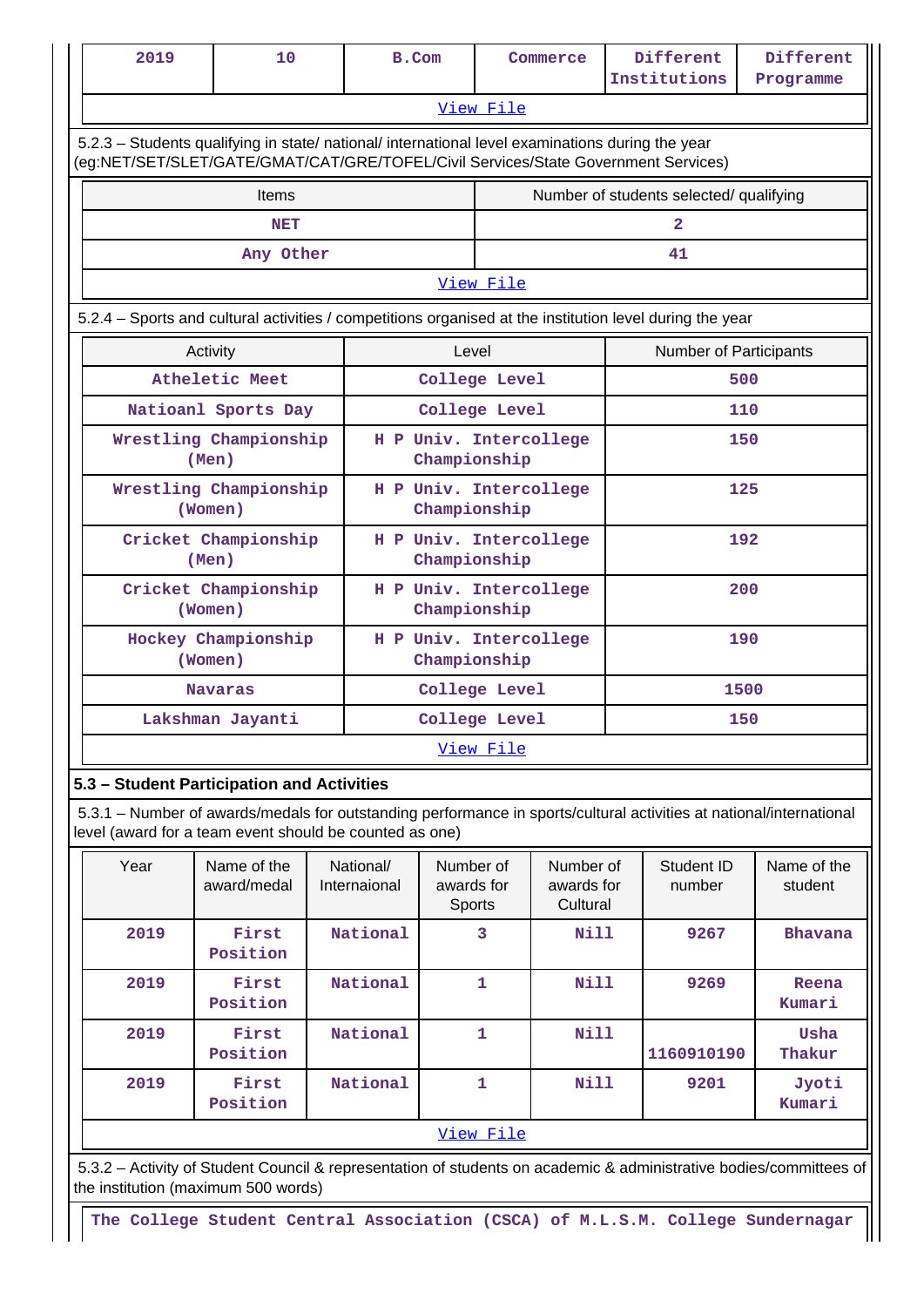|                                                                                                                                                                                        | 2019                                                                                                                       | 10                                         |                                   | B.Com                                  |                                        |                      | Commerce |                        | Different<br>Institutions               | Different<br>Programme                                                                                              |  |
|----------------------------------------------------------------------------------------------------------------------------------------------------------------------------------------|----------------------------------------------------------------------------------------------------------------------------|--------------------------------------------|-----------------------------------|----------------------------------------|----------------------------------------|----------------------|----------|------------------------|-----------------------------------------|---------------------------------------------------------------------------------------------------------------------|--|
|                                                                                                                                                                                        |                                                                                                                            |                                            |                                   |                                        |                                        | View File            |          |                        |                                         |                                                                                                                     |  |
| 5.2.3 - Students qualifying in state/ national/ international level examinations during the year<br>(eg:NET/SET/SLET/GATE/GMAT/CAT/GRE/TOFEL/Civil Services/State Government Services) |                                                                                                                            |                                            |                                   |                                        |                                        |                      |          |                        |                                         |                                                                                                                     |  |
|                                                                                                                                                                                        | Items                                                                                                                      |                                            |                                   |                                        |                                        |                      |          |                        | Number of students selected/ qualifying |                                                                                                                     |  |
|                                                                                                                                                                                        | <b>NET</b>                                                                                                                 |                                            |                                   |                                        |                                        |                      |          |                        | $\overline{2}$                          |                                                                                                                     |  |
|                                                                                                                                                                                        |                                                                                                                            | Any Other                                  |                                   |                                        |                                        |                      |          |                        | 41                                      |                                                                                                                     |  |
|                                                                                                                                                                                        |                                                                                                                            |                                            |                                   |                                        |                                        | View File            |          |                        |                                         |                                                                                                                     |  |
|                                                                                                                                                                                        | 5.2.4 – Sports and cultural activities / competitions organised at the institution level during the year                   |                                            |                                   |                                        |                                        |                      |          |                        |                                         |                                                                                                                     |  |
|                                                                                                                                                                                        |                                                                                                                            | Activity                                   |                                   |                                        | Level                                  |                      |          |                        | <b>Number of Participants</b>           |                                                                                                                     |  |
|                                                                                                                                                                                        | Atheletic Meet                                                                                                             |                                            |                                   |                                        | College Level                          |                      |          | 500                    |                                         |                                                                                                                     |  |
|                                                                                                                                                                                        | Natioanl Sports Day                                                                                                        |                                            |                                   | College Level                          |                                        |                      | 110      |                        |                                         |                                                                                                                     |  |
|                                                                                                                                                                                        | Wrestling Championship<br>(Men)                                                                                            |                                            |                                   | H P Univ. Intercollege<br>Championship |                                        |                      | 150      |                        |                                         |                                                                                                                     |  |
|                                                                                                                                                                                        | Wrestling Championship<br>(Women)                                                                                          |                                            |                                   | H P Univ. Intercollege<br>Championship |                                        |                      |          |                        | 125                                     |                                                                                                                     |  |
|                                                                                                                                                                                        | Cricket Championship<br>(Men)                                                                                              |                                            |                                   | H P Univ. Intercollege<br>Championship |                                        |                      |          |                        | 192                                     |                                                                                                                     |  |
|                                                                                                                                                                                        | Cricket Championship<br>(Women)                                                                                            |                                            |                                   | H P Univ. Intercollege<br>Championship |                                        |                      | 200      |                        |                                         |                                                                                                                     |  |
|                                                                                                                                                                                        | Hockey Championship<br>(Women)                                                                                             |                                            |                                   |                                        | H P Univ. Intercollege<br>Championship |                      |          | 190                    |                                         |                                                                                                                     |  |
|                                                                                                                                                                                        | Navaras                                                                                                                    |                                            |                                   | College Level                          |                                        |                      | 1500     |                        |                                         |                                                                                                                     |  |
|                                                                                                                                                                                        |                                                                                                                            | Lakshman Jayanti                           |                                   |                                        | College Level                          |                      |          | 150                    |                                         |                                                                                                                     |  |
|                                                                                                                                                                                        |                                                                                                                            |                                            |                                   |                                        |                                        | View File            |          |                        |                                         |                                                                                                                     |  |
|                                                                                                                                                                                        |                                                                                                                            | 5.3 - Student Participation and Activities |                                   |                                        |                                        |                      |          |                        |                                         |                                                                                                                     |  |
|                                                                                                                                                                                        |                                                                                                                            |                                            |                                   |                                        |                                        |                      |          |                        |                                         | 5.3.1 – Number of awards/medals for outstanding performance in sports/cultural activities at national/international |  |
|                                                                                                                                                                                        | level (award for a team event should be counted as one)<br>Year<br>Name of the<br>National/<br>award/medal<br>Internaional |                                            | Number of<br>awards for<br>Sports |                                        | Number of<br>awards for<br>Cultural    | Student ID<br>number |          | Name of the<br>student |                                         |                                                                                                                     |  |

|                                                                                                                                                           | Position          |          |           |      | 1160910190 | Thakur          |  |
|-----------------------------------------------------------------------------------------------------------------------------------------------------------|-------------------|----------|-----------|------|------------|-----------------|--|
| 2019                                                                                                                                                      | First<br>Position | National |           | Nill | 9201       | Jyoti<br>Kumari |  |
|                                                                                                                                                           |                   |          | View File |      |            |                 |  |
| 5.3.2 – Activity of Student Council & representation of students on academic & administrative bodies/committees of<br>the institution (maximum 500 words) |                   |          |           |      |            |                 |  |

 **2019 First**

 **2019 First**

 **2019 First**

**Position**

**Position**

**The College Student Central Association (CSCA) of M.L.S.M. College Sundernagar**

 **National 1 Nill**

 **National 3 Nill 9267 Bhavana**

 **National 1 Nill 9269 Reena**

**Kumari**

 **Usha**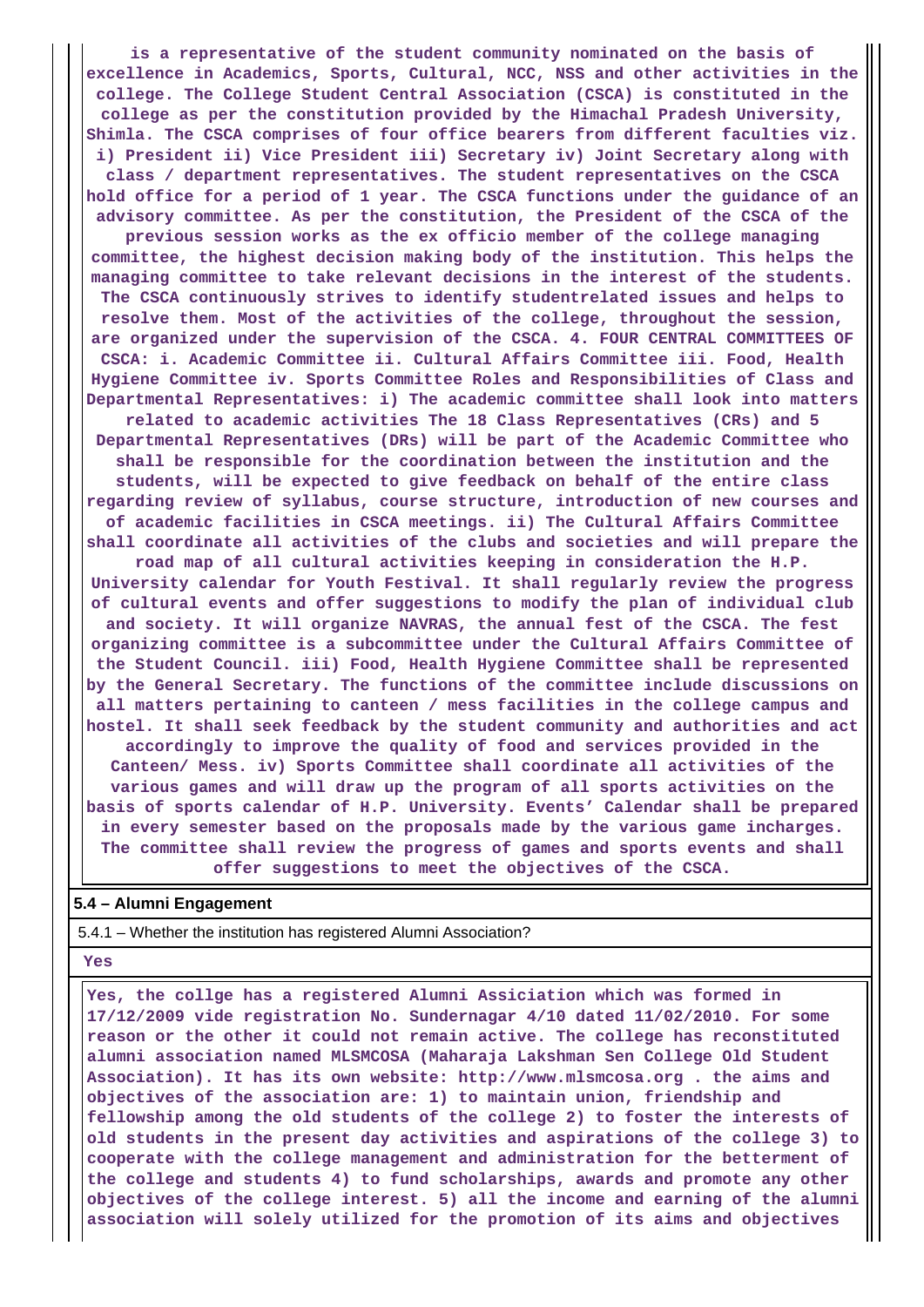**is a representative of the student community nominated on the basis of excellence in Academics, Sports, Cultural, NCC, NSS and other activities in the college. The College Student Central Association (CSCA) is constituted in the college as per the constitution provided by the Himachal Pradesh University, Shimla. The CSCA comprises of four office bearers from different faculties viz. i) President ii) Vice President iii) Secretary iv) Joint Secretary along with class / department representatives. The student representatives on the CSCA hold office for a period of 1 year. The CSCA functions under the guidance of an advisory committee. As per the constitution, the President of the CSCA of the previous session works as the ex officio member of the college managing committee, the highest decision making body of the institution. This helps the managing committee to take relevant decisions in the interest of the students. The CSCA continuously strives to identify studentrelated issues and helps to resolve them. Most of the activities of the college, throughout the session, are organized under the supervision of the CSCA. 4. FOUR CENTRAL COMMITTEES OF CSCA: i. Academic Committee ii. Cultural Affairs Committee iii. Food, Health Hygiene Committee iv. Sports Committee Roles and Responsibilities of Class and Departmental Representatives: i) The academic committee shall look into matters related to academic activities The 18 Class Representatives (CRs) and 5 Departmental Representatives (DRs) will be part of the Academic Committee who shall be responsible for the coordination between the institution and the students, will be expected to give feedback on behalf of the entire class regarding review of syllabus, course structure, introduction of new courses and of academic facilities in CSCA meetings. ii) The Cultural Affairs Committee shall coordinate all activities of the clubs and societies and will prepare the road map of all cultural activities keeping in consideration the H.P. University calendar for Youth Festival. It shall regularly review the progress of cultural events and offer suggestions to modify the plan of individual club and society. It will organize NAVRAS, the annual fest of the CSCA. The fest organizing committee is a subcommittee under the Cultural Affairs Committee of the Student Council. iii) Food, Health Hygiene Committee shall be represented by the General Secretary. The functions of the committee include discussions on all matters pertaining to canteen / mess facilities in the college campus and hostel. It shall seek feedback by the student community and authorities and act accordingly to improve the quality of food and services provided in the Canteen/ Mess. iv) Sports Committee shall coordinate all activities of the various games and will draw up the program of all sports activities on the basis of sports calendar of H.P. University. Events' Calendar shall be prepared in every semester based on the proposals made by the various game incharges. The committee shall review the progress of games and sports events and shall offer suggestions to meet the objectives of the CSCA.**

## **5.4 – Alumni Engagement**

5.4.1 – Whether the institution has registered Alumni Association?

#### **Yes**

 **Yes, the collge has a registered Alumni Assiciation which was formed in 17/12/2009 vide registration No. Sundernagar 4/10 dated 11/02/2010. For some reason or the other it could not remain active. The college has reconstituted alumni association named MLSMCOSA (Maharaja Lakshman Sen College Old Student Association). It has its own website: http://www.mlsmcosa.org . the aims and objectives of the association are: 1) to maintain union, friendship and fellowship among the old students of the college 2) to foster the interests of old students in the present day activities and aspirations of the college 3) to cooperate with the college management and administration for the betterment of the college and students 4) to fund scholarships, awards and promote any other objectives of the college interest. 5) all the income and earning of the alumni association will solely utilized for the promotion of its aims and objectives**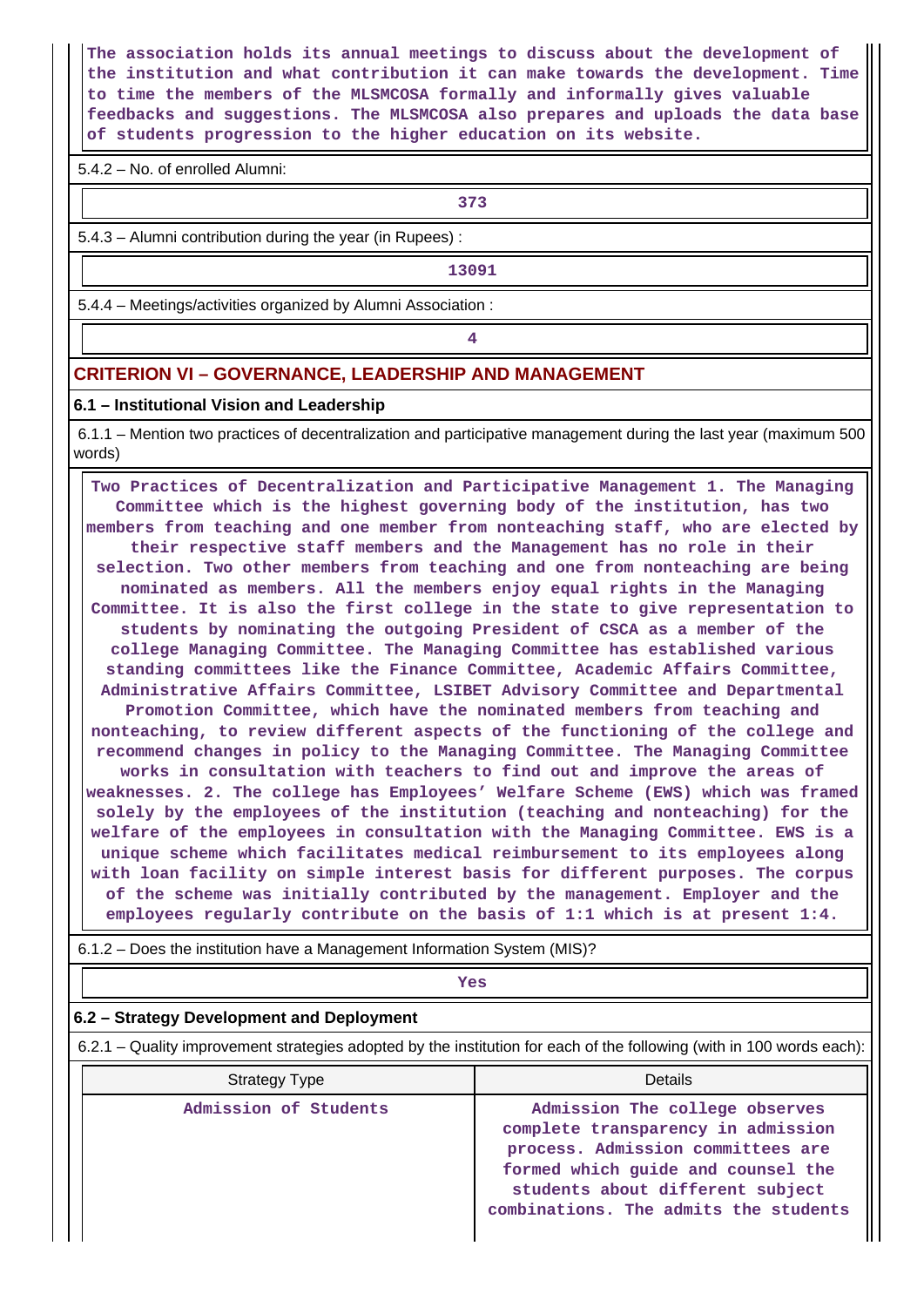**The association holds its annual meetings to discuss about the development of the institution and what contribution it can make towards the development. Time to time the members of the MLSMCOSA formally and informally gives valuable feedbacks and suggestions. The MLSMCOSA also prepares and uploads the data base of students progression to the higher education on its website.**

5.4.2 – No. of enrolled Alumni:

**373**

5.4.3 – Alumni contribution during the year (in Rupees) :

**13091**

5.4.4 – Meetings/activities organized by Alumni Association :

**4**

# **CRITERION VI – GOVERNANCE, LEADERSHIP AND MANAGEMENT**

#### **6.1 – Institutional Vision and Leadership**

 6.1.1 – Mention two practices of decentralization and participative management during the last year (maximum 500 words)

 **Two Practices of Decentralization and Participative Management 1. The Managing Committee which is the highest governing body of the institution, has two members from teaching and one member from nonteaching staff, who are elected by their respective staff members and the Management has no role in their selection. Two other members from teaching and one from nonteaching are being nominated as members. All the members enjoy equal rights in the Managing Committee. It is also the first college in the state to give representation to students by nominating the outgoing President of CSCA as a member of the college Managing Committee. The Managing Committee has established various standing committees like the Finance Committee, Academic Affairs Committee, Administrative Affairs Committee, LSIBET Advisory Committee and Departmental Promotion Committee, which have the nominated members from teaching and nonteaching, to review different aspects of the functioning of the college and recommend changes in policy to the Managing Committee. The Managing Committee works in consultation with teachers to find out and improve the areas of weaknesses. 2. The college has Employees' Welfare Scheme (EWS) which was framed solely by the employees of the institution (teaching and nonteaching) for the welfare of the employees in consultation with the Managing Committee. EWS is a unique scheme which facilitates medical reimbursement to its employees along with loan facility on simple interest basis for different purposes. The corpus of the scheme was initially contributed by the management. Employer and the employees regularly contribute on the basis of 1:1 which is at present 1:4.**

6.1.2 – Does the institution have a Management Information System (MIS)?

*Yes* 

#### **6.2 – Strategy Development and Deployment**

6.2.1 – Quality improvement strategies adopted by the institution for each of the following (with in 100 words each):

| <b>Strategy Type</b>  | Details                                                                                                                                                                                                                      |
|-----------------------|------------------------------------------------------------------------------------------------------------------------------------------------------------------------------------------------------------------------------|
| Admission of Students | Admission The college observes<br>complete transparency in admission<br>process. Admission committees are<br>formed which guide and counsel the<br>students about different subject<br>combinations. The admits the students |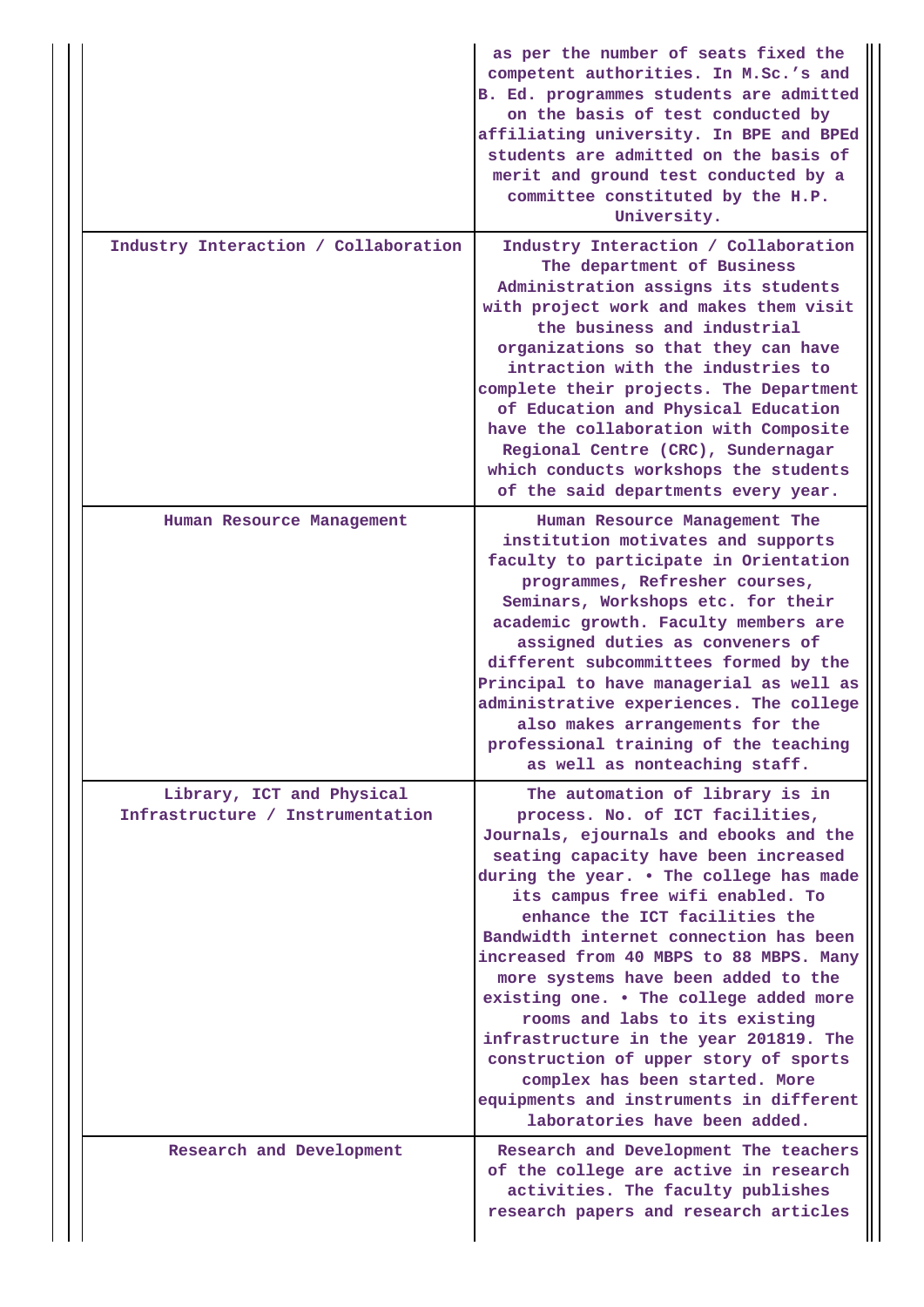|                                                               | as per the number of seats fixed the<br>competent authorities. In M.Sc.'s and<br>B. Ed. programmes students are admitted<br>on the basis of test conducted by<br>affiliating university. In BPE and BPEd<br>students are admitted on the basis of<br>merit and ground test conducted by a<br>committee constituted by the H.P.<br>University.                                                                                                                                                                                                                                                                                                                                  |
|---------------------------------------------------------------|--------------------------------------------------------------------------------------------------------------------------------------------------------------------------------------------------------------------------------------------------------------------------------------------------------------------------------------------------------------------------------------------------------------------------------------------------------------------------------------------------------------------------------------------------------------------------------------------------------------------------------------------------------------------------------|
| Industry Interaction / Collaboration                          | Industry Interaction / Collaboration<br>The department of Business<br>Administration assigns its students<br>with project work and makes them visit<br>the business and industrial<br>organizations so that they can have<br>intraction with the industries to<br>complete their projects. The Department<br>of Education and Physical Education<br>have the collaboration with Composite<br>Regional Centre (CRC), Sundernagar<br>which conducts workshops the students<br>of the said departments every year.                                                                                                                                                                |
| Human Resource Management                                     | Human Resource Management The<br>institution motivates and supports<br>faculty to participate in Orientation<br>programmes, Refresher courses,<br>Seminars, Workshops etc. for their<br>academic growth. Faculty members are<br>assigned duties as conveners of<br>different subcommittees formed by the<br>Principal to have managerial as well as<br>administrative experiences. The college<br>also makes arrangements for the<br>professional training of the teaching<br>as well as nonteaching staff.                                                                                                                                                                    |
| Library, ICT and Physical<br>Infrastructure / Instrumentation | The automation of library is in<br>process. No. of ICT facilities,<br>Journals, ejournals and ebooks and the<br>seating capacity have been increased<br>during the year. . The college has made<br>its campus free wifi enabled. To<br>enhance the ICT facilities the<br>Bandwidth internet connection has been<br>increased from 40 MBPS to 88 MBPS. Many<br>more systems have been added to the<br>existing one. . The college added more<br>rooms and labs to its existing<br>infrastructure in the year 201819. The<br>construction of upper story of sports<br>complex has been started. More<br>equipments and instruments in different<br>laboratories have been added. |
| Research and Development                                      | Research and Development The teachers<br>of the college are active in research<br>activities. The faculty publishes<br>research papers and research articles                                                                                                                                                                                                                                                                                                                                                                                                                                                                                                                   |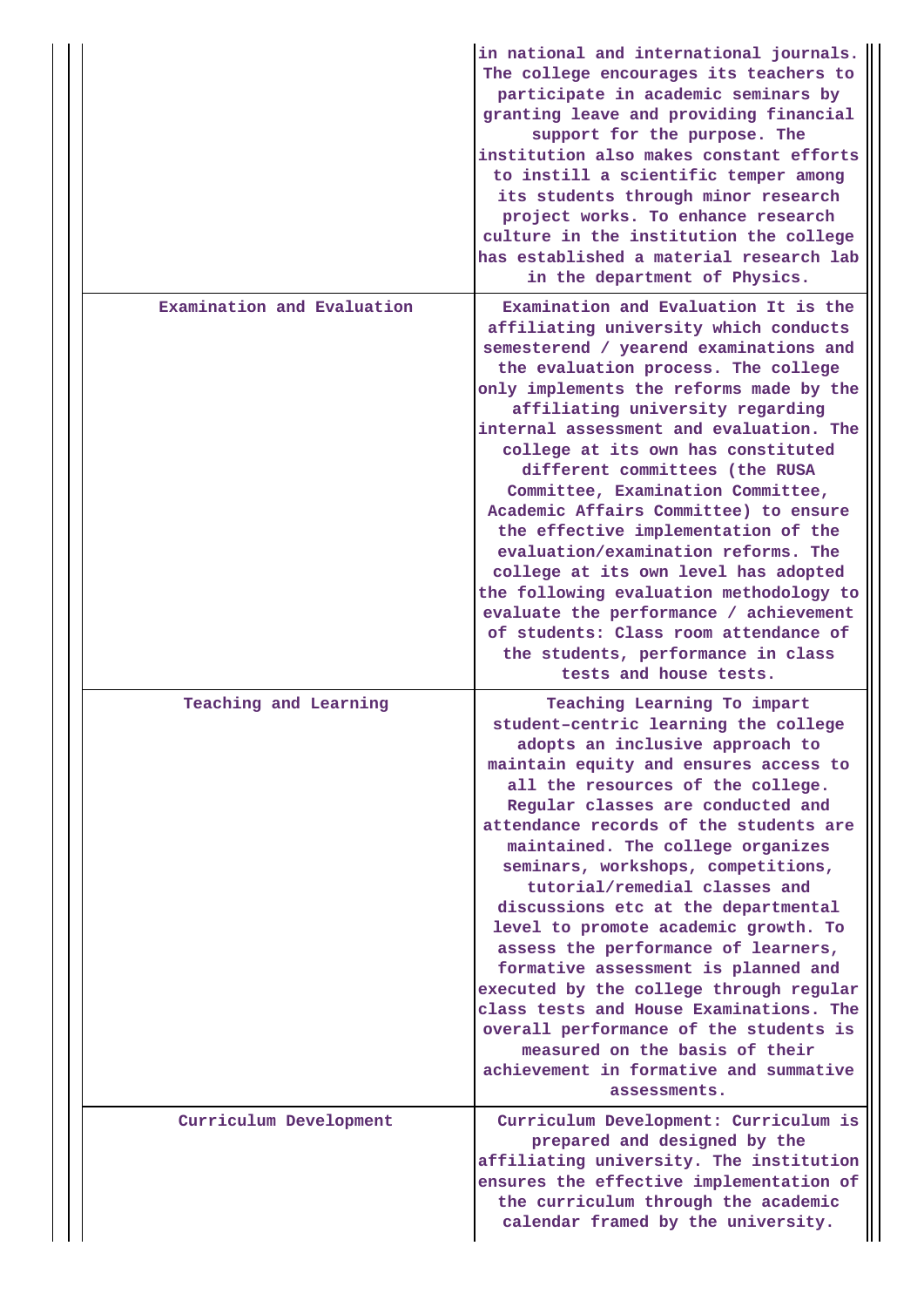|                            | in national and international journals.<br>The college encourages its teachers to<br>participate in academic seminars by<br>granting leave and providing financial<br>support for the purpose. The<br>institution also makes constant efforts<br>to instill a scientific temper among<br>its students through minor research<br>project works. To enhance research<br>culture in the institution the college<br>has established a material research lab<br>in the department of Physics.                                                                                                                                                                                                                                                                                 |
|----------------------------|--------------------------------------------------------------------------------------------------------------------------------------------------------------------------------------------------------------------------------------------------------------------------------------------------------------------------------------------------------------------------------------------------------------------------------------------------------------------------------------------------------------------------------------------------------------------------------------------------------------------------------------------------------------------------------------------------------------------------------------------------------------------------|
| Examination and Evaluation | Examination and Evaluation It is the<br>affiliating university which conducts<br>semesterend / yearend examinations and<br>the evaluation process. The college<br>only implements the reforms made by the<br>affiliating university regarding<br>internal assessment and evaluation. The<br>college at its own has constituted<br>different committees (the RUSA<br>Committee, Examination Committee,<br>Academic Affairs Committee) to ensure<br>the effective implementation of the<br>evaluation/examination reforms. The<br>college at its own level has adopted<br>the following evaluation methodology to<br>evaluate the performance / achievement<br>of students: Class room attendance of<br>the students, performance in class<br>tests and house tests.       |
| Teaching and Learning      | Teaching Learning To impart<br>student-centric learning the college<br>adopts an inclusive approach to<br>maintain equity and ensures access to<br>all the resources of the college.<br>Regular classes are conducted and<br>attendance records of the students are<br>maintained. The college organizes<br>seminars, workshops, competitions,<br>tutorial/remedial classes and<br>discussions etc at the departmental<br>level to promote academic growth. To<br>assess the performance of learners,<br>formative assessment is planned and<br>executed by the college through regular<br>class tests and House Examinations. The<br>overall performance of the students is<br>measured on the basis of their<br>achievement in formative and summative<br>assessments. |
| Curriculum Development     | Curriculum Development: Curriculum is<br>prepared and designed by the<br>affiliating university. The institution<br>ensures the effective implementation of<br>the curriculum through the academic<br>calendar framed by the university.                                                                                                                                                                                                                                                                                                                                                                                                                                                                                                                                 |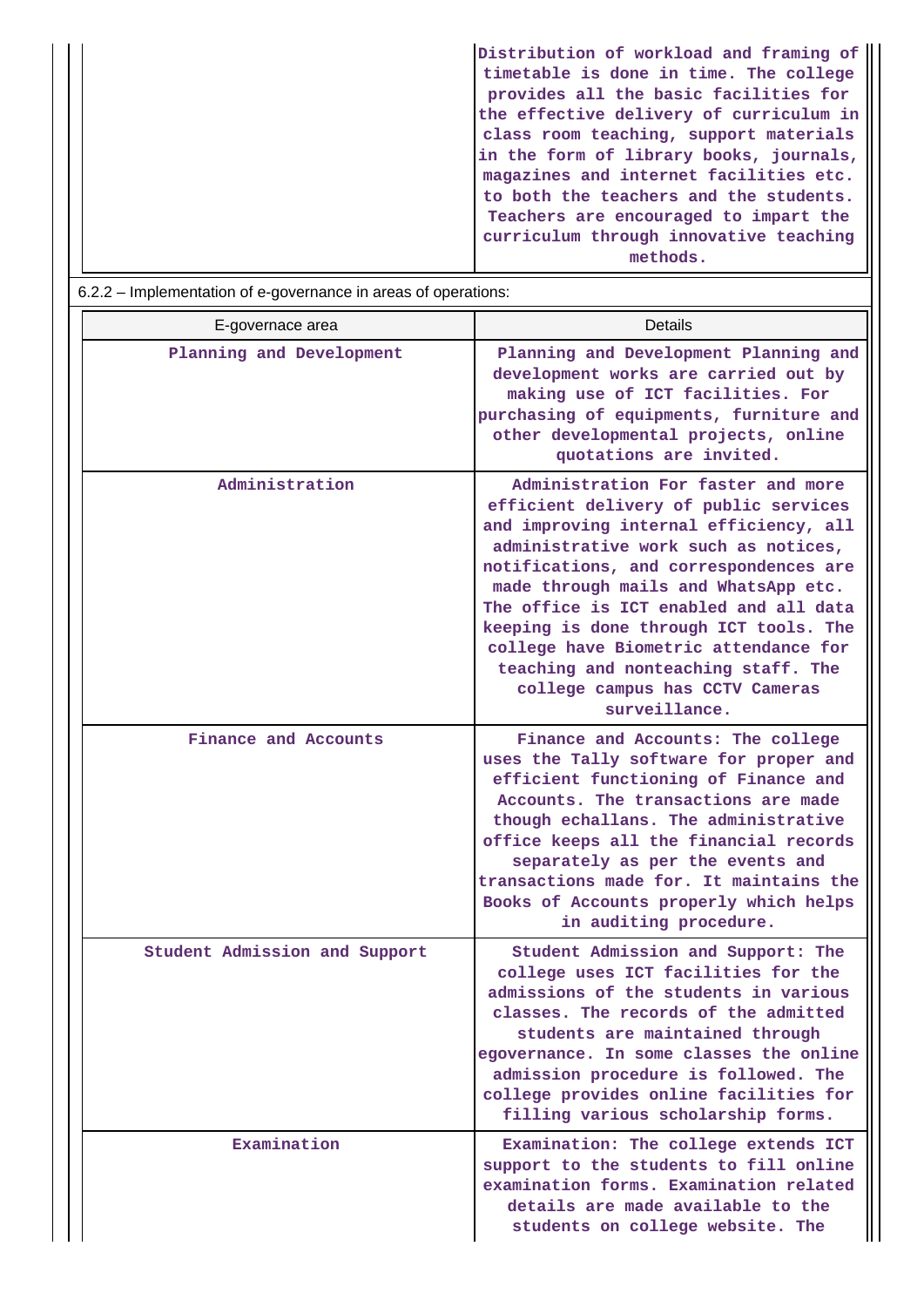|                                                                | Distribution of workload and framing of |  |  |  |  |
|----------------------------------------------------------------|-----------------------------------------|--|--|--|--|
|                                                                | timetable is done in time. The college  |  |  |  |  |
|                                                                | provides all the basic facilities for   |  |  |  |  |
|                                                                | the effective delivery of curriculum in |  |  |  |  |
|                                                                | class room teaching, support materials  |  |  |  |  |
|                                                                | in the form of library books, journals, |  |  |  |  |
|                                                                | magazines and internet facilities etc.  |  |  |  |  |
|                                                                | to both the teachers and the students.  |  |  |  |  |
|                                                                | Teachers are encouraged to impart the   |  |  |  |  |
|                                                                | curriculum through innovative teaching  |  |  |  |  |
|                                                                | methods.                                |  |  |  |  |
| 6.2.2 – Implementation of e-governance in areas of operations: |                                         |  |  |  |  |
|                                                                |                                         |  |  |  |  |

|  | E-governace area              | Details                                                                                                                                                                                                                                                                                                                                                                                                                                                                 |
|--|-------------------------------|-------------------------------------------------------------------------------------------------------------------------------------------------------------------------------------------------------------------------------------------------------------------------------------------------------------------------------------------------------------------------------------------------------------------------------------------------------------------------|
|  | Planning and Development      | Planning and Development Planning and<br>development works are carried out by<br>making use of ICT facilities. For<br>purchasing of equipments, furniture and<br>other developmental projects, online<br>quotations are invited.                                                                                                                                                                                                                                        |
|  | Administration                | Administration For faster and more<br>efficient delivery of public services<br>and improving internal efficiency, all<br>administrative work such as notices,<br>notifications, and correspondences are<br>made through mails and WhatsApp etc.<br>The office is ICT enabled and all data<br>keeping is done through ICT tools. The<br>college have Biometric attendance for<br>teaching and nonteaching staff. The<br>college campus has CCTV Cameras<br>surveillance. |
|  | Finance and Accounts          | Finance and Accounts: The college<br>uses the Tally software for proper and<br>efficient functioning of Finance and<br>Accounts. The transactions are made<br>though echallans. The administrative<br>office keeps all the financial records<br>separately as per the events and<br>transactions made for. It maintains the<br>Books of Accounts properly which helps<br>in auditing procedure.                                                                         |
|  | Student Admission and Support | Student Admission and Support: The<br>college uses ICT facilities for the<br>admissions of the students in various<br>classes. The records of the admitted<br>students are maintained through<br>egovernance. In some classes the online<br>admission procedure is followed. The<br>college provides online facilities for<br>filling various scholarship forms.                                                                                                        |
|  | Examination                   | Examination: The college extends ICT<br>support to the students to fill online<br>examination forms. Examination related<br>details are made available to the<br>students on college website. The                                                                                                                                                                                                                                                                       |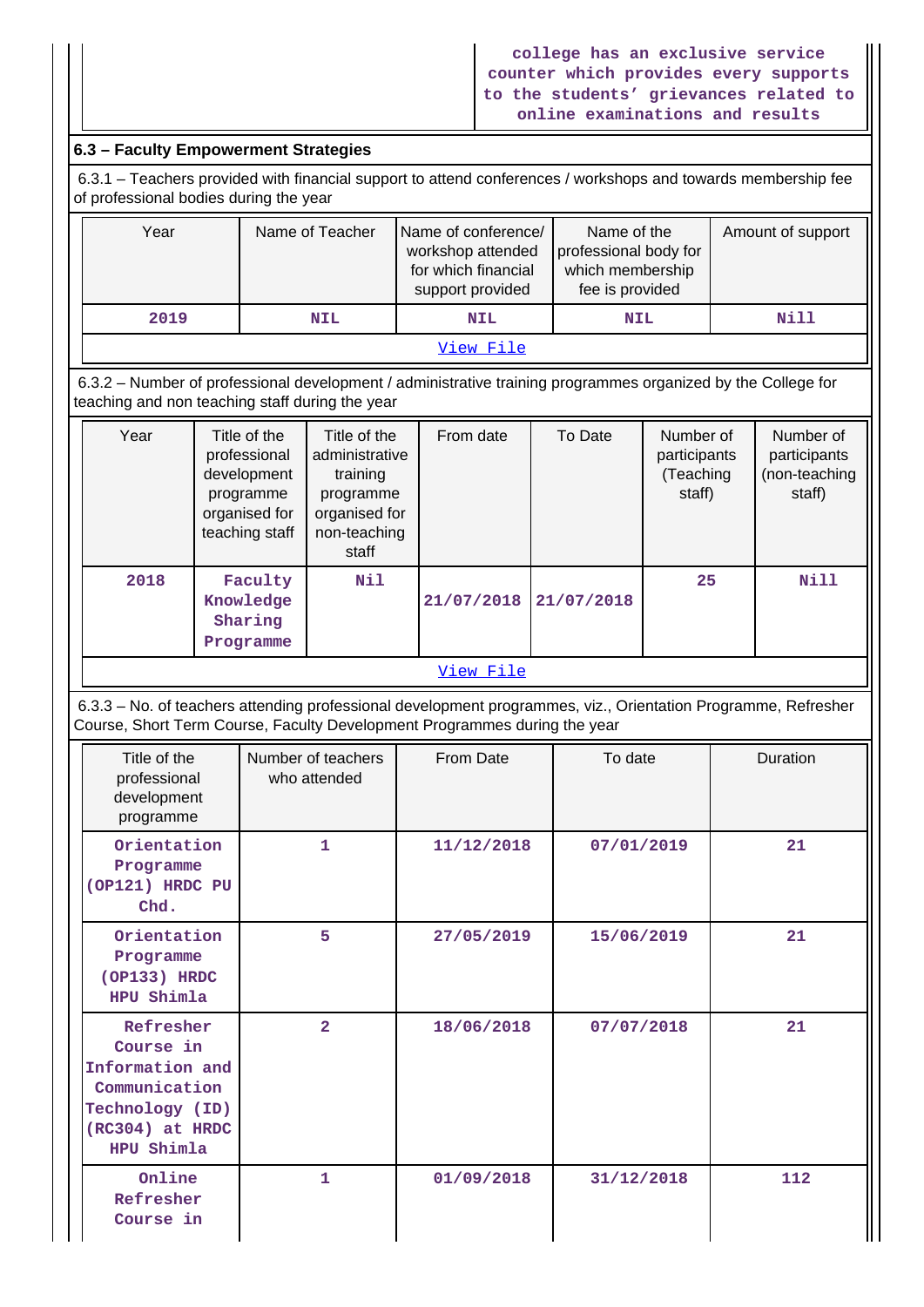# **6.3 – Faculty Empowerment Strategies**

 6.3.1 – Teachers provided with financial support to attend conferences / workshops and towards membership fee of professional bodies during the year

| Year      | Name of Teacher | Name of conference/<br>workshop attended<br>for which financial<br>support provided | Name of the<br>professional body for<br>which membership<br>fee is provided | Amount of support |  |  |
|-----------|-----------------|-------------------------------------------------------------------------------------|-----------------------------------------------------------------------------|-------------------|--|--|
| 2019      | <b>NIL</b>      | <b>NIL</b>                                                                          | <b>NIL</b>                                                                  | Nill              |  |  |
| View File |                 |                                                                                     |                                                                             |                   |  |  |

 6.3.2 – Number of professional development / administrative training programmes organized by the College for teaching and non teaching staff during the year

| Year | Title of the<br>professional<br>development<br>programme<br>organised for<br>teaching staff | Title of the<br>administrative<br>training<br>programme<br>organised for<br>non-teaching<br>staff | From date  | To Date    | Number of<br>participants<br>(Teaching<br>staff) | Number of<br>participants<br>(non-teaching<br>staff) |
|------|---------------------------------------------------------------------------------------------|---------------------------------------------------------------------------------------------------|------------|------------|--------------------------------------------------|------------------------------------------------------|
| 2018 | Faculty<br>Knowledge<br>Sharing<br>Programme                                                | Nil                                                                                               | 21/07/2018 | 21/07/2018 | 25                                               | Nill                                                 |

## [View File](https://assessmentonline.naac.gov.in/public/Postacc/Development_training_programmes/2057_Development_training_programmes_1577512431.xlsx)

 6.3.3 – No. of teachers attending professional development programmes, viz., Orientation Programme, Refresher Course, Short Term Course, Faculty Development Programmes during the year

| Title of the<br>professional<br>development<br>programme                                                       | Number of teachers<br>who attended | From Date  | To date    | Duration |
|----------------------------------------------------------------------------------------------------------------|------------------------------------|------------|------------|----------|
| Orientation<br>Programme<br>(OP121) HRDC PU<br>Chd.                                                            | $\mathbf{1}$                       | 11/12/2018 | 07/01/2019 | 21       |
| Orientation<br>Programme<br>(OP133) HRDC<br>HPU Shimla                                                         | 5                                  | 27/05/2019 | 15/06/2019 | 21       |
| Refresher<br>Course in<br>Information and<br>Communication<br>Technology (ID)<br>(RC304) at HRDC<br>HPU Shimla | $\overline{a}$                     | 18/06/2018 | 07/07/2018 | 21       |
| Online<br>Refresher<br>Course in                                                                               | 1                                  | 01/09/2018 | 31/12/2018 | 112      |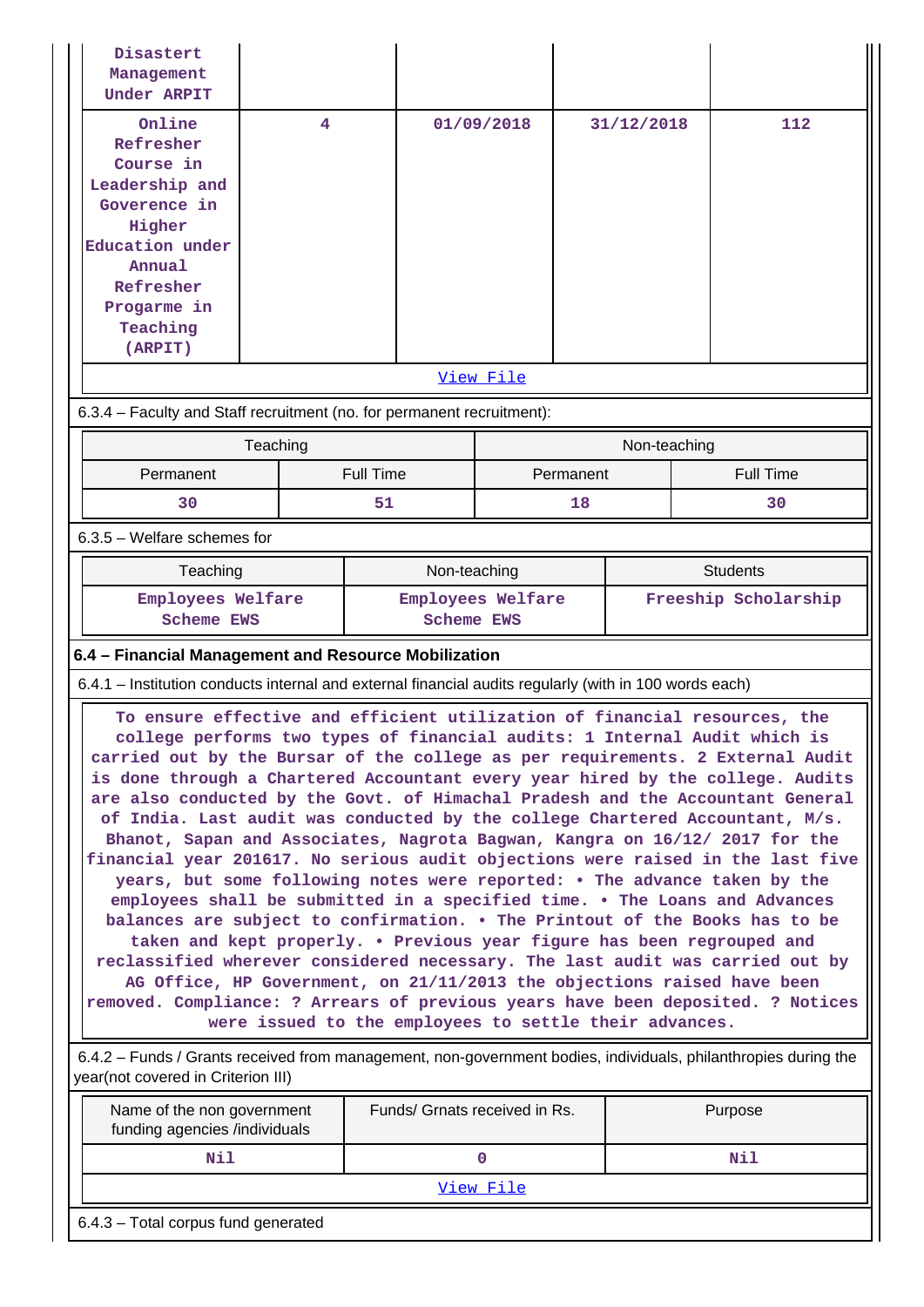| Disastert<br>Management<br>Under ARPIT                                                                                                                                                                                                                                                                                                                                                                                                                                                                                                                                                                                                                                                                                                                                                                                                                                                                                                                                                                                                                                                                                                                                                                                                                                                                                                                                                                                                              |          |                  |                                        |           |              |                      |                  |  |
|-----------------------------------------------------------------------------------------------------------------------------------------------------------------------------------------------------------------------------------------------------------------------------------------------------------------------------------------------------------------------------------------------------------------------------------------------------------------------------------------------------------------------------------------------------------------------------------------------------------------------------------------------------------------------------------------------------------------------------------------------------------------------------------------------------------------------------------------------------------------------------------------------------------------------------------------------------------------------------------------------------------------------------------------------------------------------------------------------------------------------------------------------------------------------------------------------------------------------------------------------------------------------------------------------------------------------------------------------------------------------------------------------------------------------------------------------------|----------|------------------|----------------------------------------|-----------|--------------|----------------------|------------------|--|
| Online<br>Refresher<br>Course in<br>Leadership and                                                                                                                                                                                                                                                                                                                                                                                                                                                                                                                                                                                                                                                                                                                                                                                                                                                                                                                                                                                                                                                                                                                                                                                                                                                                                                                                                                                                  | 4        |                  | 01/09/2018                             |           | 31/12/2018   |                      | 112              |  |
| Goverence in<br>Higher<br>Education under                                                                                                                                                                                                                                                                                                                                                                                                                                                                                                                                                                                                                                                                                                                                                                                                                                                                                                                                                                                                                                                                                                                                                                                                                                                                                                                                                                                                           |          |                  |                                        |           |              |                      |                  |  |
| Annual<br>Refresher                                                                                                                                                                                                                                                                                                                                                                                                                                                                                                                                                                                                                                                                                                                                                                                                                                                                                                                                                                                                                                                                                                                                                                                                                                                                                                                                                                                                                                 |          |                  |                                        |           |              |                      |                  |  |
| Progarme in<br>Teaching<br>(ARPIT)                                                                                                                                                                                                                                                                                                                                                                                                                                                                                                                                                                                                                                                                                                                                                                                                                                                                                                                                                                                                                                                                                                                                                                                                                                                                                                                                                                                                                  |          |                  |                                        |           |              |                      |                  |  |
|                                                                                                                                                                                                                                                                                                                                                                                                                                                                                                                                                                                                                                                                                                                                                                                                                                                                                                                                                                                                                                                                                                                                                                                                                                                                                                                                                                                                                                                     |          |                  | View File                              |           |              |                      |                  |  |
| 6.3.4 - Faculty and Staff recruitment (no. for permanent recruitment):                                                                                                                                                                                                                                                                                                                                                                                                                                                                                                                                                                                                                                                                                                                                                                                                                                                                                                                                                                                                                                                                                                                                                                                                                                                                                                                                                                              |          |                  |                                        |           |              |                      |                  |  |
|                                                                                                                                                                                                                                                                                                                                                                                                                                                                                                                                                                                                                                                                                                                                                                                                                                                                                                                                                                                                                                                                                                                                                                                                                                                                                                                                                                                                                                                     | Teaching |                  |                                        |           | Non-teaching |                      |                  |  |
| Permanent                                                                                                                                                                                                                                                                                                                                                                                                                                                                                                                                                                                                                                                                                                                                                                                                                                                                                                                                                                                                                                                                                                                                                                                                                                                                                                                                                                                                                                           |          | <b>Full Time</b> |                                        | Permanent |              |                      | <b>Full Time</b> |  |
| 30                                                                                                                                                                                                                                                                                                                                                                                                                                                                                                                                                                                                                                                                                                                                                                                                                                                                                                                                                                                                                                                                                                                                                                                                                                                                                                                                                                                                                                                  |          | 51               |                                        | 18        |              |                      | 30               |  |
| 6.3.5 - Welfare schemes for                                                                                                                                                                                                                                                                                                                                                                                                                                                                                                                                                                                                                                                                                                                                                                                                                                                                                                                                                                                                                                                                                                                                                                                                                                                                                                                                                                                                                         |          |                  |                                        |           |              |                      |                  |  |
| Teaching                                                                                                                                                                                                                                                                                                                                                                                                                                                                                                                                                                                                                                                                                                                                                                                                                                                                                                                                                                                                                                                                                                                                                                                                                                                                                                                                                                                                                                            |          |                  | Non-teaching<br><b>Students</b>        |           |              |                      |                  |  |
| Employees Welfare<br><b>Scheme EWS</b>                                                                                                                                                                                                                                                                                                                                                                                                                                                                                                                                                                                                                                                                                                                                                                                                                                                                                                                                                                                                                                                                                                                                                                                                                                                                                                                                                                                                              |          |                  | Employees Welfare<br><b>Scheme EWS</b> |           |              | Freeship Scholarship |                  |  |
| 6.4 - Financial Management and Resource Mobilization                                                                                                                                                                                                                                                                                                                                                                                                                                                                                                                                                                                                                                                                                                                                                                                                                                                                                                                                                                                                                                                                                                                                                                                                                                                                                                                                                                                                |          |                  |                                        |           |              |                      |                  |  |
| 6.4.1 – Institution conducts internal and external financial audits regularly (with in 100 words each)                                                                                                                                                                                                                                                                                                                                                                                                                                                                                                                                                                                                                                                                                                                                                                                                                                                                                                                                                                                                                                                                                                                                                                                                                                                                                                                                              |          |                  |                                        |           |              |                      |                  |  |
| To ensure effective and efficient utilization of financial resources, the<br>college performs two types of financial audits: 1 Internal Audit which is<br>carried out by the Bursar of the college as per requirements. 2 External Audit<br>is done through a Chartered Accountant every year hired by the college. Audits<br>are also conducted by the Govt. of Himachal Pradesh and the Accountant General<br>of India. Last audit was conducted by the college Chartered Accountant, M/s.<br>Bhanot, Sapan and Associates, Nagrota Bagwan, Kangra on 16/12/ 2017 for the<br>financial year 201617. No serious audit objections were raised in the last five<br>years, but some following notes were reported: . The advance taken by the<br>employees shall be submitted in a specified time. . The Loans and Advances<br>balances are subject to confirmation. . The Printout of the Books has to be<br>taken and kept properly. . Previous year figure has been regrouped and<br>reclassified wherever considered necessary. The last audit was carried out by<br>AG Office, HP Government, on 21/11/2013 the objections raised have been<br>removed. Compliance: ? Arrears of previous years have been deposited. ? Notices<br>were issued to the employees to settle their advances.<br>6.4.2 – Funds / Grants received from management, non-government bodies, individuals, philanthropies during the<br>year(not covered in Criterion III) |          |                  |                                        |           |              |                      |                  |  |
| Name of the non government<br>funding agencies /individuals                                                                                                                                                                                                                                                                                                                                                                                                                                                                                                                                                                                                                                                                                                                                                                                                                                                                                                                                                                                                                                                                                                                                                                                                                                                                                                                                                                                         |          |                  | Funds/ Grnats received in Rs.          |           |              |                      | Purpose          |  |
| Nil<br>$\mathbf 0$<br>Nil                                                                                                                                                                                                                                                                                                                                                                                                                                                                                                                                                                                                                                                                                                                                                                                                                                                                                                                                                                                                                                                                                                                                                                                                                                                                                                                                                                                                                           |          |                  |                                        |           |              |                      |                  |  |
|                                                                                                                                                                                                                                                                                                                                                                                                                                                                                                                                                                                                                                                                                                                                                                                                                                                                                                                                                                                                                                                                                                                                                                                                                                                                                                                                                                                                                                                     |          |                  | View File                              |           |              |                      |                  |  |
| 6.4.3 - Total corpus fund generated                                                                                                                                                                                                                                                                                                                                                                                                                                                                                                                                                                                                                                                                                                                                                                                                                                                                                                                                                                                                                                                                                                                                                                                                                                                                                                                                                                                                                 |          |                  |                                        |           |              |                      |                  |  |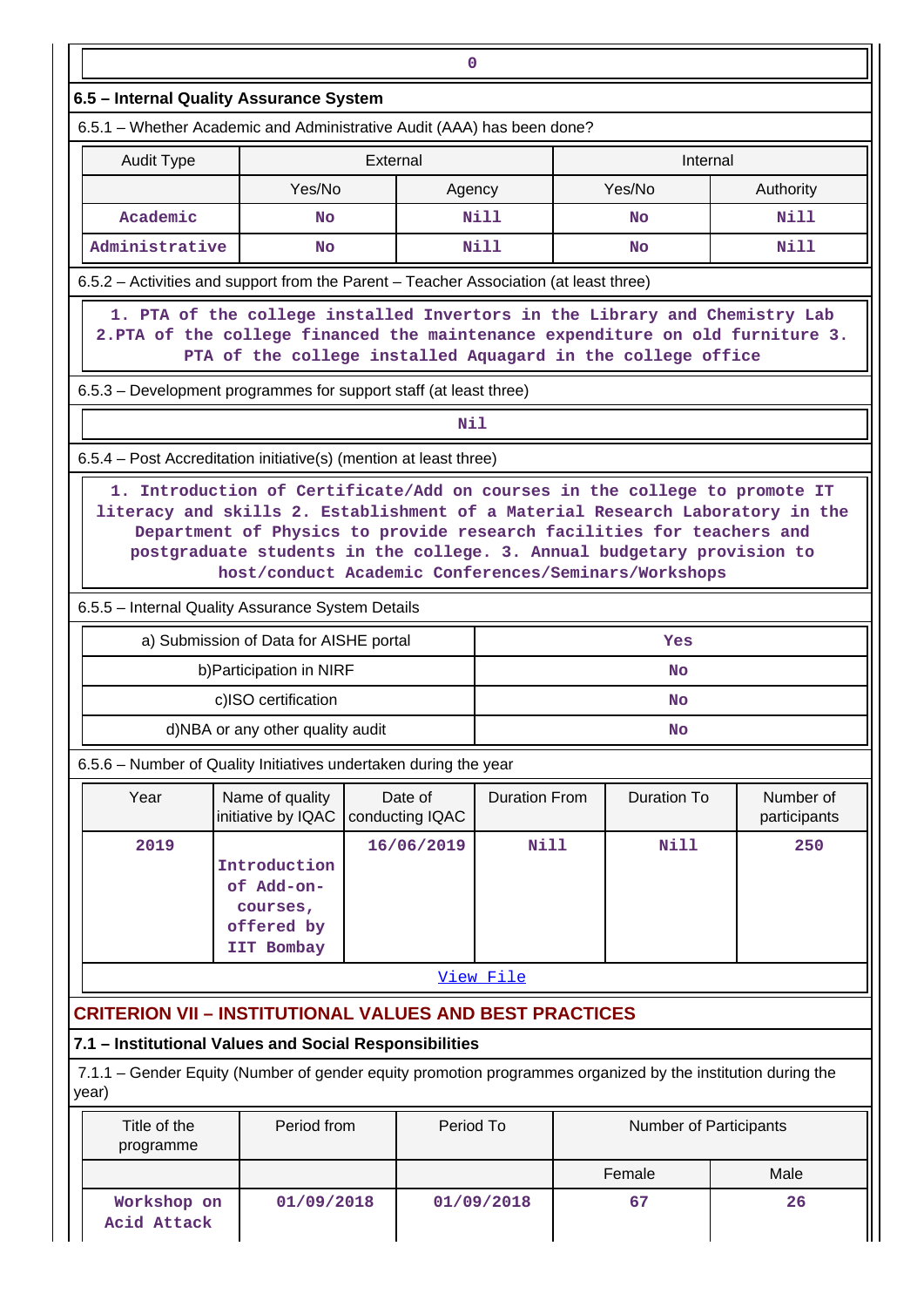| $\mathbf 0$                                                                                                                                                                                                                                                                              |                                                                                                                |  |                            |                      |  |                        |                           |  |  |  |
|------------------------------------------------------------------------------------------------------------------------------------------------------------------------------------------------------------------------------------------------------------------------------------------|----------------------------------------------------------------------------------------------------------------|--|----------------------------|----------------------|--|------------------------|---------------------------|--|--|--|
| 6.5 - Internal Quality Assurance System                                                                                                                                                                                                                                                  |                                                                                                                |  |                            |                      |  |                        |                           |  |  |  |
| 6.5.1 - Whether Academic and Administrative Audit (AAA) has been done?                                                                                                                                                                                                                   |                                                                                                                |  |                            |                      |  |                        |                           |  |  |  |
| External<br>Internal<br><b>Audit Type</b>                                                                                                                                                                                                                                                |                                                                                                                |  |                            |                      |  |                        |                           |  |  |  |
|                                                                                                                                                                                                                                                                                          | Yes/No                                                                                                         |  | Agency                     |                      |  | Yes/No                 | Authority                 |  |  |  |
| Academic                                                                                                                                                                                                                                                                                 | <b>No</b>                                                                                                      |  |                            | Nill                 |  | <b>No</b>              | Nill                      |  |  |  |
| Administrative                                                                                                                                                                                                                                                                           | No                                                                                                             |  |                            | <b>Nill</b>          |  | No                     | <b>Nill</b>               |  |  |  |
| 6.5.2 - Activities and support from the Parent - Teacher Association (at least three)                                                                                                                                                                                                    |                                                                                                                |  |                            |                      |  |                        |                           |  |  |  |
| 1. PTA of the college installed Invertors in the Library and Chemistry Lab<br>2. PTA of the college financed the maintenance expenditure on old furniture 3.<br>PTA of the college installed Aquagard in the college office                                                              |                                                                                                                |  |                            |                      |  |                        |                           |  |  |  |
| 6.5.3 – Development programmes for support staff (at least three)                                                                                                                                                                                                                        |                                                                                                                |  |                            |                      |  |                        |                           |  |  |  |
|                                                                                                                                                                                                                                                                                          |                                                                                                                |  | Nil                        |                      |  |                        |                           |  |  |  |
| 6.5.4 – Post Accreditation initiative(s) (mention at least three)                                                                                                                                                                                                                        |                                                                                                                |  |                            |                      |  |                        |                           |  |  |  |
| literacy and skills 2. Establishment of a Material Research Laboratory in the<br>Department of Physics to provide research facilities for teachers and<br>postgraduate students in the college. 3. Annual budgetary provision to<br>host/conduct Academic Conferences/Seminars/Workshops |                                                                                                                |  |                            |                      |  |                        |                           |  |  |  |
| 6.5.5 - Internal Quality Assurance System Details                                                                                                                                                                                                                                        |                                                                                                                |  |                            |                      |  |                        |                           |  |  |  |
|                                                                                                                                                                                                                                                                                          | a) Submission of Data for AISHE portal                                                                         |  |                            |                      |  | Yes                    |                           |  |  |  |
|                                                                                                                                                                                                                                                                                          | b) Participation in NIRF                                                                                       |  |                            |                      |  | <b>No</b>              |                           |  |  |  |
|                                                                                                                                                                                                                                                                                          | c)ISO certification                                                                                            |  |                            |                      |  | <b>No</b>              |                           |  |  |  |
|                                                                                                                                                                                                                                                                                          | d)NBA or any other quality audit                                                                               |  |                            |                      |  | No                     |                           |  |  |  |
| 6.5.6 - Number of Quality Initiatives undertaken during the year                                                                                                                                                                                                                         |                                                                                                                |  |                            |                      |  |                        |                           |  |  |  |
| Year                                                                                                                                                                                                                                                                                     | Name of quality<br>initiative by IQAC                                                                          |  | Date of<br>conducting IQAC | <b>Duration From</b> |  | <b>Duration To</b>     | Number of<br>participants |  |  |  |
| 2019                                                                                                                                                                                                                                                                                     | Nill<br>16/06/2019<br><b>Nill</b><br>250<br>Introduction<br>of Add-on-<br>courses,<br>offered by<br>IIT Bombay |  |                            |                      |  |                        |                           |  |  |  |
|                                                                                                                                                                                                                                                                                          |                                                                                                                |  |                            | View File            |  |                        |                           |  |  |  |
| <b>CRITERION VII - INSTITUTIONAL VALUES AND BEST PRACTICES</b>                                                                                                                                                                                                                           |                                                                                                                |  |                            |                      |  |                        |                           |  |  |  |
| 7.1 - Institutional Values and Social Responsibilities                                                                                                                                                                                                                                   |                                                                                                                |  |                            |                      |  |                        |                           |  |  |  |
| 7.1.1 – Gender Equity (Number of gender equity promotion programmes organized by the institution during the<br>year)                                                                                                                                                                     |                                                                                                                |  |                            |                      |  |                        |                           |  |  |  |
| Title of the<br>programme                                                                                                                                                                                                                                                                | Period from                                                                                                    |  | Period To                  |                      |  | Number of Participants |                           |  |  |  |
|                                                                                                                                                                                                                                                                                          |                                                                                                                |  |                            |                      |  | Female                 | Male                      |  |  |  |
| Workshop on<br>Acid Attack                                                                                                                                                                                                                                                               | 01/09/2018                                                                                                     |  |                            | 01/09/2018           |  | 67                     | 26                        |  |  |  |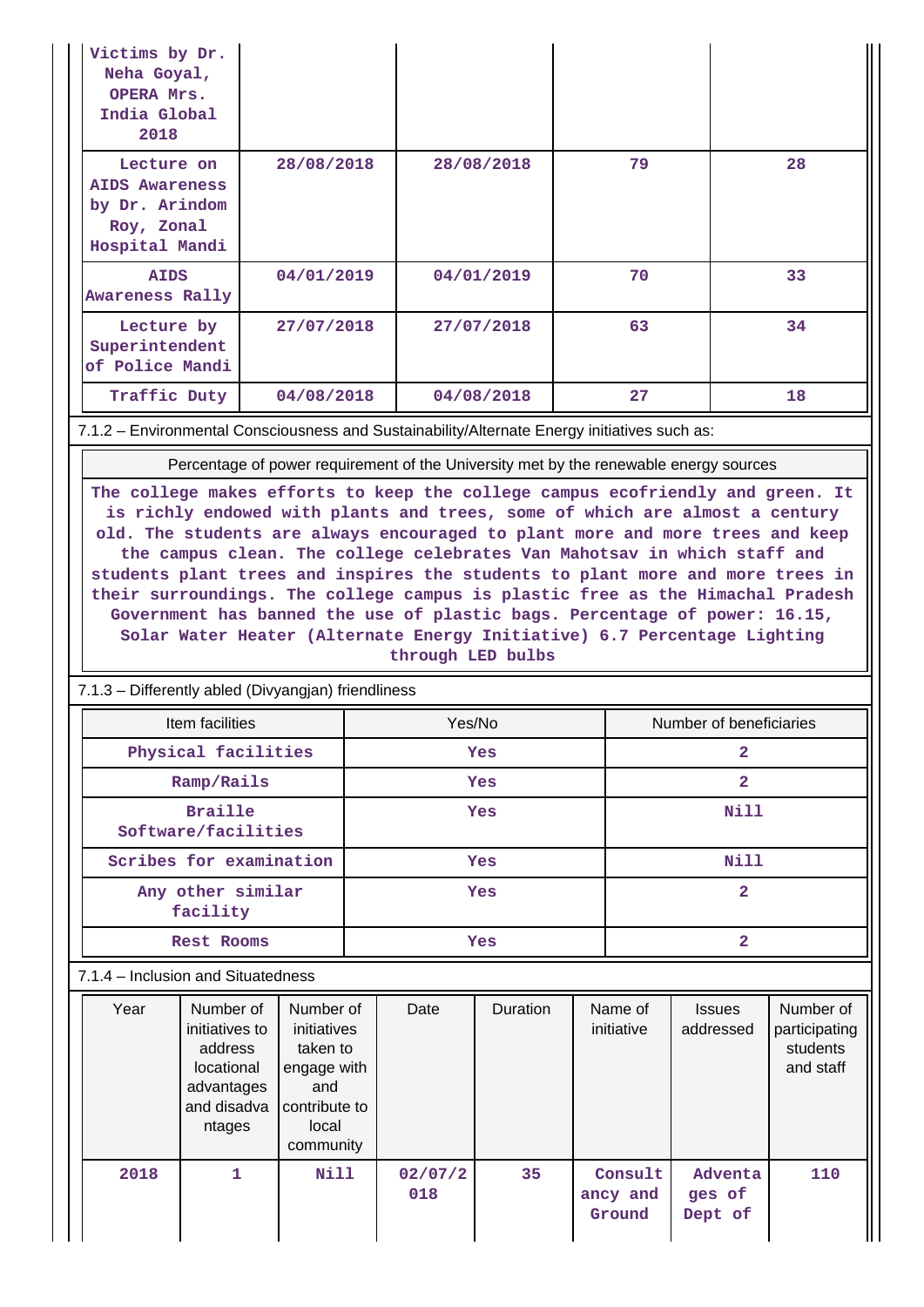| Victims by Dr.<br>Neha Goyal,<br>OPERA Mrs.<br>India Global<br>2018                   |                                                                                             |                                                                                                   |                                                                                                                                                                                                                                                               |            |    |                                           |                            |                                                     |
|---------------------------------------------------------------------------------------|---------------------------------------------------------------------------------------------|---------------------------------------------------------------------------------------------------|---------------------------------------------------------------------------------------------------------------------------------------------------------------------------------------------------------------------------------------------------------------|------------|----|-------------------------------------------|----------------------------|-----------------------------------------------------|
| Lecture on<br><b>AIDS Awareness</b><br>by Dr. Arindom<br>Roy, Zonal<br>Hospital Mandi |                                                                                             | 28/08/2018                                                                                        | 28/08/2018                                                                                                                                                                                                                                                    |            | 79 |                                           |                            | 28                                                  |
| <b>AIDS</b><br>Awareness Rally                                                        |                                                                                             | 04/01/2019                                                                                        | 04/01/2019                                                                                                                                                                                                                                                    |            |    | 70                                        |                            | 33                                                  |
| Lecture by<br>Superintendent<br>of Police Mandi                                       |                                                                                             | 27/07/2018                                                                                        | 27/07/2018                                                                                                                                                                                                                                                    |            |    | 63                                        |                            | 34                                                  |
| Traffic Duty                                                                          |                                                                                             | 04/08/2018                                                                                        |                                                                                                                                                                                                                                                               | 04/08/2018 |    | 27                                        |                            | 18                                                  |
|                                                                                       |                                                                                             |                                                                                                   | 7.1.2 - Environmental Consciousness and Sustainability/Alternate Energy initiatives such as:                                                                                                                                                                  |            |    |                                           |                            |                                                     |
|                                                                                       |                                                                                             |                                                                                                   | Percentage of power requirement of the University met by the renewable energy sources                                                                                                                                                                         |            |    |                                           |                            |                                                     |
|                                                                                       |                                                                                             |                                                                                                   | their surroundings. The college campus is plastic free as the Himachal Pradesh<br>Government has banned the use of plastic bags. Percentage of power: 16.15,<br>Solar Water Heater (Alternate Energy Initiative) 6.7 Percentage Lighting<br>through LED bulbs |            |    |                                           |                            |                                                     |
|                                                                                       | 7.1.3 - Differently abled (Divyangjan) friendliness                                         |                                                                                                   |                                                                                                                                                                                                                                                               |            |    |                                           |                            |                                                     |
|                                                                                       | Item facilities                                                                             |                                                                                                   | Yes/No                                                                                                                                                                                                                                                        |            |    |                                           | Number of beneficiaries    |                                                     |
|                                                                                       | Physical facilities                                                                         |                                                                                                   | Yes                                                                                                                                                                                                                                                           |            |    | $\overline{\mathbf{2}}$<br>$\overline{2}$ |                            |                                                     |
|                                                                                       | Ramp/Rails<br><b>Braille</b>                                                                |                                                                                                   |                                                                                                                                                                                                                                                               | Yes<br>Yes |    |                                           | <b>Nill</b>                |                                                     |
|                                                                                       | Software/facilities                                                                         |                                                                                                   |                                                                                                                                                                                                                                                               |            |    |                                           |                            |                                                     |
|                                                                                       | Scribes for examination                                                                     |                                                                                                   |                                                                                                                                                                                                                                                               | Yes        |    |                                           | <b>Nill</b>                |                                                     |
|                                                                                       | $\overline{2}$<br>Any other similar<br>Yes<br>facility                                      |                                                                                                   |                                                                                                                                                                                                                                                               |            |    |                                           |                            |                                                     |
| $\overline{\mathbf{2}}$<br><b>Rest Rooms</b><br>Yes                                   |                                                                                             |                                                                                                   |                                                                                                                                                                                                                                                               |            |    |                                           |                            |                                                     |
|                                                                                       |                                                                                             |                                                                                                   |                                                                                                                                                                                                                                                               |            |    |                                           |                            |                                                     |
|                                                                                       | 7.1.4 – Inclusion and Situatedness                                                          |                                                                                                   |                                                                                                                                                                                                                                                               |            |    |                                           |                            |                                                     |
| Year                                                                                  | Number of<br>initiatives to<br>address<br>locational<br>advantages<br>and disadva<br>ntages | Number of<br>initiatives<br>taken to<br>engage with<br>and<br>contribute to<br>local<br>community | Date                                                                                                                                                                                                                                                          | Duration   |    | Name of<br>initiative                     | <b>Issues</b><br>addressed | Number of<br>participating<br>students<br>and staff |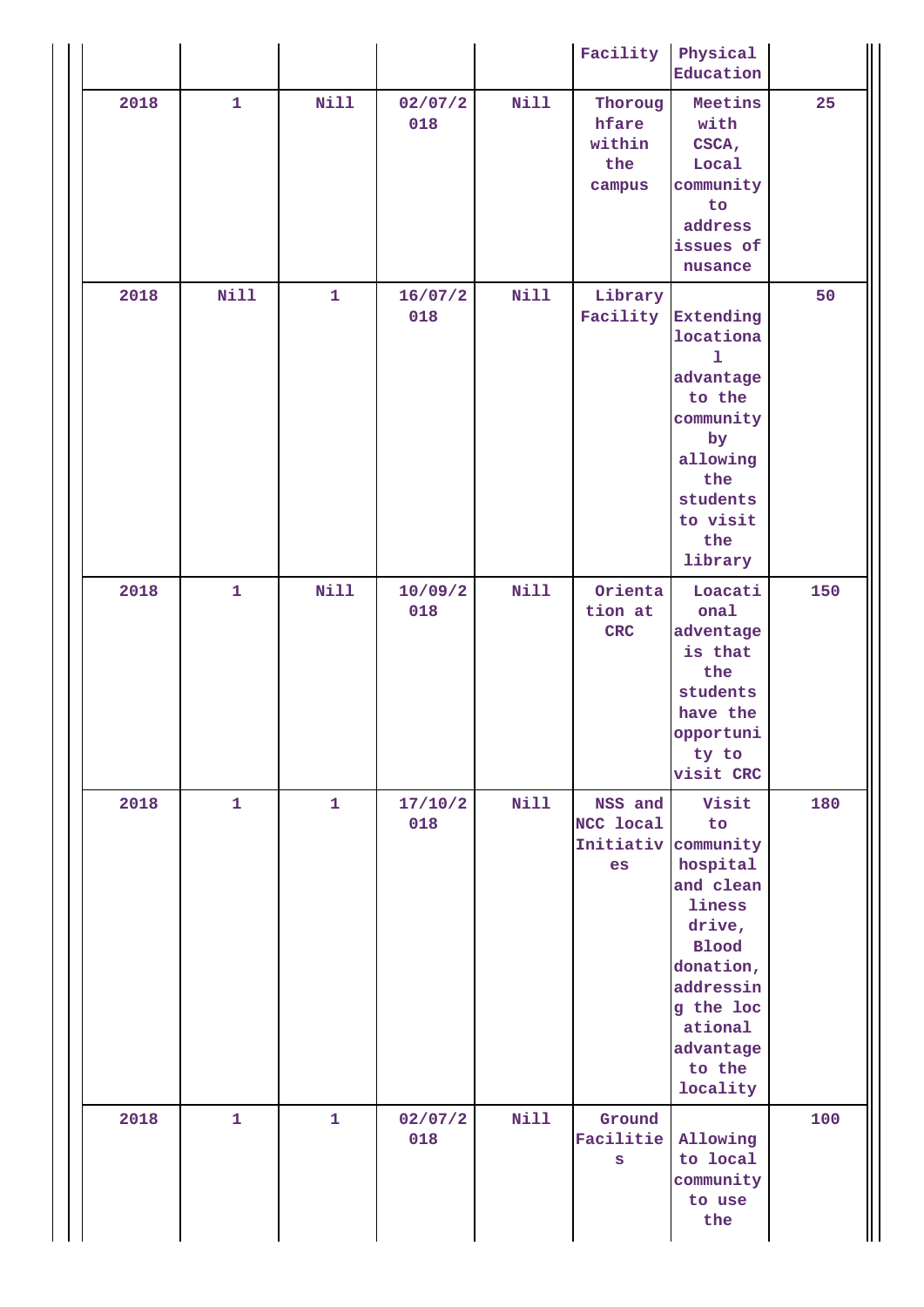|      |              |              |                |             | Facility                                    | Physical<br>Education                                                                                                                                                      |     |
|------|--------------|--------------|----------------|-------------|---------------------------------------------|----------------------------------------------------------------------------------------------------------------------------------------------------------------------------|-----|
| 2018 | $\mathbf{1}$ | <b>Nill</b>  | 02/07/2<br>018 | <b>Nill</b> | Thoroug<br>hfare<br>within<br>the<br>campus | Meetins<br>with<br>CSCA,<br>Local<br>community<br>to<br>address<br>issues of<br>nusance                                                                                    | 25  |
| 2018 | Nill         | $\mathbf{1}$ | 16/07/2<br>018 | <b>Nill</b> | Library<br>Facility                         | <b>Extending</b><br>locationa<br>1<br>advantage<br>to the<br>community<br>by<br>allowing<br>the<br>students<br>to visit<br>the<br>library                                  | 50  |
| 2018 | $\mathbf{1}$ | Nill         | 10/09/2<br>018 | Nill        | Orienta<br>tion at<br>$CRC$                 | Loacati<br>onal<br>adventage<br>is that<br>the<br>students<br>have the<br>opportuni<br>ty to<br>visit CRC                                                                  | 150 |
| 2018 | $\mathbf{1}$ | $\mathbf{1}$ | 17/10/2<br>018 | $N$ ill     | NSS and<br>NCC local<br>Initiativ<br>es     | Visit<br>to<br>community<br>hospital<br>and clean<br>liness<br>drive,<br><b>Blood</b><br>donation,<br>addressin<br>g the loc<br>ational<br>advantage<br>to the<br>locality | 180 |
| 2018 | $\mathbf{1}$ | $\mathbf{1}$ | 02/07/2<br>018 | <b>Nill</b> | Ground<br>Facilitie<br>S                    | Allowing<br>to local<br>community<br>to use<br>the                                                                                                                         | 100 |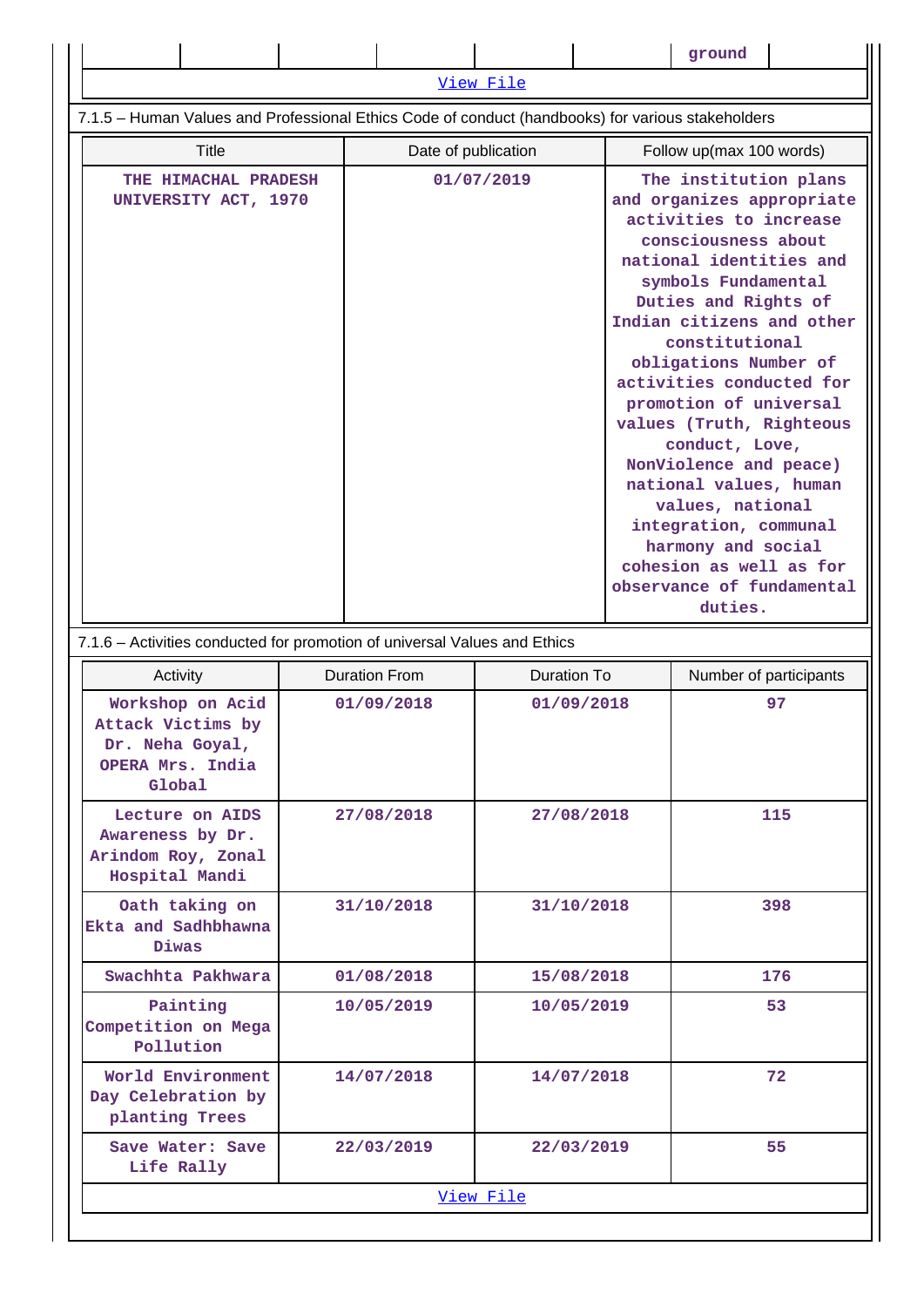|                                                                                                   |  |                                                      |            |                                                                                                                                                                                                                                                                                                                                                                                                                                                                                                                 | ground                   |                        |  |  |  |  |
|---------------------------------------------------------------------------------------------------|--|------------------------------------------------------|------------|-----------------------------------------------------------------------------------------------------------------------------------------------------------------------------------------------------------------------------------------------------------------------------------------------------------------------------------------------------------------------------------------------------------------------------------------------------------------------------------------------------------------|--------------------------|------------------------|--|--|--|--|
|                                                                                                   |  |                                                      | View File  |                                                                                                                                                                                                                                                                                                                                                                                                                                                                                                                 |                          |                        |  |  |  |  |
| 7.1.5 - Human Values and Professional Ethics Code of conduct (handbooks) for various stakeholders |  |                                                      |            |                                                                                                                                                                                                                                                                                                                                                                                                                                                                                                                 |                          |                        |  |  |  |  |
| <b>Title</b>                                                                                      |  | Date of publication                                  |            |                                                                                                                                                                                                                                                                                                                                                                                                                                                                                                                 | Follow up(max 100 words) |                        |  |  |  |  |
| THE HIMACHAL PRADESH                                                                              |  |                                                      | 01/07/2019 |                                                                                                                                                                                                                                                                                                                                                                                                                                                                                                                 | The institution plans    |                        |  |  |  |  |
| UNIVERSITY ACT, 1970                                                                              |  |                                                      |            | and organizes appropriate<br>activities to increase<br>consciousness about<br>national identities and<br>symbols Fundamental<br>Duties and Rights of<br>Indian citizens and other<br>constitutional<br>obligations Number of<br>activities conducted for<br>promotion of universal<br>values (Truth, Righteous<br>conduct, Love,<br>NonViolence and peace)<br>national values, human<br>values, national<br>integration, communal<br>harmony and social<br>cohesion as well as for<br>observance of fundamental |                          |                        |  |  |  |  |
|                                                                                                   |  |                                                      |            |                                                                                                                                                                                                                                                                                                                                                                                                                                                                                                                 | duties.                  |                        |  |  |  |  |
| 7.1.6 - Activities conducted for promotion of universal Values and Ethics                         |  |                                                      |            |                                                                                                                                                                                                                                                                                                                                                                                                                                                                                                                 |                          |                        |  |  |  |  |
| Activity                                                                                          |  | <b>Duration From</b><br>Duration To                  |            |                                                                                                                                                                                                                                                                                                                                                                                                                                                                                                                 |                          | Number of participants |  |  |  |  |
| Workshop on Acid<br>Attack Victims by<br>Dr. Neha Goyal,<br>OPERA Mrs. India<br>Global            |  | 01/09/2018                                           |            | 01/09/2018                                                                                                                                                                                                                                                                                                                                                                                                                                                                                                      |                          | 97                     |  |  |  |  |
| Lecture on AIDS<br>Awareness by Dr.<br>Arindom Roy, Zonal<br>Hospital Mandi                       |  | 27/08/2018                                           |            | 27/08/2018                                                                                                                                                                                                                                                                                                                                                                                                                                                                                                      |                          | 115                    |  |  |  |  |
| Oath taking on<br>Ekta and Sadhbhawna<br>Diwas                                                    |  | 31/10/2018<br>31/10/2018<br>01/08/2018<br>15/08/2018 |            |                                                                                                                                                                                                                                                                                                                                                                                                                                                                                                                 |                          | 398                    |  |  |  |  |
| Swachhta Pakhwara                                                                                 |  |                                                      |            |                                                                                                                                                                                                                                                                                                                                                                                                                                                                                                                 |                          | 176                    |  |  |  |  |
| Painting<br>Competition on Mega<br>Pollution                                                      |  | 10/05/2019                                           |            | 10/05/2019                                                                                                                                                                                                                                                                                                                                                                                                                                                                                                      |                          | 53                     |  |  |  |  |
| World Environment<br>Day Celebration by<br>planting Trees                                         |  | 14/07/2018                                           |            | 14/07/2018                                                                                                                                                                                                                                                                                                                                                                                                                                                                                                      |                          | 72                     |  |  |  |  |
| Save Water: Save<br>Life Rally                                                                    |  | 22/03/2019                                           |            | 22/03/2019                                                                                                                                                                                                                                                                                                                                                                                                                                                                                                      |                          | 55                     |  |  |  |  |
| View File                                                                                         |  |                                                      |            |                                                                                                                                                                                                                                                                                                                                                                                                                                                                                                                 |                          |                        |  |  |  |  |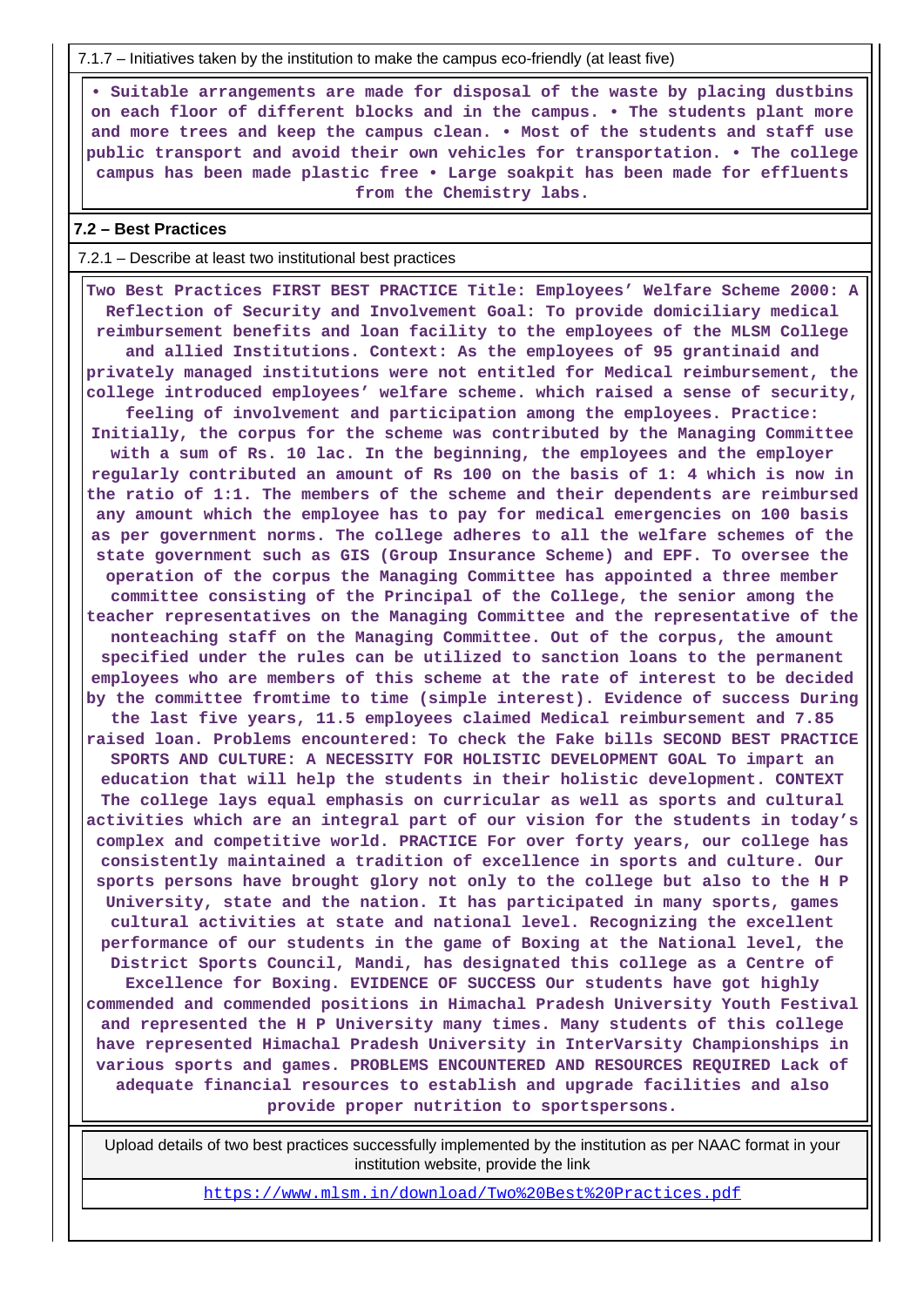7.1.7 – Initiatives taken by the institution to make the campus eco-friendly (at least five)

 **• Suitable arrangements are made for disposal of the waste by placing dustbins on each floor of different blocks and in the campus. • The students plant more and more trees and keep the campus clean. • Most of the students and staff use public transport and avoid their own vehicles for transportation. • The college campus has been made plastic free • Large soakpit has been made for effluents from the Chemistry labs.**

# **7.2 – Best Practices**

### 7.2.1 – Describe at least two institutional best practices

 **Two Best Practices FIRST BEST PRACTICE Title: Employees' Welfare Scheme 2000: A Reflection of Security and Involvement Goal: To provide domiciliary medical reimbursement benefits and loan facility to the employees of the MLSM College and allied Institutions. Context: As the employees of 95 grantinaid and privately managed institutions were not entitled for Medical reimbursement, the college introduced employees' welfare scheme. which raised a sense of security, feeling of involvement and participation among the employees. Practice: Initially, the corpus for the scheme was contributed by the Managing Committee with a sum of Rs. 10 lac. In the beginning, the employees and the employer regularly contributed an amount of Rs 100 on the basis of 1: 4 which is now in the ratio of 1:1. The members of the scheme and their dependents are reimbursed any amount which the employee has to pay for medical emergencies on 100 basis as per government norms. The college adheres to all the welfare schemes of the state government such as GIS (Group Insurance Scheme) and EPF. To oversee the operation of the corpus the Managing Committee has appointed a three member committee consisting of the Principal of the College, the senior among the teacher representatives on the Managing Committee and the representative of the nonteaching staff on the Managing Committee. Out of the corpus, the amount specified under the rules can be utilized to sanction loans to the permanent employees who are members of this scheme at the rate of interest to be decided by the committee fromtime to time (simple interest). Evidence of success During the last five years, 11.5 employees claimed Medical reimbursement and 7.85 raised loan. Problems encountered: To check the Fake bills SECOND BEST PRACTICE SPORTS AND CULTURE: A NECESSITY FOR HOLISTIC DEVELOPMENT GOAL To impart an education that will help the students in their holistic development. CONTEXT The college lays equal emphasis on curricular as well as sports and cultural activities which are an integral part of our vision for the students in today's complex and competitive world. PRACTICE For over forty years, our college has consistently maintained a tradition of excellence in sports and culture. Our sports persons have brought glory not only to the college but also to the H P University, state and the nation. It has participated in many sports, games cultural activities at state and national level. Recognizing the excellent performance of our students in the game of Boxing at the National level, the District Sports Council, Mandi, has designated this college as a Centre of Excellence for Boxing. EVIDENCE OF SUCCESS Our students have got highly commended and commended positions in Himachal Pradesh University Youth Festival and represented the H P University many times. Many students of this college have represented Himachal Pradesh University in InterVarsity Championships in various sports and games. PROBLEMS ENCOUNTERED AND RESOURCES REQUIRED Lack of adequate financial resources to establish and upgrade facilities and also provide proper nutrition to sportspersons.**

 Upload details of two best practices successfully implemented by the institution as per NAAC format in your institution website, provide the link

<https://www.mlsm.in/download/Two%20Best%20Practices.pdf>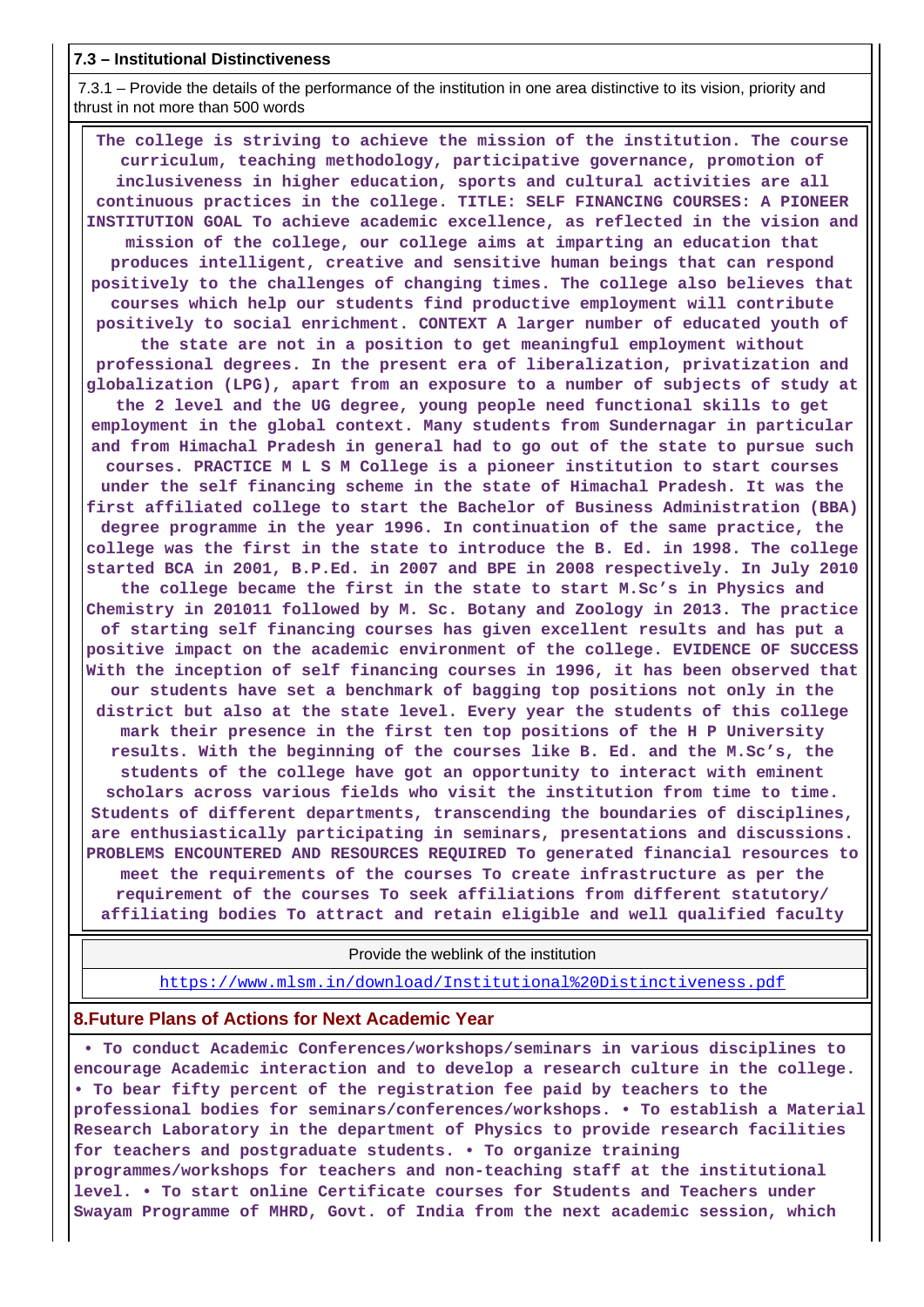## **7.3 – Institutional Distinctiveness**

 7.3.1 – Provide the details of the performance of the institution in one area distinctive to its vision, priority and thrust in not more than 500 words

 **The college is striving to achieve the mission of the institution. The course curriculum, teaching methodology, participative governance, promotion of inclusiveness in higher education, sports and cultural activities are all continuous practices in the college. TITLE: SELF FINANCING COURSES: A PIONEER INSTITUTION GOAL To achieve academic excellence, as reflected in the vision and mission of the college, our college aims at imparting an education that produces intelligent, creative and sensitive human beings that can respond positively to the challenges of changing times. The college also believes that courses which help our students find productive employment will contribute positively to social enrichment. CONTEXT A larger number of educated youth of the state are not in a position to get meaningful employment without professional degrees. In the present era of liberalization, privatization and globalization (LPG), apart from an exposure to a number of subjects of study at the 2 level and the UG degree, young people need functional skills to get employment in the global context. Many students from Sundernagar in particular and from Himachal Pradesh in general had to go out of the state to pursue such courses. PRACTICE M L S M College is a pioneer institution to start courses under the self financing scheme in the state of Himachal Pradesh. It was the first affiliated college to start the Bachelor of Business Administration (BBA) degree programme in the year 1996. In continuation of the same practice, the college was the first in the state to introduce the B. Ed. in 1998. The college started BCA in 2001, B.P.Ed. in 2007 and BPE in 2008 respectively. In July 2010 the college became the first in the state to start M.Sc's in Physics and Chemistry in 201011 followed by M. Sc. Botany and Zoology in 2013. The practice of starting self financing courses has given excellent results and has put a positive impact on the academic environment of the college. EVIDENCE OF SUCCESS With the inception of self financing courses in 1996, it has been observed that our students have set a benchmark of bagging top positions not only in the district but also at the state level. Every year the students of this college mark their presence in the first ten top positions of the H P University results. With the beginning of the courses like B. Ed. and the M.Sc's, the students of the college have got an opportunity to interact with eminent scholars across various fields who visit the institution from time to time. Students of different departments, transcending the boundaries of disciplines, are enthusiastically participating in seminars, presentations and discussions. PROBLEMS ENCOUNTERED AND RESOURCES REQUIRED To generated financial resources to meet the requirements of the courses To create infrastructure as per the requirement of the courses To seek affiliations from different statutory/ affiliating bodies To attract and retain eligible and well qualified faculty**

Provide the weblink of the institution

<https://www.mlsm.in/download/Institutional%20Distinctiveness.pdf>

## **8.Future Plans of Actions for Next Academic Year**

 **• To conduct Academic Conferences/workshops/seminars in various disciplines to encourage Academic interaction and to develop a research culture in the college. • To bear fifty percent of the registration fee paid by teachers to the professional bodies for seminars/conferences/workshops. • To establish a Material Research Laboratory in the department of Physics to provide research facilities for teachers and postgraduate students. • To organize training programmes/workshops for teachers and non-teaching staff at the institutional level. • To start online Certificate courses for Students and Teachers under Swayam Programme of MHRD, Govt. of India from the next academic session, which**